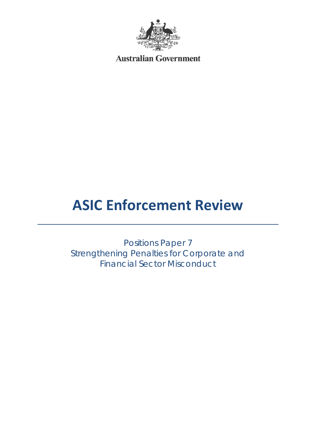

**Australian Government** 

# **ASIC Enforcement Review**

Positions Paper 7 Strengthening Penalties for Corporate and Financial Sector Misconduct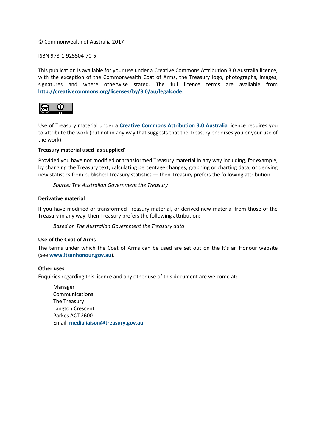#### © Commonwealth of Australia 2017

ISBN 978-1-925504-70-5

This publication is available for your use under a [Creative Commons Attribution 3.0 Australia](http://creativecommons.org/licenses/by/3.0/au/deed.en) licence, with the exception of the Commonwealth Coat of Arms, the Treasury logo, photographs, images, signatures and where otherwise stated. The full licence terms are available from **<http://creativecommons.org/licenses/by/3.0/au/legalcode>**.



Use of Treasury material under a **[Creative Commons Attribution 3.0 Australia](http://creativecommons.org/licenses/by/3.0/au/deed.en)** licence requires you to attribute the work (but not in any way that suggests that the Treasury endorses you or your use of the work).

#### **Treasury material used 'as supplied'**

Provided you have not modified or transformed Treasury material in any way including, for example, by changing the Treasury text; calculating percentage changes; graphing or charting data; or deriving new statistics from published Treasury statistics — then Treasury prefers the following attribution:

*Source: The Australian Government the Treasury*

#### **Derivative material**

If you have modified or transformed Treasury material, or derived new material from those of the Treasury in any way, then Treasury prefers the following attribution:

*Based on The Australian Government the Treasury data*

#### **Use of the Coat of Arms**

The terms under which the Coat of Arms can be used are set out on the It's an Honour website (see **[www.itsanhonour.gov.au](http://www.itsanhonour.gov.au/)**).

#### **Other uses**

Enquiries regarding this licence and any other use of this document are welcome at:

Manager Communications The Treasury Langton Crescent Parkes ACT 2600 Email: **[medialiaison@treasury.gov.au](mailto:medialiaison@treasury.gov.au)**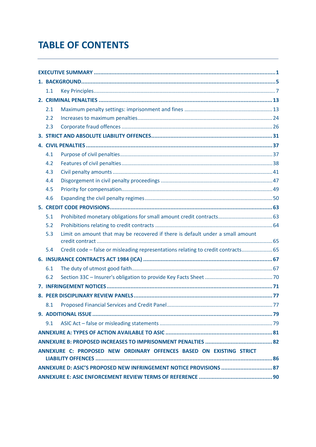## **TABLE OF CONTENTS**

|                                                                     | $1.1\,$ |                                                                                   |  |  |  |
|---------------------------------------------------------------------|---------|-----------------------------------------------------------------------------------|--|--|--|
|                                                                     |         |                                                                                   |  |  |  |
|                                                                     | 2.1     |                                                                                   |  |  |  |
|                                                                     | 2.2     |                                                                                   |  |  |  |
|                                                                     | 2.3     |                                                                                   |  |  |  |
|                                                                     |         |                                                                                   |  |  |  |
|                                                                     |         |                                                                                   |  |  |  |
|                                                                     | 4.1     |                                                                                   |  |  |  |
|                                                                     | 4.2     |                                                                                   |  |  |  |
|                                                                     | 4.3     |                                                                                   |  |  |  |
|                                                                     | 4.4     |                                                                                   |  |  |  |
|                                                                     | 4.5     |                                                                                   |  |  |  |
|                                                                     | 4.6     |                                                                                   |  |  |  |
|                                                                     |         |                                                                                   |  |  |  |
|                                                                     | 5.1     | Prohibited monetary obligations for small amount credit contracts 63              |  |  |  |
|                                                                     | 5.2     |                                                                                   |  |  |  |
|                                                                     | 5.3     | Limit on amount that may be recovered if there is default under a small amount    |  |  |  |
|                                                                     | 5.4     | Credit code - false or misleading representations relating to credit contracts 65 |  |  |  |
|                                                                     |         |                                                                                   |  |  |  |
|                                                                     | 6.1     |                                                                                   |  |  |  |
|                                                                     | 6.2     |                                                                                   |  |  |  |
|                                                                     |         |                                                                                   |  |  |  |
|                                                                     |         |                                                                                   |  |  |  |
|                                                                     |         |                                                                                   |  |  |  |
|                                                                     |         |                                                                                   |  |  |  |
|                                                                     | 9.1     |                                                                                   |  |  |  |
|                                                                     |         |                                                                                   |  |  |  |
|                                                                     |         |                                                                                   |  |  |  |
| ANNEXURE C: PROPOSED NEW ORDINARY OFFENCES BASED ON EXISTING STRICT |         |                                                                                   |  |  |  |
|                                                                     |         |                                                                                   |  |  |  |
|                                                                     |         |                                                                                   |  |  |  |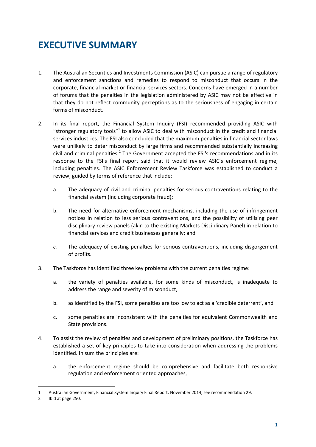## <span id="page-4-0"></span>**EXECUTIVE SUMMARY**

- 1. The Australian Securities and Investments Commission (ASIC) can pursue a range of regulatory and enforcement sanctions and remedies to respond to misconduct that occurs in the corporate, financial market or financial services sectors. Concerns have emerged in a number of forums that the penalties in the legislation administered by ASIC may not be effective in that they do not reflect community perceptions as to the seriousness of engaging in certain forms of misconduct.
- 2. In its final report, the Financial System Inquiry (FSI) recommended providing ASIC with "stronger regulatory tools" $1$  to allow ASIC to deal with misconduct in the credit and financial services industries. The FSI also concluded that the maximum penalties in financial sector laws were unlikely to deter misconduct by large firms and recommended substantially increasing civil and criminal penalties.<sup>[2](#page-4-2)</sup> The Government accepted the FSI's recommendations and in its response to the FSI's final report said that it would review ASIC's enforcement regime, including penalties. The ASIC Enforcement Review Taskforce was established to conduct a review, guided by terms of reference that include:
	- a. The adequacy of civil and criminal penalties for serious contraventions relating to the financial system (including corporate fraud);
	- b. The need for alternative enforcement mechanisms, including the use of infringement notices in relation to less serious contraventions, and the possibility of utilising peer disciplinary review panels (akin to the existing Markets Disciplinary Panel) in relation to financial services and credit businesses generally; and
	- *c.* The adequacy of existing penalties for serious contraventions, including disgorgement of profits.
- 3. The Taskforce has identified three key problems with the current penalties regime:
	- a. the variety of penalties available, for some kinds of misconduct, is inadequate to address the range and severity of misconduct,
	- b. as identified by the FSI, some penalties are too low to act as a 'credible deterrent', and
	- c. some penalties are inconsistent with the penalties for equivalent Commonwealth and State provisions.
- 4. To assist the review of penalties and development of preliminary positions, the Taskforce has established a set of key principles to take into consideration when addressing the problems identified. In sum the principles are:
	- a. the enforcement regime should be comprehensive and facilitate both responsive regulation and enforcement oriented approaches,

<span id="page-4-1"></span><sup>1</sup> Australian Government, Financial System Inquiry Final Report, November 2014, see recommendation 29.

<span id="page-4-2"></span><sup>2</sup> Ibid at page 250.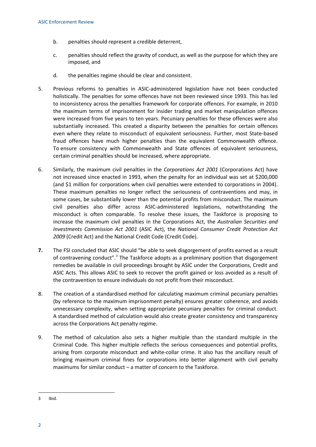- b. penalties should represent a credible deterrent,
- c. penalties should reflect the gravity of conduct, as well as the purpose for which they are imposed, and
- d. the penalties regime should be clear and consistent.
- 5. Previous reforms to penalties in ASIC-administered legislation have not been conducted holistically. The penalties for some offences have not been reviewed since 1993. This has led to inconsistency across the penalties framework for corporate offences. For example, in 2010 the maximum terms of imprisonment for insider trading and market manipulation offences were increased from five years to ten years. Pecuniary penalties for these offences were also substantially increased. This created a disparity between the penalties for certain offences even where they relate to misconduct of equivalent seriousness. Further, most State-based fraud offences have much higher penalties than the equivalent Commonwealth offence. To ensure consistency with Commonwealth and State offences of equivalent seriousness, certain criminal penalties should be increased, where appropriate.
- 6. Similarly, the maximum civil penalties in the *Corporations Act 2001* (Corporations Act) have not increased since enacted in 1993, when the penalty for an individual was set at \$200,000 (and \$1 million for corporations when civil penalties were extended to corporations in 2004). These maximum penalties no longer reflect the seriousness of contraventions and may, in some cases, be substantially lower than the potential profits from misconduct. The maximum civil penalties also differ across ASIC-administered legislations, notwithstanding the misconduct is often comparable. To resolve these issues, the Taskforce is proposing to increase the maximum civil penalties in the Corporations Act, the *Australian Securities and Investments Commission Act 2001* (ASIC Act), the *National Consumer Credit Protection Act 2009* (Credit Act) and the National Credit Code (Credit Code).
- **7.** The FSI concluded that ASIC should "be able to seek disgorgement of profits earned as a result of contravening conduct".<sup>[3](#page-5-0)</sup> The Taskforce adopts as a preliminary position that disgorgement remedies be available in civil proceedings brought by ASIC under the Corporations, Credit and ASIC Acts. This allows ASIC to seek to recover the profit gained or loss avoided as a result of the contravention to ensure individuals do not profit from their misconduct.
- 8. The creation of a standardised method for calculating maximum criminal pecuniary penalties (by reference to the maximum imprisonment penalty) ensures greater coherence, and avoids unnecessary complexity, when setting appropriate pecuniary penalties for criminal conduct. A standardised method of calculation would also create greater consistency and transparency across the Corporations Act penalty regime.
- 9. The method of calculation also sets a higher multiple than the standard multiple in the Criminal Code. This higher multiple reflects the serious consequences and potential profits, arising from corporate misconduct and white-collar crime. It also has the ancillary result of bringing maximum criminal fines for corporations into better alignment with civil penalty maximums for similar conduct – a matter of concern to the Taskforce.

<span id="page-5-0"></span><sup>3</sup> Ibid.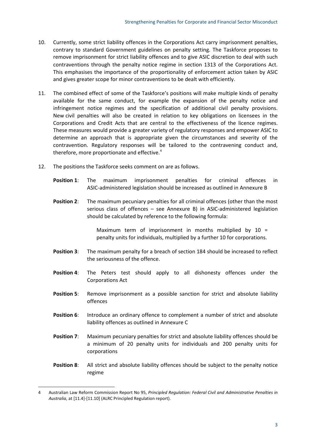- 10. Currently, some strict liability offences in the Corporations Act carry imprisonment penalties, contrary to standard Government guidelines on penalty setting. The Taskforce proposes to remove imprisonment for strict liability offences and to give ASIC discretion to deal with such contraventions through the penalty notice regime in section 1313 of the Corporations Act. This emphasises the importance of the proportionality of enforcement action taken by ASIC and gives greater scope for minor contraventions to be dealt with efficiently.
- 11. The combined effect of some of the Taskforce's positions will make multiple kinds of penalty available for the same conduct, for example the expansion of the penalty notice and infringement notice regimes and the specification of additional civil penalty provisions. New civil penalties will also be created in relation to key obligations on licensees in the Corporations and Credit Acts that are central to the effectiveness of the licence regimes. These measures would provide a greater variety of regulatory responses and empower ASIC to determine an approach that is appropriate given the circumstances and severity of the contravention. Regulatory responses will be tailored to the contravening conduct and, therefore, more proportionate and effective.<sup>[4](#page-6-0)</sup>
- 12. The positions the Taskforce seeks comment on are as follows.
	- **Position 1**: The maximum imprisonment penalties for criminal offences in ASIC-administered legislation should be increased as outlined in Annexure B
	- **Position 2:** The maximum pecuniary penalties for all criminal offences (other than the most serious class of offences – see Annexure B) in ASIC-administered legislation should be calculated by reference to the following formula:

Maximum term of imprisonment in months multiplied by  $10 =$ penalty units for individuals, multiplied by a further 10 for corporations.

- **Position 3:** The maximum penalty for a breach of section 184 should be increased to reflect the seriousness of the offence.
- **Position 4**: The Peters test should apply to all dishonesty offences under the Corporations Act
- **Position 5:** Remove imprisonment as a possible sanction for strict and absolute liability offences
- **Position 6:** Introduce an ordinary offence to complement a number of strict and absolute liability offences as outlined in Annexure C
- **Position 7:** Maximum pecuniary penalties for strict and absolute liability offences should be a minimum of 20 penalty units for individuals and 200 penalty units for corporations
- **Position 8**: All strict and absolute liability offences should be subject to the penalty notice regime

<span id="page-6-0"></span><sup>4</sup> Australian Law Reform Commission Report No 95, *Principled Regulation: Federal Civil and Administrative Penalties in Australia*, at [11.4]-[11.10] (ALRC Principled Regulation report).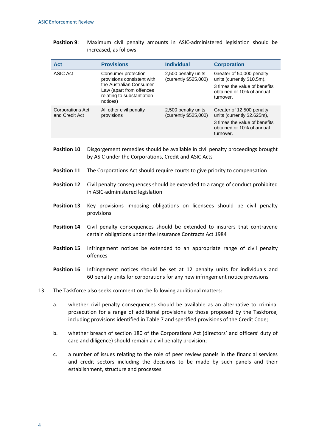| <b>Position 9:</b> |                        |  |  | Maximum civil penalty amounts in ASIC-administered legislation should be |  |  |
|--------------------|------------------------|--|--|--------------------------------------------------------------------------|--|--|
|                    | increased, as follows: |  |  |                                                                          |  |  |

| Act                                 | <b>Provisions</b>                                                                             | <b>Individual</b>                            | <b>Corporation</b>                                                                                                                  |
|-------------------------------------|-----------------------------------------------------------------------------------------------|----------------------------------------------|-------------------------------------------------------------------------------------------------------------------------------------|
| ASIC Act                            | Consumer protection<br>provisions consistent with                                             | 2,500 penalty units<br>(currently \$525,000) | Greater of 50,000 penalty<br>units (currently \$10.5m),                                                                             |
|                                     | the Australian Consumer<br>Law (apart from offences<br>relating to substantiation<br>notices) |                                              | 3 times the value of benefits<br>obtained or 10% of annual<br>turnover.                                                             |
| Corporations Act,<br>and Credit Act | All other civil penalty<br>provisions                                                         | 2,500 penalty units<br>(currently \$525,000) | Greater of 12,500 penalty<br>units (currently \$2.625m),<br>3 times the value of benefits<br>obtained or 10% of annual<br>turnover. |

- **Position 10**: Disgorgement remedies should be available in civil penalty proceedings brought by ASIC under the Corporations, Credit and ASIC Acts
- **Position 11:** The Corporations Act should require courts to give priority to compensation
- **Position 12**: Civil penalty consequences should be extended to a range of conduct prohibited in ASIC-administered legislation
- **Position 13**: Key provisions imposing obligations on licensees should be civil penalty provisions
- **Position 14**: Civil penalty consequences should be extended to insurers that contravene certain obligations under the Insurance Contracts Act 1984
- **Position 15**: Infringement notices be extended to an appropriate range of civil penalty offences
- **Position 16**: Infringement notices should be set at 12 penalty units for individuals and 60 penalty units for corporations for any new infringement notice provisions
- 13. The Taskforce also seeks comment on the following additional matters:
	- a. whether civil penalty consequences should be available as an alternative to criminal prosecution for a range of additional provisions to those proposed by the Taskforce, including provisions identified in Table 7 and specified provisions of the Credit Code;
	- b. whether breach of section 180 of the Corporations Act (directors' and officers' duty of care and diligence) should remain a civil penalty provision;
	- c. a number of issues relating to the role of peer review panels in the financial services and credit sectors including the decisions to be made by such panels and their establishment, structure and processes.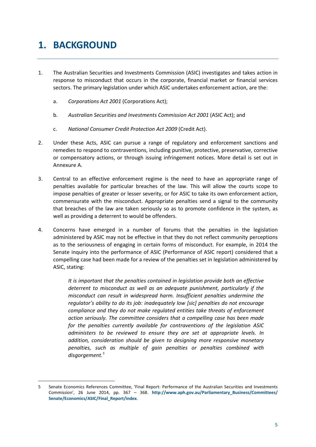## <span id="page-8-0"></span>**1. BACKGROUND**

**.** 

- 1. The Australian Securities and Investments Commission (ASIC) investigates and takes action in response to misconduct that occurs in the corporate, financial market or financial services sectors. The primary legislation under which ASIC undertakes enforcement action, are the:
	- a. *Corporations Act 2001* (Corporations Act);
	- b. *Australian Securities and Investments Commission Act 2001* (ASIC Act); and
	- c. *National Consumer Credit Protection Act 2009* (Credit Act).
- 2. Under these Acts, ASIC can pursue a range of regulatory and enforcement sanctions and remedies to respond to contraventions, including punitive, protective, preservative, corrective or compensatory actions, or through issuing infringement notices. More detail is set out in Annexure A.
- 3. Central to an effective enforcement regime is the need to have an appropriate range of penalties available for particular breaches of the law. This will allow the courts scope to impose penalties of greater or lesser severity, or for ASIC to take its own enforcement action, commensurate with the misconduct. Appropriate penalties send a signal to the community that breaches of the law are taken seriously so as to promote confidence in the system, as well as providing a deterrent to would be offenders.
- 4. Concerns have emerged in a number of forums that the penalties in the legislation administered by ASIC may not be effective in that they do not reflect community perceptions as to the seriousness of engaging in certain forms of misconduct. For example, in 2014 the Senate inquiry into the performance of ASIC (Performance of ASIC report) considered that a compelling case had been made for a review of the penalties set in legislation administered by ASIC, stating:

*It is important that the penalties contained in legislation provide both an effective deterrent to misconduct as well as an adequate punishment, particularly if the misconduct can result in widespread harm. Insufficient penalties undermine the regulator's ability to do its job: inadequately low [sic] penalties do not encourage compliance and they do not make regulated entities take threats of enforcement action seriously. The committee considers that a compelling case has been made for the penalties currently available for contraventions of the legislation ASIC administers to be reviewed to ensure they are set at appropriate levels. In addition, consideration should be given to designing more responsive monetary penalties, such as multiple of gain penalties or penalties combined with disgorgement.[5](#page-8-1)*

<span id="page-8-1"></span><sup>5</sup> Senate Economics References Committee, 'Final Report: Performance of the Australian Securities and Investments Commission', 26 June 2014, pp. 367 – 368. **[http://www.aph.gov.au/Parliamentary\\_Business/Committees/](http://www.aph.gov.au/Parliamentary_Business/Committees/Senate/Economics/ASIC/Final_Report/index) [Senate/Economics/ASIC/Final\\_Report/index](http://www.aph.gov.au/Parliamentary_Business/Committees/Senate/Economics/ASIC/Final_Report/index)**.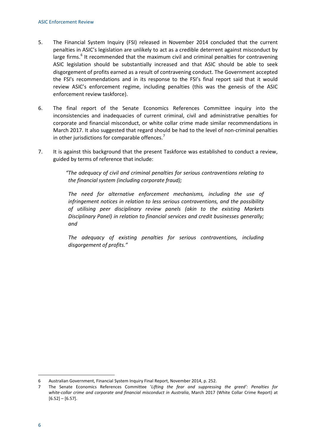- 5. The Financial System Inquiry (FSI) released in November 2014 concluded that the current penalties in ASIC's legislation are unlikely to act as a credible deterrent against misconduct by large firms.<sup>[6](#page-9-1)</sup> It recommended that the maximum civil and criminal penalties for contravening ASIC legislation should be substantially increased and that ASIC should be able to seek disgorgement of profits earned as a result of contravening conduct. The Government accepted the FSI's recommendations and in its response to the FSI's final report said that it would review ASIC's enforcement regime, including penalties (this was the genesis of the ASIC enforcement review taskforce).
- 6. The final report of the Senate Economics References Committee inquiry into the inconsistencies and inadequacies of current criminal, civil and administrative penalties for corporate and financial misconduct, or white collar crime made similar recommendations in March 2017. It also suggested that regard should be had to the level of non-criminal penalties in other jurisdictions for comparable offences. $<sup>7</sup>$  $<sup>7</sup>$  $<sup>7</sup>$ </sup>
- 7. It is against this background that the present Taskforce was established to conduct a review, guided by terms of reference that include:

*"The adequacy of civil and criminal penalties for serious contraventions relating to the financial system (including corporate fraud);*

*The need for alternative enforcement mechanisms, including the use of infringement notices in relation to less serious contraventions, and the possibility of utilising peer disciplinary review panels (akin to the existing Markets Disciplinary Panel) in relation to financial services and credit businesses generally; and*

<span id="page-9-0"></span>*The adequacy of existing penalties for serious contraventions, including disgorgement of profits."*

<span id="page-9-1"></span><sup>6</sup> Australian Government, Financial System Inquiry Final Report, November 2014, p. 252.

<span id="page-9-2"></span><sup>7</sup> The Senate Economics References Committee '*Lifting the fear and suppressing the greed': Penalties for white-collar crime and corporate and financial misconduct in Australia*, March 2017 (White Collar Crime Report) at  $[6.52] - [6.57]$ .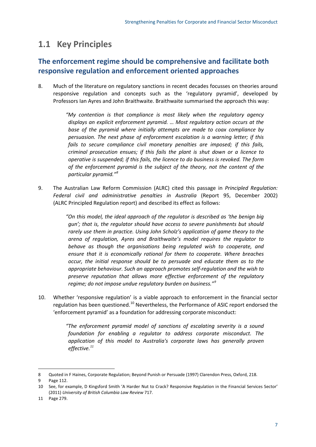## **1.1 Key Principles**

## **The enforcement regime should be comprehensive and facilitate both responsive regulation and enforcement oriented approaches**

8. Much of the literature on regulatory sanctions in recent decades focusses on theories around responsive regulation and concepts such as the 'regulatory pyramid', developed by Professors Ian Ayres and John Braithwaite. Braithwaite summarised the approach this way:

> *"My contention is that compliance is most likely when the regulatory agency displays an explicit enforcement pyramid. … Most regulatory action occurs at the base of the pyramid where initially attempts are made to coax compliance by persuasion. The next phase of enforcement escalation is a warning letter; if this fails to secure compliance civil monetary penalties are imposed; if this fails, criminal prosecution ensues; if this fails the plant is shut down or a licence to operative is suspended; if this fails, the licence to do business is revoked. The form of the enforcement pyramid is the subject of the theory, not the content of the particular pyramid."[8](#page-10-0)*

9. The Australian Law Reform Commission (ALRC) cited this passage in *Principled Regulation: Federal civil and administrative penalties in Australia* (Report 95, December 2002) (ALRC Principled Regulation report) and described its effect as follows:

> *"On this model, the ideal approach of the regulator is described as 'the benign big gun'; that is, the regulator should have access to severe punishments but should rarely use them in practice. Using John Scholz's application of game theory to the arena of regulation, Ayres and Braithwaite's model requires the regulator to behave as though the organisations being regulated wish to cooperate, and ensure that it is economically rational for them to cooperate. Where breaches occur, the initial response should be to persuade and educate them as to the appropriate behaviour. Such an approach promotes self-regulation and the wish to preserve reputation that allows more effective enforcement of the regulatory regime; do not impose undue regulatory burden on business."[9](#page-10-1)*

10. Whether 'responsive regulation' is a viable approach to enforcement in the financial sector regulation has been questioned.<sup>[10](#page-10-2)</sup> Nevertheless, the Performance of ASIC report endorsed the 'enforcement pyramid' as a foundation for addressing corporate misconduct:

> *"The enforcement pyramid model of sanctions of escalating severity is a sound foundation for enabling a regulator to address corporate misconduct. The application of this model to Australia's corporate laws has generally proven effective.[11](#page-10-3)*

<span id="page-10-0"></span><sup>8</sup> Quoted in F Haines, Corporate Regulation; Beyond Punish or Persuade (1997) Clarendon Press, Oxford, 218.

<span id="page-10-1"></span><sup>9</sup> Page 112.

<span id="page-10-2"></span><sup>10</sup> See, for example, D Kingsford Smith 'A Harder Nut to Crack? Responsive Regulation in the Financial Services Sector' (2011) *University of British Columbia Law Review* 717.

<span id="page-10-3"></span><sup>11</sup> Page 279.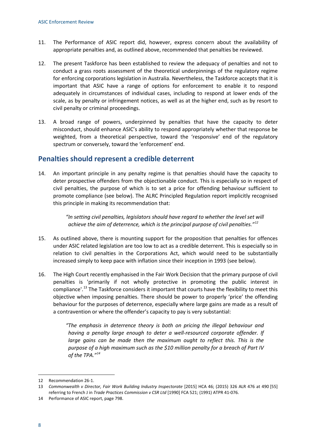- 11. The Performance of ASIC report did, however, express concern about the availability of appropriate penalties and, as outlined above, recommended that penalties be reviewed.
- 12. The present Taskforce has been established to review the adequacy of penalties and not to conduct a grass roots assessment of the theoretical underpinnings of the regulatory regime for enforcing corporations legislation in Australia. Nevertheless, the Taskforce accepts that it is important that ASIC have a range of options for enforcement to enable it to respond adequately in circumstances of individual cases, including to respond at lower ends of the scale, as by penalty or infringement notices, as well as at the higher end, such as by resort to civil penalty or criminal proceedings.
- 13. A broad range of powers, underpinned by penalties that have the capacity to deter misconduct, should enhance ASIC's ability to respond appropriately whether that response be weighted, from a theoretical perspective, toward the 'responsive' end of the regulatory spectrum or conversely, toward the 'enforcement' end.

#### **Penalties should represent a credible deterrent**

14. An important principle in any penalty regime is that penalties should have the capacity to deter prospective offenders from the objectionable conduct. This is especially so in respect of civil penalties, the purpose of which is to set a price for offending behaviour sufficient to promote compliance (see below). The ALRC Principled Regulation report implicitly recognised this principle in making its recommendation that:

> *"In setting civil penalties, legislators should have regard to whether the level set will achieve the aim of deterrence, which is the principal purpose of civil penalties."[12](#page-11-0)*

- 15. As outlined above, there is mounting support for the proposition that penalties for offences under ASIC related legislation are too low to act as a credible deterrent. This is especially so in relation to civil penalties in the Corporations Act, which would need to be substantially increased simply to keep pace with inflation since their inception in 1993 (see below).
- 16. The High Court recently emphasised in the Fair Work Decision that the primary purpose of civil penalties is 'primarily if not wholly protective in promoting the public interest in compliance'.[13](#page-11-1) The Taskforce considers it important that courts have the flexibility to meet this objective when imposing penalties. There should be power to properly 'price' the offending behaviour for the purposes of deterrence, especially where large gains are made as a result of a contravention or where the offender's capacity to pay is very substantial:

*"The emphasis in deterrence theory is both on pricing the illegal behaviour and having a penalty large enough to deter a well-resourced corporate offender. If large gains can be made then the maximum ought to reflect this. This is the purpose of a high maximum such as the \$10 million penalty for a breach of Part IV of the TPA."[14](#page-11-2)*

<span id="page-11-0"></span><sup>12</sup> Recommendation 26-1.

<span id="page-11-1"></span><sup>13</sup> *Commonwealth v Director, Fair Work Building Industry Inspectorate* [2015] HCA 46; (2015) 326 ALR 476 at 490 [55] referring to French J in *Trade Practices Commission v CSR Ltd* [1990] FCA 521; (1991) ATPR 41-076.

<span id="page-11-2"></span><sup>14</sup> Performance of ASIC report, page 798.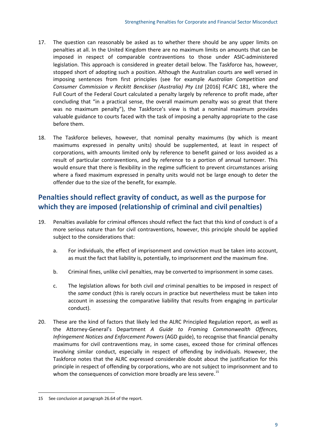- 17. The question can reasonably be asked as to whether there should be any upper limits on penalties at all. In the United Kingdom there are no maximum limits on amounts that can be imposed in respect of comparable contraventions to those under ASIC-administered legislation. This approach is considered in greater detail below. The Taskforce has, however, stopped short of adopting such a position. Although the Australian courts are well versed in imposing sentences from first principles (see for example *Australian Competition and Consumer Commission v Reckitt Benckiser (Australia) Pty Ltd* [2016] FCAFC 181, where the Full Court of the Federal Court calculated a penalty largely by reference to profit made, after concluding that "in a practical sense, the overall maximum penalty was so great that there was no maximum penalty"), the Taskforce's view is that a nominal maximum provides valuable guidance to courts faced with the task of imposing a penalty appropriate to the case before them.
- 18. The Taskforce believes, however, that nominal penalty maximums (by which is meant maximums expressed in penalty units) should be supplemented, at least in respect of corporations, with amounts limited only by reference to benefit gained or loss avoided as a result of particular contraventions, and by reference to a portion of annual turnover. This would ensure that there is flexibility in the regime sufficient to prevent circumstances arising where a fixed maximum expressed in penalty units would not be large enough to deter the offender due to the size of the benefit, for example.

## **Penalties should reflect gravity of conduct, as well as the purpose for which they are imposed (relationship of criminal and civil penalties)**

- 19. Penalties available for criminal offences should reflect the fact that this kind of conduct is of a more serious nature than for civil contraventions, however, this principle should be applied subject to the considerations that:
	- a. For individuals, the effect of imprisonment and conviction must be taken into account, as must the fact that liability is, potentially, to imprisonment *and* the maximum fine.
	- b. Criminal fines, unlike civil penalties, may be converted to imprisonment in some cases.
	- c. The legislation allows for both civil *and* criminal penalties to be imposed in respect of the *same* conduct (this is rarely occurs in practice but nevertheless must be taken into account in assessing the comparative liability that results from engaging in particular conduct).
- 20. These are the kind of factors that likely led the ALRC Principled Regulation report, as well as the Attorney-General's Department *A Guide to Framing Commonwealth Offences, Infringement Notices and Enforcement Powers* (AGD guide), to recognise that financial penalty maximums for civil contraventions may, in some cases, exceed those for criminal offences involving similar conduct, especially in respect of offending by individuals. However, the Taskforce notes that the ALRC expressed considerable doubt about the justification for this principle in respect of offending by corporations, who are not subject to imprisonment and to whom the consequences of conviction more broadly are less severe.<sup>[15](#page-12-0)</sup>

<span id="page-12-0"></span><sup>15</sup> See conclusion at paragraph 26.64 of the report.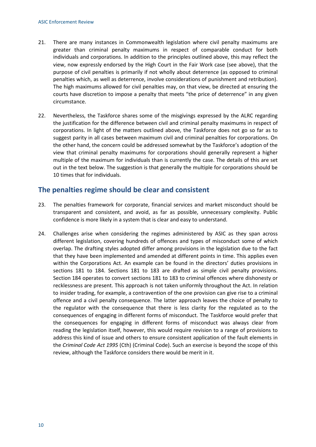- 21. There are many instances in Commonwealth legislation where civil penalty maximums are greater than criminal penalty maximums in respect of comparable conduct for both individuals and corporations. In addition to the principles outlined above, this may reflect the view, now expressly endorsed by the High Court in the Fair Work case (see above), that the purpose of civil penalties is primarily if not wholly about deterrence (as opposed to criminal penalties which, as well as deterrence, involve considerations of punishment and retribution). The high maximums allowed for civil penalties may, on that view, be directed at ensuring the courts have discretion to impose a penalty that meets "the price of deterrence" in any given circumstance.
- 22. Nevertheless, the Taskforce shares some of the misgivings expressed by the ALRC regarding the justification for the difference between civil and criminal penalty maximums in respect of corporations. In light of the matters outlined above, the Taskforce does not go so far as to suggest parity in all cases between maximum civil and criminal penalties for corporations. On the other hand, the concern could be addressed somewhat by the Taskforce's adoption of the view that criminal penalty maximums for corporations should generally represent a higher multiple of the maximum for individuals than is currently the case. The details of this are set out in the text below. The suggestion is that generally the multiple for corporations should be 10 times that for individuals.

#### **The penalties regime should be clear and consistent**

- 23. The penalties framework for corporate, financial services and market misconduct should be transparent and consistent, and avoid, as far as possible, unnecessary complexity. Public confidence is more likely in a system that is clear and easy to understand.
- 24. Challenges arise when considering the regimes administered by ASIC as they span across different legislation, covering hundreds of offences and types of misconduct some of which overlap. The drafting styles adopted differ among provisions in the legislation due to the fact that they have been implemented and amended at different points in time. This applies even within the Corporations Act. An example can be found in the directors' duties provisions in sections 181 to 184. Sections 181 to 183 are drafted as simple civil penalty provisions. Section 184 operates to convert sections 181 to 183 to criminal offences where dishonesty or recklessness are present. This approach is not taken uniformly throughout the Act. In relation to insider trading, for example, a contravention of the one provision can give rise to a criminal offence and a civil penalty consequence. The latter approach leaves the choice of penalty to the regulator with the consequence that there is less clarity for the regulated as to the consequences of engaging in different forms of misconduct. The Taskforce would prefer that the consequences for engaging in different forms of misconduct was always clear from reading the legislation itself, however, this would require revision to a range of provisions to address this kind of issue and others to ensure consistent application of the fault elements in the *Criminal Code Act 1995* (Cth) (Criminal Code). Such an exercise is beyond the scope of this review, although the Taskforce considers there would be merit in it.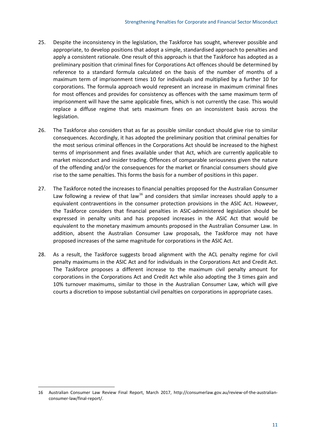- 25. Despite the inconsistency in the legislation, the Taskforce has sought, wherever possible and appropriate, to develop positions that adopt a simple, standardised approach to penalties and apply a consistent rationale. One result of this approach is that the Taskforce has adopted as a preliminary position that criminal fines for Corporations Act offences should be determined by reference to a standard formula calculated on the basis of the number of months of a maximum term of imprisonment times 10 for individuals and multiplied by a further 10 for corporations. The formula approach would represent an increase in maximum criminal fines for most offences and provides for consistency as offences with the same maximum term of imprisonment will have the same applicable fines, which is not currently the case. This would replace a diffuse regime that sets maximum fines on an inconsistent basis across the legislation.
- 26. The Taskforce also considers that as far as possible similar conduct should give rise to similar consequences. Accordingly, it has adopted the preliminary position that criminal penalties for the most serious criminal offences in the Corporations Act should be increased to the highest terms of imprisonment and fines available under that Act, which are currently applicable to market misconduct and insider trading. Offences of comparable seriousness given the nature of the offending and/or the consequences for the market or financial consumers should give rise to the same penalties. This forms the basis for a number of positions in this paper.
- 27. The Taskforce noted the increases to financial penalties proposed for the Australian Consumer Law following a review of that law<sup>[16](#page-14-0)</sup> and considers that similar increases should apply to a equivalent contraventions in the consumer protection provisions in the ASIC Act. However, the Taskforce considers that financial penalties in ASIC-administered legislation should be expressed in penalty units and has proposed increases in the ASIC Act that would be equivalent to the monetary maximum amounts proposed in the Australian Consumer Law. In addition, absent the Australian Consumer Law proposals, the Taskforce may not have proposed increases of the same magnitude for corporations in the ASIC Act.
- 28. As a result, the Taskforce suggests broad alignment with the ACL penalty regime for civil penalty maximums in the ASIC Act and for individuals in the Corporations Act and Credit Act. The Taskforce proposes a different increase to the maximum civil penalty amount for corporations in the Corporations Act and Credit Act while also adopting the 3 times gain and 10% turnover maximums, similar to those in the Australian Consumer Law, which will give courts a discretion to impose substantial civil penalties on corporations in appropriate cases.

<span id="page-14-0"></span><sup>16</sup> Australian Consumer Law Review Final Report, March 2017, http://consumerlaw.gov.au/review-of-the-australianconsumer-law/final-report/.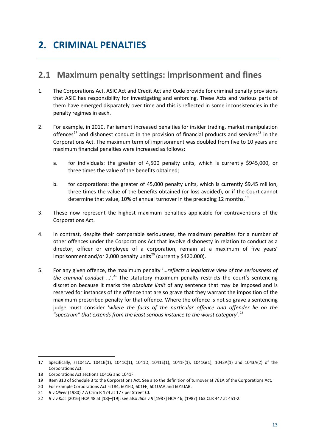## <span id="page-16-0"></span>**2. CRIMINAL PENALTIES**

## <span id="page-16-1"></span>**2.1 Maximum penalty settings: imprisonment and fines**

- 1. The Corporations Act, ASIC Act and Credit Act and Code provide for criminal penalty provisions that ASIC has responsibility for investigating and enforcing. These Acts and various parts of them have emerged disparately over time and this is reflected in some inconsistencies in the penalty regimes in each.
- 2. For example, in 2010, Parliament increased penalties for insider trading, market manipulation offences<sup>[17](#page-16-2)</sup> and dishonest conduct in the provision of financial products and services<sup>[18](#page-16-3)</sup> in the Corporations Act. The maximum term of imprisonment was doubled from five to 10 years and maximum financial penalties were increased as follows:
	- a. for individuals: the greater of 4,500 penalty units, which is currently \$945,000, or three times the value of the benefits obtained;
	- b. for corporations: the greater of 45,000 penalty units, which is currently \$9.45 million, three times the value of the benefits obtained (or loss avoided), or if the Court cannot determine that value, 10% of annual turnover in the preceding 12 months.<sup>[19](#page-16-4)</sup>
- 3. These now represent the highest maximum penalties applicable for contraventions of the Corporations Act.
- 4. In contrast, despite their comparable seriousness, the maximum penalties for a number of other offences under the Corporations Act that involve dishonesty in relation to conduct as a director, officer or employee of a corporation, remain at a maximum of five years' imprisonment and/or 2,000 penalty units<sup>[20](#page-16-5)</sup> (currently \$420,000).
- 5. For any given offence, the maximum penalty '…*reflects a legislative view of the seriousness of the criminal conduct*  $\ldots$ <sup>[21](#page-16-6)</sup>. The statutory maximum penalty restricts the court's sentencing discretion because it marks the *absolute limit* of any sentence that may be imposed and is reserved for instances of the offence that are so grave that they warrant the imposition of the maximum prescribed penalty for that offence. Where the offence is not so grave a sentencing judge must consider '*where the facts of the particular offence and offender lie on the "spectrum" that extends from the least serious instance to the worst category*'. [22](#page-16-7)

<span id="page-16-2"></span><sup>17</sup> Specifically, ss1041A, 1041B(1), 1041C(1), 1041D, 1041E(1), 1041F(1), 1041G(1), 1043A(1) and 1043A(2) of the Corporations Act.

<span id="page-16-3"></span><sup>18</sup> Corporations Act sections 1041G and 1041F.

<span id="page-16-4"></span><sup>19</sup> Item 310 of Schedule 3 to the Corporations Act. See also the definition of turnover at 761A of the Corporations Act.

<span id="page-16-5"></span><sup>20</sup> For example Corporations Act ss184, 601FD, 601FE, 601UAA and 601UAB.

<span id="page-16-6"></span><sup>21</sup> *R v Oliver* (1980) 7 A Crim R 174 at 177 per Street CJ.

<span id="page-16-7"></span><sup>22</sup> *R v v Kilic* [2016] HCA 48 at [18]–[19]; see also *Ibbs v R* [1987] HCA 46; (1987) 163 CLR 447 at 451-2.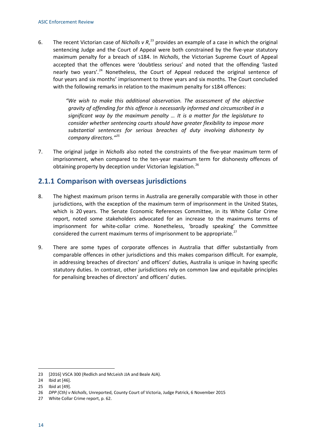6. The recent Victorian case of *Nicholls v R*,<sup>[23](#page-17-0)</sup> provides an example of a case in which the original sentencing Judge and the Court of Appeal were both constrained by the five-year statutory maximum penalty for a breach of s184. In *Nicholls*, the Victorian Supreme Court of Appeal accepted that the offences were 'doubtless serious' and noted that the offending 'lasted nearly two years'.<sup>[24](#page-17-1)</sup> Nonetheless, the Court of Appeal reduced the original sentence of four years and six months' imprisonment to three years and six months. The Court concluded with the following remarks in relation to the maximum penalty for s184 offences:

> *"We wish to make this additional observation. The assessment of the objective gravity of offending for this offence is necessarily informed and circumscribed in a significant way by the maximum penalty … It is a matter for the legislature to consider whether sentencing courts should have greater flexibility to impose more substantial sentences for serious breaches of duty involving dishonesty by company directors." [25](#page-17-2)*

7. The original judge in *Nicholls* also noted the constraints of the five-year maximum term of imprisonment, when compared to the ten-year maximum term for dishonesty offences of obtaining property by deception under Victorian legislation.<sup>[26](#page-17-3)</sup>

### **2.1.1 Comparison with overseas jurisdictions**

- 8. The highest maximum prison terms in Australia are generally comparable with those in other jurisdictions, with the exception of the maximum term of imprisonment in the United States, which is 20 years. The Senate Economic References Committee, in its White Collar Crime report, noted some stakeholders advocated for an increase to the maximums terms of imprisonment for white-collar crime. Nonetheless, 'broadly speaking' the Committee considered the current maximum terms of imprisonment to be appropriate. $^{27}$  $^{27}$  $^{27}$
- 9. There are some types of corporate offences in Australia that differ substantially from comparable offences in other jurisdictions and this makes comparison difficult. For example, in addressing breaches of directors' and officers' duties, Australia is unique in having specific statutory duties. In contrast, other jurisdictions rely on common law and equitable principles for penalising breaches of directors' and officers' duties.

<span id="page-17-0"></span><sup>23</sup> [2016] VSCA 300 (Redlich and McLeish JJA and Beale AJA).

<span id="page-17-1"></span><sup>24</sup> Ibid at [46].

<span id="page-17-2"></span><sup>25</sup> Ibid at [49].

<span id="page-17-3"></span><sup>26</sup> *DPP (Cth) v Nicholls*, Unreported, County Court of Victoria, Judge Patrick, 6 November 2015

<span id="page-17-4"></span><sup>27</sup> White Collar Crime report, p. 62.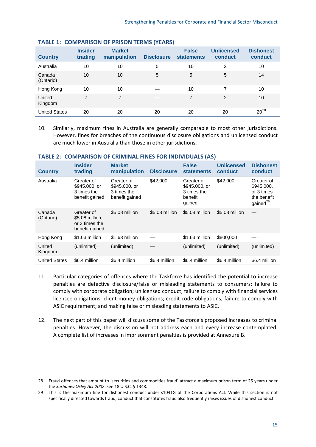| <b>Country</b>       | <b>Insider</b><br>trading | <b>Market</b><br>manipulation | <b>Disclosure</b> | <b>False</b><br><b>statements</b> | <b>Unlicensed</b><br>conduct | <b>Dishonest</b><br>conduct |
|----------------------|---------------------------|-------------------------------|-------------------|-----------------------------------|------------------------------|-----------------------------|
| Australia            | 10                        | 10                            | 5                 | 10                                | 2                            | 10                          |
| Canada<br>(Ontario)  | 10                        | 10                            | 5                 | 5                                 | 5                            | 14                          |
| Hong Kong            | 10                        | 10                            |                   | 10                                | 7                            | 10                          |
| United<br>Kingdom    | $\overline{7}$            | 7                             |                   | $\overline{7}$                    | 2                            | 10                          |
| <b>United States</b> | 20                        | 20                            | 20                | 20                                | 20                           | $20^{28}$                   |

#### **TABLE 1: COMPARISON OF PRISON TERMS (YEARS)**

10. Similarly, maximum fines in Australia are generally comparable to most other jurisdictions. However, fines for breaches of the continuous disclosure obligations and unlicensed conduct are much lower in Australia than those in other jurisdictions.

|                      |                                                                   |                                                              |                   | . .                                                             |                              |                                                                               |
|----------------------|-------------------------------------------------------------------|--------------------------------------------------------------|-------------------|-----------------------------------------------------------------|------------------------------|-------------------------------------------------------------------------------|
| <b>Country</b>       | <b>Insider</b><br>trading                                         | <b>Market</b><br>manipulation                                | <b>Disclosure</b> | <b>False</b><br><b>statements</b>                               | <b>Unlicensed</b><br>conduct | <b>Dishonest</b><br>conduct                                                   |
| Australia            | Greater of<br>\$945,000, or<br>3 times the<br>benefit gained      | Greater of<br>\$945,000, or<br>3 times the<br>benefit gained | \$42,000          | Greater of<br>\$945,000, or<br>3 times the<br>benefit<br>qained | \$42,000                     | Greater of<br>\$945,000,<br>or 3 times<br>the benefit<br>gained <sup>29</sup> |
| Canada<br>(Ontario)  | Greater of<br>\$5.08 million,<br>or 3 times the<br>benefit gained | \$5.08 million                                               | \$5.08 million    | \$5.08 million                                                  | \$5.08 million               |                                                                               |
| Hong Kong            | \$1.63 million                                                    | \$1.63 million                                               |                   | \$1.63 million                                                  | \$800,000                    |                                                                               |
| United<br>Kingdom    | (unlimited)                                                       | (unlimited)                                                  |                   | (unlimited)                                                     | (unlimited)                  | (unlimited)                                                                   |
| <b>United States</b> | \$6.4 million                                                     | \$6.4 million                                                | \$6.4 million     | \$6.4 million                                                   | \$6.4 million                | \$6.4 million                                                                 |

#### **TABLE 2: COMPARISON OF CRIMINAL FINES FOR INDIVIDUALS (A\$)**

- 11. Particular categories of offences where the Taskforce has identified the potential to increase penalties are defective disclosure/false or misleading statements to consumers; failure to comply with corporate obligation; unlicensed conduct; failure to comply with financial services licensee obligations; client money obligations; credit code obligations; failure to comply with ASIC requirement; and making false or misleading statements to ASIC.
- 12. The next part of this paper will discuss some of the Taskforce's proposed increases to criminal penalties. However, the discussion will not address each and every increase contemplated. A complete list of increases in imprisonment penalties is provided at Annexure B.

<span id="page-18-0"></span><sup>28</sup> Fraud offences that amount to 'securities and commodities fraud' attract a maximum prison term of 25 years under the *Sarbanes-Oxley Act 2002*: see 18 U.S.C. § 1348.

<span id="page-18-1"></span><sup>29</sup> This is the maximum fine for dishonest conduct under s1041G of the Corporations Act. While this section is not specifically directed towards fraud, conduct that constitutes fraud also frequently raises issues of dishonest conduct.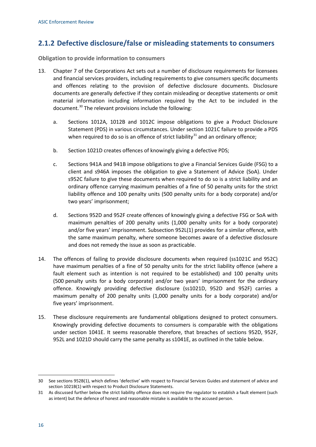## **2.1.2 Defective disclosure/false or misleading statements to consumers**

**Obligation to provide information to consumers**

- 13. Chapter 7 of the Corporations Act sets out a number of disclosure requirements for licensees and financial services providers, including requirements to give consumers specific documents and offences relating to the provision of defective disclosure documents. Disclosure documents are generally defective if they contain misleading or deceptive statements or omit material information including information required by the Act to be included in the document.<sup>[30](#page-19-0)</sup> The relevant provisions include the following:
	- a. Sections 1012A, 1012B and 1012C impose obligations to give a Product Disclosure Statement (PDS) in various circumstances. Under section 1021C failure to provide a PDS when required to do so is an offence of strict liability<sup>[31](#page-19-1)</sup> and an ordinary offence;
	- b. Section 1021D creates offences of knowingly giving a defective PDS;
	- c. Sections 941A and 941B impose obligations to give a Financial Services Guide (FSG) to a client and s946A imposes the obligation to give a Statement of Advice (SoA). Under s952C failure to give these documents when required to do so is a strict liability and an ordinary offence carrying maximum penalties of a fine of 50 penalty units for the strict liability offence and 100 penalty units (500 penalty units for a body corporate) and/or two years' imprisonment;
	- d. Sections 952D and 952F create offences of knowingly giving a defective FSG or SoA with maximum penalties of 200 penalty units (1,000 penalty units for a body corporate) and/or five years' imprisonment. Subsection 952L(1) provides for a similar offence, with the same maximum penalty, where someone becomes aware of a defective disclosure and does not remedy the issue as soon as practicable.
- 14. The offences of failing to provide disclosure documents when required (ss1021C and 952C) have maximum penalties of a fine of 50 penalty units for the strict liability offence (where a fault element such as intention is not required to be established) and 100 penalty units (500 penalty units for a body corporate) and/or two years' imprisonment for the ordinary offence. Knowingly providing defective disclosure (ss1021D, 952D and 952F) carries a maximum penalty of 200 penalty units (1,000 penalty units for a body corporate) and/or five years' imprisonment.
- 15. These disclosure requirements are fundamental obligations designed to protect consumers. Knowingly providing defective documents to consumers is comparable with the obligations under section 1041E. It seems reasonable therefore, that breaches of sections 952D, 952F, 952L and 1021D should carry the same penalty as s1041E, as outlined in the table below.

<span id="page-19-0"></span><sup>30</sup> See sections 952B(1), which defines 'defective' with respect to Financial Services Guides and statement of advice and section 1021B(1) with respect to Product Disclosure Statements.

<span id="page-19-1"></span><sup>31</sup> As discussed further below the strict liability offence does not require the regulator to establish a fault element (such as intent) but the defence of honest and reasonable mistake is available to the accused person.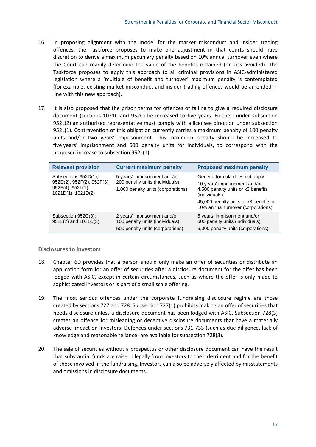- 16. In proposing alignment with the model for the market misconduct and insider trading offences, the Taskforce proposes to make one adjustment in that courts should have discretion to derive a maximum pecuniary penalty based on 10% annual turnover even where the Court can readily determine the value of the benefits obtained (or loss avoided). The Taskforce proposes to apply this approach to all criminal provisions in ASIC-administered legislation where a 'multiple of benefit and turnover' maximum penalty is contemplated (for example, existing market misconduct and insider trading offences would be amended in line with this new approach).
- 17. It is also proposed that the prison terms for offences of failing to give a required disclosure document (sections 1021C and 952C) be increased to five years. Further, under subsection 952L(2) an authorised representative must comply with a licensee direction under subsection 952L(1). Contravention of this obligation currently carries a maximum penalty of 100 penalty units and/or two years' imprisonment. This maximum penalty should be increased to five years' imprisonment and 600 penalty units for individuals, to correspond with the proposed increase to subsection 952L(1).

| <b>Relevant provision</b>                                                                           | <b>Current maximum penalty</b>                                                                        | <b>Proposed maximum penalty</b>                                                                                        |
|-----------------------------------------------------------------------------------------------------|-------------------------------------------------------------------------------------------------------|------------------------------------------------------------------------------------------------------------------------|
| Subsections 952D(1);<br>952D(2); 952F(2); 952F(3);<br>$952F(4)$ ; $952L(1)$ ;<br>1021D(1); 1021D(2) | 5 years' imprisonment and/or<br>200 penalty units (individuals)<br>1,000 penalty units (corporations) | General formula does not apply<br>10 years' imprisonment and/or<br>4,500 penalty units or x3 benefits<br>(individuals) |
|                                                                                                     |                                                                                                       | 45,000 penalty units or x3 benefits or<br>10% annual turnover (corporations)                                           |
| Subsection 952C(3);<br>952L(2) and 1021C(3)                                                         | 2 years' imprisonment and/or<br>100 penalty units (individuals)<br>500 penalty units (corporations)   | 5 years' imprisonment and/or<br>600 penalty units (individuals)<br>6,000 penalty units (corporations)                  |

#### **Disclosures to investors**

- 18. Chapter 6D provides that a person should only make an offer of securities or distribute an application form for an offer of securities after a disclosure document for the offer has been lodged with ASIC, except in certain circumstances, such as where the offer is only made to sophisticated investors or is part of a small scale offering.
- 19. The most serious offences under the corporate fundraising disclosure regime are those created by sections 727 and 728. Subsection 727(1) prohibits making an offer of securities that needs disclosure unless a disclosure document has been lodged with ASIC. Subsection 728(3) creates an offence for misleading or deceptive disclosure documents that have a materially adverse impact on investors. Defences under sections 731-733 (such as due diligence, lack of knowledge and reasonable reliance) are available for subsection 728(3).
- 20. The sale of securities without a prospectus or other disclosure document can have the result that substantial funds are raised illegally from investors to their detriment and for the benefit of those involved in the fundraising. Investors can also be adversely affected by misstatements and omissions in disclosure documents.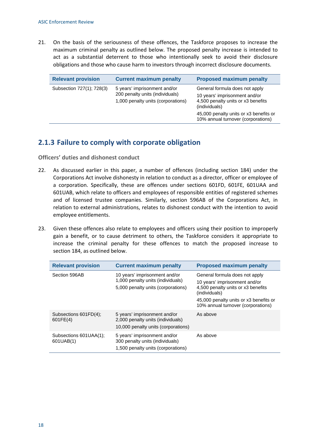21. On the basis of the seriousness of these offences, the Taskforce proposes to increase the maximum criminal penalty as outlined below. The proposed penalty increase is intended to act as a substantial deterrent to those who intentionally seek to avoid their disclosure obligations and those who cause harm to investors through incorrect disclosure documents.

| <b>Relevant provision</b> | <b>Current maximum penalty</b>                                                                        | <b>Proposed maximum penalty</b>                                                                                                                                                                        |
|---------------------------|-------------------------------------------------------------------------------------------------------|--------------------------------------------------------------------------------------------------------------------------------------------------------------------------------------------------------|
| Subsection 727(1); 728(3) | 5 years' imprisonment and/or<br>200 penalty units (individuals)<br>1,000 penalty units (corporations) | General formula does not apply<br>10 years' imprisonment and/or<br>4,500 penalty units or x3 benefits<br>(individuals)<br>45,000 penalty units or x3 benefits or<br>10% annual turnover (corporations) |

### **2.1.3 Failure to comply with corporate obligation**

**Officers' duties and dishonest conduct**

- 22. As discussed earlier in this paper, a number of offences (including section 184) under the Corporations Act involve dishonesty in relation to conduct as a director, officer or employee of a corporation. Specifically, these are offences under sections 601FD, 601FE, 601UAA and 601UAB, which relate to officers and employees of responsible entities of registered schemes and of licensed trustee companies. Similarly, section 596AB of the Corporations Act, in relation to external administrations, relates to dishonest conduct with the intention to avoid employee entitlements.
- 23. Given these offences also relate to employees and officers using their position to improperly gain a benefit, or to cause detriment to others, the Taskforce considers it appropriate to increase the criminal penalty for these offences to match the proposed increase to section 184, as outlined below.

| <b>Relevant provision</b>           | <b>Current maximum penalty</b>                                                                           | <b>Proposed maximum penalty</b>                                                                                                                                                                        |
|-------------------------------------|----------------------------------------------------------------------------------------------------------|--------------------------------------------------------------------------------------------------------------------------------------------------------------------------------------------------------|
| Section 596AB                       | 10 years' imprisonment and/or<br>1,000 penalty units (individuals)<br>5,000 penalty units (corporations) | General formula does not apply<br>10 years' imprisonment and/or<br>4,500 penalty units or x3 benefits<br>(individuals)<br>45,000 penalty units or x3 benefits or<br>10% annual turnover (corporations) |
| Subsections 601FD(4);<br>601FE(4)   | 5 years' imprisonment and/or<br>2,000 penalty units (individuals)<br>10,000 penalty units (corporations) | As above                                                                                                                                                                                               |
| Subsections 601UAA(1);<br>601UAB(1) | 5 years' imprisonment and/or<br>300 penalty units (individuals)<br>1,500 penalty units (corporations)    | As above                                                                                                                                                                                               |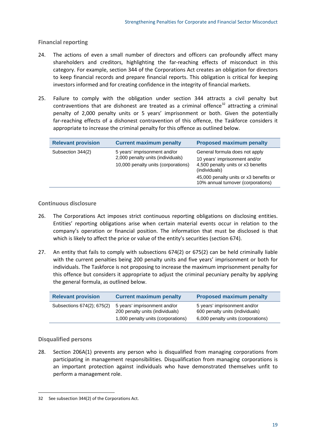**Financial reporting**

- 24. The actions of even a small number of directors and officers can profoundly affect many shareholders and creditors, highlighting the far-reaching effects of misconduct in this category. For example, section 344 of the Corporations Act creates an obligation for directors to keep financial records and prepare financial reports. This obligation is critical for keeping investors informed and for creating confidence in the integrity of financial markets.
- 25. Failure to comply with the obligation under section 344 attracts a civil penalty but contraventions that are dishonest are treated as a criminal offence<sup>[32](#page-22-0)</sup> attracting a criminal penalty of 2,000 penalty units or 5 years' imprisonment or both. Given the potentially far-reaching effects of a dishonest contravention of this offence, the Taskforce considers it appropriate to increase the criminal penalty for this offence as outlined below.

| <b>Relevant provision</b> | <b>Current maximum penalty</b>                                                                           | <b>Proposed maximum penalty</b>                                                                                                                                                                        |
|---------------------------|----------------------------------------------------------------------------------------------------------|--------------------------------------------------------------------------------------------------------------------------------------------------------------------------------------------------------|
| Subsection 344(2)         | 5 years' imprisonment and/or<br>2,000 penalty units (individuals)<br>10,000 penalty units (corporations) | General formula does not apply<br>10 years' imprisonment and/or<br>4,500 penalty units or x3 benefits<br>(individuals)<br>45,000 penalty units or x3 benefits or<br>10% annual turnover (corporations) |

#### **Continuous disclosure**

- 26. The Corporations Act imposes strict continuous reporting obligations on disclosing entities. Entities' reporting obligations arise when certain material events occur in relation to the company's operation or financial position. The information that must be disclosed is that which is likely to affect the price or value of the entity's securities (section 674).
- 27. An entity that fails to comply with subsections 674(2) or 675(2) can be held criminally liable with the current penalties being 200 penalty units and five years' imprisonment or both for individuals. The Taskforce is not proposing to increase the maximum imprisonment penalty for this offence but considers it appropriate to adjust the criminal pecuniary penalty by applying the general formula, as outlined below.

| <b>Relevant provision</b>  | <b>Current maximum penalty</b>                                  | <b>Proposed maximum penalty</b>                                 |
|----------------------------|-----------------------------------------------------------------|-----------------------------------------------------------------|
| Subsections 674(2); 675(2) | 5 years' imprisonment and/or<br>200 penalty units (individuals) | 5 years' imprisonment and/or<br>600 penalty units (individuals) |
|                            | 1,000 penalty units (corporations)                              | 6,000 penalty units (corporations)                              |

#### **Disqualified persons**

**.** 

28. Section 206A(1) prevents any person who is disqualified from managing corporations from participating in management responsibilities. Disqualification from managing corporations is an important protection against individuals who have demonstrated themselves unfit to perform a management role.

<span id="page-22-0"></span><sup>32</sup> See subsection 344(2) of the Corporations Act.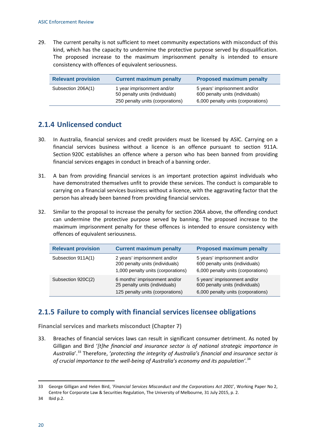29. The current penalty is not sufficient to meet community expectations with misconduct of this kind, which has the capacity to undermine the protective purpose served by disqualification. The proposed increase to the maximum imprisonment penalty is intended to ensure consistency with offences of equivalent seriousness.

| <b>Relevant provision</b> | <b>Current maximum penalty</b>                                                                   | <b>Proposed maximum penalty</b>                                                                       |
|---------------------------|--------------------------------------------------------------------------------------------------|-------------------------------------------------------------------------------------------------------|
| Subsection 206A(1)        | 1 year imprisonment and/or<br>50 penalty units (individuals)<br>250 penalty units (corporations) | 5 years' imprisonment and/or<br>600 penalty units (individuals)<br>6,000 penalty units (corporations) |

### **2.1.4 Unlicensed conduct**

- 30. In Australia, financial services and credit providers must be licensed by ASIC. Carrying on a financial services business without a licence is an offence pursuant to section 911A. Section 920C establishes an offence where a person who has been banned from providing financial services engages in conduct in breach of a banning order.
- 31. A ban from providing financial services is an important protection against individuals who have demonstrated themselves unfit to provide these services. The conduct is comparable to carrying on a financial services business without a licence, with the aggravating factor that the person has already been banned from providing financial services.
- 32. Similar to the proposal to increase the penalty for section 206A above, the offending conduct can undermine the protective purpose served by banning. The proposed increase to the maximum imprisonment penalty for these offences is intended to ensure consistency with offences of equivalent seriousness.

| <b>Relevant provision</b> | <b>Current maximum penalty</b>                                                                        | <b>Proposed maximum penalty</b>                                                                       |
|---------------------------|-------------------------------------------------------------------------------------------------------|-------------------------------------------------------------------------------------------------------|
| Subsection 911A(1)        | 2 years' imprisonment and/or<br>200 penalty units (individuals)<br>1,000 penalty units (corporations) | 5 years' imprisonment and/or<br>600 penalty units (individuals)<br>6,000 penalty units (corporations) |
| Subsection 920C(2)        | 6 months' imprisonment and/or<br>25 penalty units (individuals)<br>125 penalty units (corporations)   | 5 years' imprisonment and/or<br>600 penalty units (individuals)<br>6,000 penalty units (corporations) |

#### **2.1.5 Failure to comply with financial services licensee obligations**

**Financial services and markets misconduct (Chapter 7)**

33. Breaches of financial services laws can result in significant consumer detriment. As noted by Gilligan and Bird '*[t]he financial and insurance sector is of national strategic importance in Australia*'. [33](#page-23-0) Therefore, '*protecting the integrity of Australia's financial and insurance sector is of crucial importance to the well-being of Australia's economy and its population'*. [34](#page-23-1)

<span id="page-23-0"></span><sup>33</sup> George Gilligan and Helen Bird, *'Financial Services Misconduct and the Corporations Act 2001*', Working Paper No 2, Centre for Corporate Law & Securities Regulation, The University of Melbourne, 31 July 2015, p. 2.

<span id="page-23-1"></span><sup>34</sup> Ibid p.2.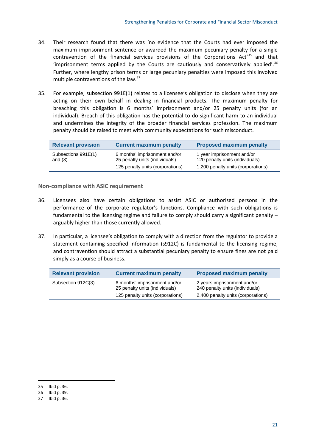- 34. Their research found that there was 'no evidence that the Courts had ever imposed the maximum imprisonment sentence or awarded the maximum pecuniary penalty for a single contravention of the financial services provisions of the Corporations Act<sup>'[35](#page-24-0)</sup> and that 'imprisonment terms applied by the Courts are cautiously and conservatively applied'. $36$ Further, where lengthy prison terms or large pecuniary penalties were imposed this involved multiple contraventions of the law.<sup>[37](#page-24-2)</sup>
- 35. For example, subsection 991E(1) relates to a licensee's obligation to disclose when they are acting on their own behalf in dealing in financial products. The maximum penalty for breaching this obligation is 6 months' imprisonment and/or 25 penalty units (for an individual). Breach of this obligation has the potential to do significant harm to an individual and undermines the integrity of the broader financial services profession. The maximum penalty should be raised to meet with community expectations for such misconduct.

| <b>Relevant provision</b>        | <b>Current maximum penalty</b>                                                                      | <b>Proposed maximum penalty</b>                                                                     |
|----------------------------------|-----------------------------------------------------------------------------------------------------|-----------------------------------------------------------------------------------------------------|
| Subsections 991E(1)<br>and $(3)$ | 6 months' imprisonment and/or<br>25 penalty units (individuals)<br>125 penalty units (corporations) | 1 year imprisonment and/or<br>120 penalty units (individuals)<br>1,200 penalty units (corporations) |

**Non-compliance with ASIC requirement**

- 36. Licensees also have certain obligations to assist ASIC or authorised persons in the performance of the corporate regulator's functions. Compliance with such obligations is fundamental to the licensing regime and failure to comply should carry a significant penalty – arguably higher than those currently allowed.
- 37. In particular, a licensee's obligation to comply with a direction from the regulator to provide a statement containing specified information (s912C) is fundamental to the licensing regime, and contravention should attract a substantial pecuniary penalty to ensure fines are not paid simply as a course of business.

| <b>Relevant provision</b> | <b>Current maximum penalty</b>                                  | <b>Proposed maximum penalty</b>                                |
|---------------------------|-----------------------------------------------------------------|----------------------------------------------------------------|
| Subsection 912C(3)        | 6 months' imprisonment and/or<br>25 penalty units (individuals) | 2 years imprisonment and/or<br>240 penalty units (individuals) |
|                           | 125 penalty units (corporations)                                | 2,400 penalty units (corporations)                             |

<span id="page-24-0"></span><sup>35</sup> Ibid p. 36.

<span id="page-24-1"></span><sup>36</sup> Ibid p. 39.

<span id="page-24-2"></span><sup>37</sup> Ibid p. 36.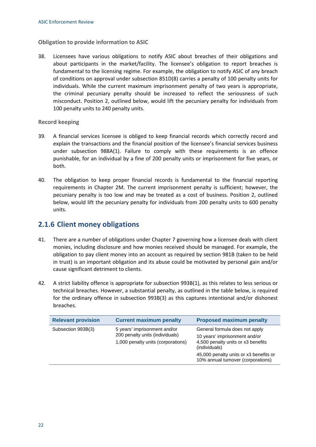#### **Obligation to provide information to ASIC**

38. Licensees have various obligations to notify ASIC about breaches of their obligations and about participants in the market/facility. The licensee's obligation to report breaches is fundamental to the licensing regime. For example, the obligation to notify ASIC of any breach of conditions on approval under subsection 851D(8) carries a penalty of 100 penalty units for individuals. While the current maximum imprisonment penalty of two years is appropriate, the criminal pecuniary penalty should be increased to reflect the seriousness of such misconduct. Position 2, outlined below, would lift the pecuniary penalty for individuals from 100 penalty units to 240 penalty units.

#### **Record keeping**

- 39. A financial services licensee is obliged to keep financial records which correctly record and explain the transactions and the financial position of the licensee's financial services business under subsection 988A(1). Failure to comply with these requirements is an offence punishable, for an individual by a fine of 200 penalty units or imprisonment for five years, or both.
- 40. The obligation to keep proper financial records is fundamental to the financial reporting requirements in Chapter 2M. The current imprisonment penalty is sufficient; however, the pecuniary penalty is too low and may be treated as a cost of business. Position 2, outlined below, would lift the pecuniary penalty for individuals from 200 penalty units to 600 penalty units.

#### **2.1.6 Client money obligations**

- 41. There are a number of obligations under Chapter 7 governing how a licensee deals with client monies, including disclosure and how monies received should be managed. For example, the obligation to pay client money into an account as required by section 981B (taken to be held in trust) is an important obligation and its abuse could be motivated by personal gain and/or cause significant detriment to clients.
- 42. A strict liability offence is appropriate for subsection 993B(1), as this relates to less serious or technical breaches. However, a substantial penalty, as outlined in the table below, is required for the ordinary offence in subsection 993B(3) as this captures intentional and/or dishonest breaches.

| <b>Relevant provision</b> | <b>Current maximum penalty</b>                                                                        | <b>Proposed maximum penalty</b>                                                                                                                                                                        |
|---------------------------|-------------------------------------------------------------------------------------------------------|--------------------------------------------------------------------------------------------------------------------------------------------------------------------------------------------------------|
| Subsection 993B(3)        | 5 years' imprisonment and/or<br>200 penalty units (individuals)<br>1,000 penalty units (corporations) | General formula does not apply<br>10 years' imprisonment and/or<br>4,500 penalty units or x3 benefits<br>(individuals)<br>45,000 penalty units or x3 benefits or<br>10% annual turnover (corporations) |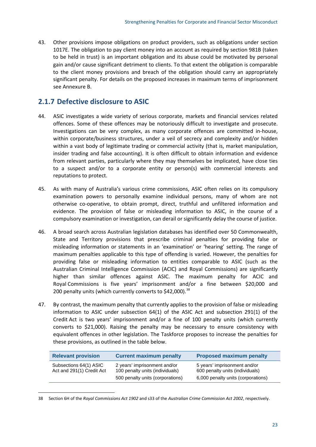43. Other provisions impose obligations on product providers, such as obligations under section 1017E. The obligation to pay client money into an account as required by section 981B (taken to be held in trust) is an important obligation and its abuse could be motivated by personal gain and/or cause significant detriment to clients. To that extent the obligation is comparable to the client money provisions and breach of the obligation should carry an appropriately significant penalty. For details on the proposed increases in maximum terms of imprisonment see Annexure B.

## **2.1.7 Defective disclosure to ASIC**

- 44. ASIC investigates a wide variety of serious corporate, markets and financial services related offences. Some of these offences may be notoriously difficult to investigate and prosecute. Investigations can be very complex, as many corporate offences are committed in-house, within corporate/business structures, under a veil of secrecy and complexity and/or hidden within a vast body of legitimate trading or commercial activity (that is, market manipulation, insider trading and false accounting). It is often difficult to obtain information and evidence from relevant parties, particularly where they may themselves be implicated, have close ties to a suspect and/or to a corporate entity or person(s) with commercial interests and reputations to protect.
- 45. As with many of Australia's various crime commissions, ASIC often relies on its compulsory examination powers to personally examine individual persons, many of whom are not otherwise co-operative, to obtain prompt, direct, truthful and unfiltered information and evidence. The provision of false or misleading information to ASIC, in the course of a compulsory examination or investigation, can derail or significantly delay the course of justice.
- 46. A broad search across Australian legislation databases has identified over 50 Commonwealth, State and Territory provisions that prescribe criminal penalties for providing false or misleading information or statements in an 'examination' or 'hearing' setting. The range of maximum penalties applicable to this type of offending is varied. However, the penalties for providing false or misleading information to entities comparable to ASIC (such as the Australian Criminal Intelligence Commission (ACIC) and Royal Commissions) are significantly higher than similar offences against ASIC. The maximum penalty for ACIC and Royal Commissions is five years' imprisonment and/or a fine between \$20,000 and 200 penalty units (which currently converts to \$42,000).<sup>[38](#page-26-0)</sup>
- 47. By contrast, the maximum penalty that currently applies to the provision of false or misleading information to ASIC under subsection 64(1) of the ASIC Act and subsection 291(1) of the Credit Act is two years' imprisonment and/or a fine of 100 penalty units (which currently converts to \$21,000). Raising the penalty may be necessary to ensure consistency with equivalent offences in other legislation. The Taskforce proposes to increase the penalties for these provisions, as outlined in the table below.

| <b>Relevant provision</b>                           | <b>Current maximum penalty</b>                                  | <b>Proposed maximum penalty</b>                                 |
|-----------------------------------------------------|-----------------------------------------------------------------|-----------------------------------------------------------------|
| Subsections 64(1) ASIC<br>Act and 291(1) Credit Act | 2 years' imprisonment and/or<br>100 penalty units (individuals) | 5 years' imprisonment and/or<br>600 penalty units (individuals) |
|                                                     | 500 penalty units (corporations)                                | 6,000 penalty units (corporations)                              |

<span id="page-26-0"></span><sup>38</sup> Section 6H of the *Royal Commissions Act 1902* and s33 of the *Australian Crime Commission Act 2002*, respectively.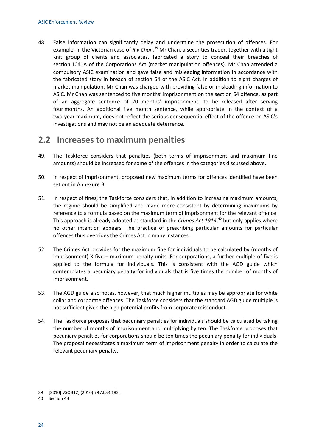48. False information can significantly delay and undermine the prosecution of offences. For example, in the Victorian case of *R v Chan,* [39](#page-27-1) Mr Chan, a securities trader, together with a tight knit group of clients and associates, fabricated a story to conceal their breaches of section 1041A of the Corporations Act (market manipulation offences). Mr Chan attended a compulsory ASIC examination and gave false and misleading information in accordance with the fabricated story in breach of section 64 of the ASIC Act. In addition to eight charges of market manipulation, Mr Chan was charged with providing false or misleading information to ASIC. Mr Chan was sentenced to five months' imprisonment on the section 64 offence, as part of an aggregate sentence of 20 months' imprisonment, to be released after serving four months. An additional five month sentence, while appropriate in the context of a two-year maximum, does not reflect the serious consequential effect of the offence on ASIC's investigations and may not be an adequate deterrence.

## <span id="page-27-0"></span>**2.2 Increases to maximum penalties**

- 49. The Taskforce considers that penalties (both terms of imprisonment and maximum fine amounts) should be increased for some of the offences in the categories discussed above.
- 50. In respect of imprisonment, proposed new maximum terms for offences identified have been set out in Annexure B.
- 51. In respect of fines, the Taskforce considers that, in addition to increasing maximum amounts, the regime should be simplified and made more consistent by determining maximums by reference to a formula based on the maximum term of imprisonment for the relevant offence. This approach is already adopted as standard in the *Crimes Act 1914*, [40](#page-27-2) but only applies where no other intention appears. The practice of prescribing particular amounts for particular offences thus overrides the Crimes Act in many instances.
- 52. The Crimes Act provides for the maximum fine for individuals to be calculated by (months of imprisonment) X five = maximum penalty units. For corporations, a further multiple of five is applied to the formula for individuals. This is consistent with the AGD guide which contemplates a pecuniary penalty for individuals that is five times the number of months of imprisonment.
- 53. The AGD guide also notes, however, that much higher multiples may be appropriate for white collar and corporate offences. The Taskforce considers that the standard AGD guide multiple is not sufficient given the high potential profits from corporate misconduct.
- 54. The Taskforce proposes that pecuniary penalties for individuals should be calculated by taking the number of months of imprisonment and multiplying by ten. The Taskforce proposes that pecuniary penalties for corporations should be ten times the pecuniary penalty for individuals. The proposal necessitates a maximum term of imprisonment penalty in order to calculate the relevant pecuniary penalty.

<span id="page-27-1"></span><sup>39</sup> [2010] VSC 312; (2010) 79 ACSR 183.

<span id="page-27-2"></span><sup>40</sup> Section 4B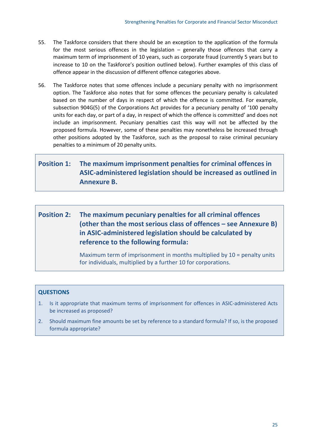- 55. The Taskforce considers that there should be an exception to the application of the formula for the most serious offences in the legislation – generally those offences that carry a maximum term of imprisonment of 10 years, such as corporate fraud (currently 5 years but to increase to 10 on the Taskforce's position outlined below). Further examples of this class of offence appear in the discussion of different offence categories above.
- 56. The Taskforce notes that some offences include a pecuniary penalty with no imprisonment option. The Taskforce also notes that for some offences the pecuniary penalty is calculated based on the number of days in respect of which the offence is committed. For example, subsection 904G(5) of the Corporations Act provides for a pecuniary penalty of '100 penalty units for each day, or part of a day, in respect of which the offence is committed' and does not include an imprisonment. Pecuniary penalties cast this way will not be affected by the proposed formula. However, some of these penalties may nonetheless be increased through other positions adopted by the Taskforce, such as the proposal to raise criminal pecuniary penalties to a minimum of 20 penalty units.

## **Position 1: The maximum imprisonment penalties for criminal offences in ASIC-administered legislation should be increased as outlined in Annexure B.**

## **Position 2: The maximum pecuniary penalties for all criminal offences (other than the most serious class of offences – see Annexure B) in ASIC-administered legislation should be calculated by reference to the following formula:**

Maximum term of imprisonment in months multiplied by 10 = penalty units for individuals, multiplied by a further 10 for corporations.

#### **QUESTIONS**

- 1. Is it appropriate that maximum terms of imprisonment for offences in ASIC-administered Acts be increased as proposed?
- 2. Should maximum fine amounts be set by reference to a standard formula? If so, is the proposed formula appropriate?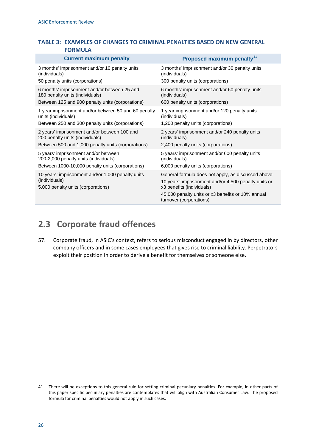#### **TABLE 3: EXAMPLES OF CHANGES TO CRIMINAL PENALTIES BASED ON NEW GENERAL FORMULA**

| <b>Current maximum penalty</b>                                                                                                      | Proposed maximum penalty <sup>41</sup>                                                                                                                                                                                  |
|-------------------------------------------------------------------------------------------------------------------------------------|-------------------------------------------------------------------------------------------------------------------------------------------------------------------------------------------------------------------------|
| 3 months' imprisonment and/or 10 penalty units<br>(individuals)                                                                     | 3 months' imprisonment and/or 30 penalty units<br>(individuals)                                                                                                                                                         |
| 50 penalty units (corporations)                                                                                                     | 300 penalty units (corporations)                                                                                                                                                                                        |
| 6 months' imprisonment and/or between 25 and<br>180 penalty units (individuals)<br>Between 125 and 900 penalty units (corporations) | 6 months' imprisonment and/or 60 penalty units<br>(individuals)<br>600 penalty units (corporations)                                                                                                                     |
| 1 year imprisonment and/or between 50 and 60 penalty                                                                                | 1 year imprisonment and/or 120 penalty units                                                                                                                                                                            |
| units (individuals)                                                                                                                 | (individuals)                                                                                                                                                                                                           |
| Between 250 and 300 penalty units (corporations)                                                                                    | 1,200 penalty units (corporations)                                                                                                                                                                                      |
| 2 years' imprisonment and/or between 100 and<br>200 penalty units (individuals)                                                     | 2 years' imprisonment and/or 240 penalty units<br>(individuals)                                                                                                                                                         |
| Between 500 and 1,000 penalty units (corporations)                                                                                  | 2,400 penalty units (corporations)                                                                                                                                                                                      |
| 5 years' imprisonment and/or between<br>200-2,000 penalty units (individuals)                                                       | 5 years' imprisonment and/or 600 penalty units<br>(individuals)                                                                                                                                                         |
| Between 1000-10,000 penalty units (corporations)                                                                                    | 6,000 penalty units (corporations)                                                                                                                                                                                      |
| 10 years' imprisonment and/or 1,000 penalty units<br>(individuals)<br>5,000 penalty units (corporations)                            | General formula does not apply, as discussed above<br>10 years' imprisonment and/or 4,500 penalty units or<br>x3 benefits (individuals)<br>45,000 penalty units or x3 benefits or 10% annual<br>turnover (corporations) |

## <span id="page-29-0"></span>**2.3 Corporate fraud offences**

57. Corporate fraud, in ASIC's context, refers to serious misconduct engaged in by directors, other company officers and in some cases employees that gives rise to criminal liability. Perpetrators exploit their position in order to derive a benefit for themselves or someone else.

<span id="page-29-1"></span><sup>41</sup> There will be exceptions to this general rule for setting criminal pecuniary penalties. For example, in other parts of this paper specific pecuniary penalties are contemplates that will align with Australian Consumer Law. The proposed formula for criminal penalties would not apply in such cases.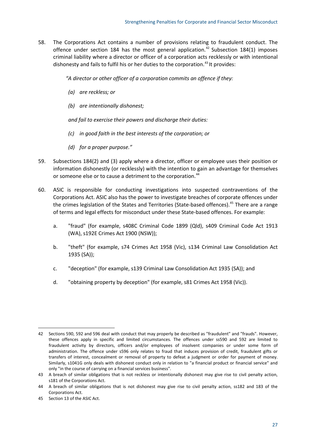58. The Corporations Act contains a number of provisions relating to fraudulent conduct. The offence under section 184 has the most general application.<sup>[42](#page-30-0)</sup> Subsection 184(1) imposes criminal liability where a director or officer of a corporation acts recklessly or with intentional dishonesty and fails to fulfil his or her duties to the corporation.<sup>[43](#page-30-1)</sup> It provides:

*"A director or other officer of a corporation commits an offence if they:*

- *(a) are reckless; or*
- *(b) are intentionally dishonest;*

*and fail to exercise their powers and discharge their duties:*

- *(c) in good faith in the best interests of the corporation; or*
- *(d) for a proper purpose."*
- 59. Subsections 184(2) and (3) apply where a director, officer or employee uses their position or information dishonestly (or recklessly) with the intention to gain an advantage for themselves or someone else or to cause a detriment to the corporation.<sup>[44](#page-30-2)</sup>
- 60. ASIC is responsible for conducting investigations into suspected contraventions of the Corporations Act. ASIC also has the power to investigate breaches of corporate offences under the crimes legislation of the States and Territories (State-based offences).<sup>[45](#page-30-3)</sup> There are a range of terms and legal effects for misconduct under these State-based offences. For example:
	- a. "fraud" (for example, s408C Criminal Code 1899 (Qld), s409 Criminal Code Act 1913 (WA), s192E Crimes Act 1900 (NSW));
	- b. "theft" (for example, s74 Crimes Act 1958 (Vic), s134 Criminal Law Consolidation Act 1935 (SA));
	- c. "deception" (for example, s139 Criminal Law Consolidation Act 1935 (SA)); and
	- d. "obtaining property by deception" (for example, s81 Crimes Act 1958 (Vic)).

<span id="page-30-0"></span>**<sup>.</sup>** 42 Sections 590, 592 and 596 deal with conduct that may properly be described as "fraudulent" and "frauds". However, these offences apply in specific and limited circumstances. The offences under ss590 and 592 are limited to fraudulent activity by directors, officers and/or employees of insolvent companies or under some form of administration. The offence under s596 only relates to fraud that induces provision of credit, fraudulent gifts or transfers of interest, concealment or removal of property to defeat a judgment or order for payment of money. Similarly, s1041G only deals with dishonest conduct only in relation to "a financial product or financial service" and only "in the course of carrying on a financial services business".

<span id="page-30-1"></span><sup>43</sup> A breach of similar obligations that is not reckless or intentionally dishonest may give rise to civil penalty action, s181 of the Corporations Act.

<span id="page-30-2"></span><sup>44</sup> A breach of similar obligations that is not dishonest may give rise to civil penalty action, ss182 and 183 of the Corporations Act.

<span id="page-30-3"></span><sup>45</sup> Section 13 of the ASIC Act.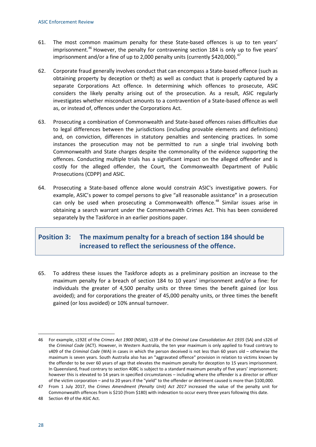- 61. The most common maximum penalty for these State-based offences is up to ten years' imprisonment.<sup>[46](#page-31-0)</sup> However, the penalty for contravening section 184 is only up to five years' imprisonment and/or a fine of up to 2,000 penalty units (currently \$420,000).<sup>[47](#page-31-1)</sup>
- 62. Corporate fraud generally involves conduct that can encompass a State-based offence (such as obtaining property by deception or theft) as well as conduct that is properly captured by a separate Corporations Act offence. In determining which offences to prosecute, ASIC considers the likely penalty arising out of the prosecution. As a result, ASIC regularly investigates whether misconduct amounts to a contravention of a State-based offence as well as, or instead of, offences under the Corporations Act.
- 63. Prosecuting a combination of Commonwealth and State-based offences raises difficulties due to legal differences between the jurisdictions (including provable elements and definitions) and, on conviction, differences in statutory penalties and sentencing practices. In some instances the prosecution may not be permitted to run a single trial involving both Commonwealth and State charges despite the commonality of the evidence supporting the offences. Conducting multiple trials has a significant impact on the alleged offender and is costly for the alleged offender, the Court, the Commonwealth Department of Public Prosecutions (CDPP) and ASIC.
- 64. Prosecuting a State-based offence alone would constrain ASIC's investigative powers. For example, ASIC's power to compel persons to give "all reasonable assistance" in a prosecution can only be used when prosecuting a Commonwealth offence.<sup>[48](#page-31-2)</sup> Similar issues arise in obtaining a search warrant under the Commonwealth Crimes Act. This has been considered separately by the Taskforce in an earlier positions paper.

### **Position 3: The maximum penalty for a breach of section 184 should be increased to reflect the seriousness of the offence.**

65. To address these issues the Taskforce adopts as a preliminary position an increase to the maximum penalty for a breach of section 184 to 10 years' imprisonment and/or a fine: for individuals the greater of 4,500 penalty units or three times the benefit gained (or loss avoided); and for corporations the greater of 45,000 penalty units, or three times the benefit gained (or loss avoided) or 10% annual turnover.

<span id="page-31-0"></span> $\overline{a}$ 46 For example, s192E of the *Crimes Act 1900* (NSW), s139 of the *Criminal Law Consolidation Act 1935* (SA) and s326 of the *Criminal Code* (ACT). However, in Western Australia, the ten year maximum is only applied to fraud contrary to s409 of the *Criminal Code* (WA) in cases in which the person deceived is not less than 60 years old – otherwise the maximum is seven years. South Australia also has an "aggravated offence" provision in relation to victims known by the offender to be over 60 years of age that elevates the maximum penalty for deception to 15 years imprisonment. In Queensland, fraud contrary to section 408C is subject to a standard maximum penalty of five years' imprisonment; however this is elevated to 14 years in specified circumstances – including where the offender is a director or officer of the victim corporation – and to 20 years if the "yield" to the offender or detriment caused is more than \$100,000.

<span id="page-31-1"></span><sup>47</sup> From 1 July 2017, the *Crimes Amendment (Penalty Unit) Act 2017* increased the value of the penalty unit for Commonwealth offences from is \$210 (from \$180) with indexation to occur every three years following this date.

<span id="page-31-2"></span><sup>48</sup> Section 49 of the ASIC Act.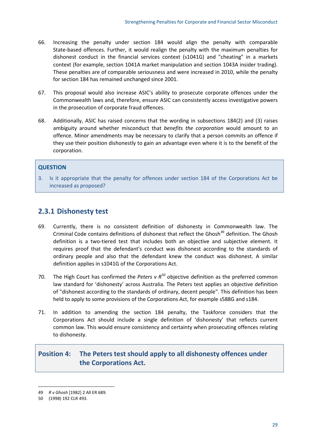- 66. Increasing the penalty under section 184 would align the penalty with comparable State-based offences. Further, it would realign the penalty with the maximum penalties for dishonest conduct in the financial services context (s1041G) and "cheating" in a markets context (for example, section 1041A market manipulation and section 1043A insider trading). These penalties are of comparable seriousness and were increased in 2010, while the penalty for section 184 has remained unchanged since 2001.
- 67. This proposal would also increase ASIC's ability to prosecute corporate offences under the Commonwealth laws and, therefore, ensure ASIC can consistently access investigative powers in the prosecution of corporate fraud offences.
- 68. Additionally, ASIC has raised concerns that the wording in subsections 184(2) and (3) raises ambiguity around whether misconduct that *benefits the corporation* would amount to an offence. Minor amendments may be necessary to clarify that a person commits an offence if they use their position dishonestly to gain an advantage even where it is to the benefit of the corporation.

#### **QUESTION**

3. Is it appropriate that the penalty for offences under section 184 of the Corporations Act be increased as proposed?

#### **2.3.1 Dishonesty test**

- 69. Currently, there is no consistent definition of dishonesty in Commonwealth law. The Criminal Code contains definitions of dishonest that reflect the Ghosh<sup>[49](#page-32-0)</sup> definition. The Ghosh definition is a two-tiered test that includes both an objective and subjective element. It requires proof that the defendant's conduct was dishonest according to the standards of ordinary people and also that the defendant knew the conduct was dishonest. A similar definition applies in s1041G of the Corporations Act.
- 70. The High Court has confirmed the *Peters v R*<sup>[50](#page-32-1)</sup> objective definition as the preferred common law standard for 'dishonesty' across Australia. The Peters test applies an objective definition of "dishonest according to the standards of ordinary, decent people". This definition has been held to apply to some provisions of the Corporations Act, for example s588G and s184.
- 71. In addition to amending the section 184 penalty, the Taskforce considers that the Corporations Act should include a single definition of 'dishonesty' that reflects current common law. This would ensure consistency and certainty when prosecuting offences relating to dishonesty.

### **Position 4: The Peters test should apply to all dishonesty offences under the Corporations Act.**

<span id="page-32-0"></span><sup>49</sup> *R v Ghosh* [\[1982\] 2 All ER 689.](https://www.lexisnexis.com/au/legal/search/enhRunRemoteLink.do?A=0.3640551656509934&service=citation&langcountry=AU&backKey=20_T26344924094&linkInfo=F%23AU%23All+ER%23vol%252%25sel1%251982%25page%25689%25year%251982%25sel2%252%25&ersKey=23_T26344924092)

<span id="page-32-1"></span><sup>50</sup> (1998) 192 CLR 493.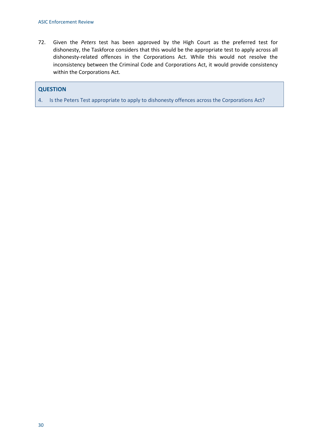72. Given the *Peters* test has been approved by the High Court as the preferred test for dishonesty, the Taskforce considers that this would be the appropriate test to apply across all dishonesty-related offences in the Corporations Act. While this would not resolve the inconsistency between the Criminal Code and Corporations Act, it would provide consistency within the Corporations Act.

#### **QUESTION**

4. Is the Peters Test appropriate to apply to dishonesty offences across the Corporations Act?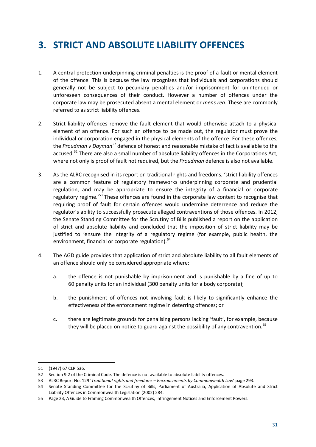## <span id="page-34-0"></span>**3. STRICT AND ABSOLUTE LIABILITY OFFENCES**

- 1. A central protection underpinning criminal penalties is the proof of a fault or mental element of the offence. This is because the law recognises that individuals and corporations should generally not be subject to pecuniary penalties and/or imprisonment for unintended or unforeseen consequences of their conduct. However a number of offences under the corporate law may be prosecuted absent a mental element or *mens rea*. These are commonly referred to as strict liability offences.
- 2. Strict liability offences remove the fault element that would otherwise attach to a physical element of an offence. For such an offence to be made out, the regulator must prove the individual or corporation engaged in the physical elements of the offence. For these offences, the *Proudman v Dayman[51](#page-34-1)* defence of honest and reasonable mistake of fact is available to the accused.<sup>[52](#page-34-2)</sup> There are also a small number of absolute liability offences in the Corporations Act, where not only is proof of fault not required, but the *Proudman* defence is also not available.
- 3. As the ALRC recognised in its report on traditional rights and freedoms, 'strict liability offences are a common feature of regulatory frameworks underpinning corporate and prudential regulation, and may be appropriate to ensure the integrity of a financial or corporate regulatory regime.<sup>'[53](#page-34-3)</sup> These offences are found in the corporate law context to recognise that requiring proof of fault for certain offences would undermine deterrence and reduce the regulator's ability to successfully prosecute alleged contraventions of those offences. In 2012, the Senate Standing Committee for the Scrutiny of Bills published a report on the application of strict and absolute liability and concluded that the imposition of strict liability may be justified to 'ensure the integrity of a regulatory regime (for example, public health, the environment, financial or corporate regulation).<sup>[54](#page-34-4)</sup>
- 4. The AGD guide provides that application of strict and absolute liability to all fault elements of an offence should only be considered appropriate where:
	- a. the offence is not punishable by imprisonment and is punishable by a fine of up to 60 penalty units for an individual (300 penalty units for a body corporate);
	- b. the punishment of offences not involving fault is likely to significantly enhance the effectiveness of the enforcement regime in deterring offences; or
	- c. there are legitimate grounds for penalising persons lacking 'fault', for example, because they will be placed on notice to guard against the possibility of any contravention.<sup>[55](#page-34-5)</sup>

<span id="page-34-1"></span><sup>51</sup> (1947) 67 CLR 536.

<span id="page-34-2"></span><sup>52</sup> Section 9.2 of the Criminal Code. The defence is not available to absolute liability offences.

<span id="page-34-3"></span><sup>53</sup> ALRC Report No. 129 '*Traditional rights and freedoms – Encroachments by Commonwealth Law*' page 293.

<span id="page-34-4"></span><sup>54</sup> Senate Standing Committee for the Scrutiny of Bills, Parliament of Australia, Application of Absolute and Strict Liability Offences in Commonwealth Legislation (2002) 284.

<span id="page-34-5"></span><sup>55</sup> Page 23, A Guide to Framing Commonwealth Offences, Infringement Notices and Enforcement Powers.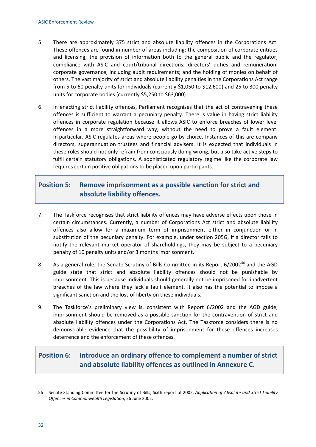- 5. There are approximately 375 strict and absolute liability offences in the Corporations Act. These offences are found in number of areas including: the composition of corporate entities and licensing; the provision of information both to the general public and the regulator; compliance with ASIC and court/tribunal directions; directors' duties and remuneration; corporate governance, including audit requirements; and the holding of monies on behalf of others. The vast majority of strict and absolute liability penalties in the Corporations Act range from 5 to 60 penalty units for individuals (currently \$1,050 to \$12,600) and 25 to 300 penalty units for corporate bodies (currently \$5,250 to \$63,000).
- 6. In enacting strict liability offences, Parliament recognises that the act of contravening these offences is sufficient to warrant a pecuniary penalty. There is value in having strict liability offences in corporate regulation because it allows ASIC to enforce breaches of lower level offences in a more straightforward way, without the need to prove a fault element. In particular, ASIC regulates areas where people go by choice. Instances of this are company directors, superannuation trustees and financial advisers. It is expected that individuals in these roles should not only refrain from consciously doing wrong, but also take active steps to fulfil certain statutory obligations. A sophisticated regulatory regime like the corporate law requires certain positive obligations to be placed upon participants.

### **Position 5: Remove imprisonment as a possible sanction for strict and absolute liability offences.**

- 7. The Taskforce recognises that strict liability offences may have adverse effects upon those in certain circumstances. Currently, a number of Corporations Act strict and absolute liability offences also allow for a maximum term of imprisonment either in conjunction or in substitution of the pecuniary penalty. For example, under section 205G, if a director fails to notify the relevant market operator of shareholdings, they may be subject to a pecuniary penalty of 10 penalty units and/or 3 months imprisonment.
- 8. As a general rule, the Senate Scrutiny of Bills Committee in its Report 6/2002<sup>[56](#page-35-0)</sup> and the AGD guide state that strict and absolute liability offences should not be punishable by imprisonment. This is because individuals should generally not be imprisoned for inadvertent breaches of the law where they lack a fault element. It also has the potential to impose a significant sanction and the loss of liberty on these individuals.
- 9. The Taskforce's preliminary view is, consistent with Report 6/2002 and the AGD guide, imprisonment should be removed as a possible sanction for the contravention of strict and absolute liability offences under the Corporations Act. The Taskforce considers there is no demonstrable evidence that the possibility of imprisonment for these offences increases deterrence and the enforcement of these offences.

## **Position 6: Introduce an ordinary offence to complement a number of strict and absolute liability offences as outlined in Annexure C.**

<span id="page-35-0"></span> $\overline{a}$ 56 Senate Standing Committee for the Scrutiny of Bills, Sixth report of 2002, *Application of Absolute and Strict Liability Offences in Commonwealth Legislation*, 26 June 2002.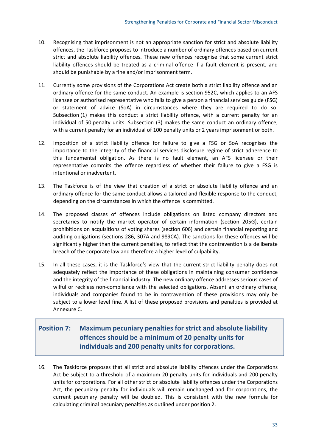- 10. Recognising that imprisonment is not an appropriate sanction for strict and absolute liability offences, the Taskforce proposes to introduce a number of ordinary offences based on current strict and absolute liability offences. These new offences recognise that some current strict liability offences should be treated as a criminal offence if a fault element is present, and should be punishable by a fine and/or imprisonment term.
- 11. Currently some provisions of the Corporations Act create both a strict liability offence and an ordinary offence for the same conduct. An example is section 952C, which applies to an AFS licensee or authorised representative who fails to give a person a financial services guide (FSG) or statement of advice (SoA) in circumstances where they are required to do so. Subsection (1) makes this conduct a strict liability offence, with a current penalty for an individual of 50 penalty units. Subsection (3) makes the same conduct an ordinary offence, with a current penalty for an individual of 100 penalty units or 2 years imprisonment or both.
- 12. Imposition of a strict liability offence for failure to give a FSG or SoA recognises the importance to the integrity of the financial services disclosure regime of strict adherence to this fundamental obligation. As there is no fault element, an AFS licensee or their representative commits the offence regardless of whether their failure to give a FSG is intentional or inadvertent.
- 13. The Taskforce is of the view that creation of a strict or absolute liability offence and an ordinary offence for the same conduct allows a tailored and flexible response to the conduct, depending on the circumstances in which the offence is committed.
- 14. The proposed classes of offences include obligations on listed company directors and secretaries to notify the market operator of certain information (section 205G), certain prohibitions on acquisitions of voting shares (section 606) and certain financial reporting and auditing obligations (sections 286, 307A and 989CA). The sanctions for these offences will be significantly higher than the current penalties, to reflect that the contravention is a deliberate breach of the corporate law and therefore a higher level of culpability.
- 15. In all these cases, it is the Taskforce's view that the current strict liability penalty does not adequately reflect the importance of these obligations in maintaining consumer confidence and the integrity of the financial industry. The new ordinary offence addresses serious cases of wilful or reckless non-compliance with the selected obligations. Absent an ordinary offence, individuals and companies found to be in contravention of these provisions may only be subject to a lower level fine. A list of these proposed provisions and penalties is provided at Annexure C.

### **Position 7: Maximum pecuniary penalties for strict and absolute liability offences should be a minimum of 20 penalty units for individuals and 200 penalty units for corporations.**

16. The Taskforce proposes that all strict and absolute liability offences under the Corporations Act be subject to a threshold of a maximum 20 penalty units for individuals and 200 penalty units for corporations. For all other strict or absolute liability offences under the Corporations Act, the pecuniary penalty for individuals will remain unchanged and for corporations, the current pecuniary penalty will be doubled. This is consistent with the new formula for calculating criminal pecuniary penalties as outlined under position 2.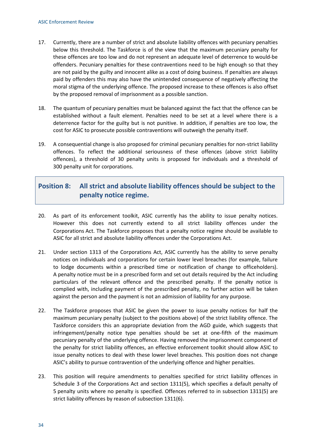- 17. Currently, there are a number of strict and absolute liability offences with pecuniary penalties below this threshold. The Taskforce is of the view that the maximum pecuniary penalty for these offences are too low and do not represent an adequate level of deterrence to would-be offenders. Pecuniary penalties for these contraventions need to be high enough so that they are not paid by the guilty and innocent alike as a cost of doing business. If penalties are always paid by offenders this may also have the unintended consequence of negatively affecting the moral stigma of the underlying offence. The proposed increase to these offences is also offset by the proposed removal of imprisonment as a possible sanction.
- 18. The quantum of pecuniary penalties must be balanced against the fact that the offence can be established without a fault element. Penalties need to be set at a level where there is a deterrence factor for the guilty but is not punitive. In addition, if penalties are too low, the cost for ASIC to prosecute possible contraventions will outweigh the penalty itself.
- 19. A consequential change is also proposed for criminal pecuniary penalties for non-strict liability offences. To reflect the additional seriousness of these offences (above strict liability offences), a threshold of 30 penalty units is proposed for individuals and a threshold of 300 penalty unit for corporations.

### **Position 8: All strict and absolute liability offences should be subject to the penalty notice regime.**

- 20. As part of its enforcement toolkit, ASIC currently has the ability to issue penalty notices. However this does not currently extend to all strict liability offences under the Corporations Act. The Taskforce proposes that a penalty notice regime should be available to ASIC for all strict and absolute liability offences under the Corporations Act.
- 21. Under section 1313 of the Corporations Act, ASIC currently has the ability to serve penalty notices on individuals and corporations for certain lower level breaches (for example, failure to lodge documents within a prescribed time or notification of change to officeholders). A penalty notice must be in a prescribed form and set out details required by the Act including particulars of the relevant offence and the prescribed penalty. If the penalty notice is complied with, including payment of the prescribed penalty, no further action will be taken against the person and the payment is not an admission of liability for any purpose.
- 22. The Taskforce proposes that ASIC be given the power to issue penalty notices for half the maximum pecuniary penalty (subject to the positions above) of the strict liability offence. The Taskforce considers this an appropriate deviation from the AGD guide, which suggests that infringement/penalty notice type penalties should be set at one-fifth of the maximum pecuniary penalty of the underlying offence. Having removed the imprisonment component of the penalty for strict liability offences, an effective enforcement toolkit should allow ASIC to issue penalty notices to deal with these lower level breaches. This position does not change ASIC's ability to pursue contravention of the underlying offence and higher penalties.
- 23. This position will require amendments to penalties specified for strict liability offences in Schedule 3 of the Corporations Act and section 1311(5), which specifies a default penalty of 5 penalty units where no penalty is specified. Offences referred to in subsection 1311(5) are strict liability offences by reason of subsection 1311(6).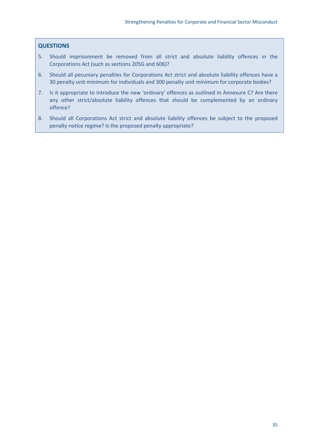#### **QUESTIONS**

- 5. Should imprisonment be removed from all strict and absolute liability offences in the Corporations Act (such as sections 205G and 606)?
- 6. Should all pecuniary penalties for Corporations Act strict and absolute liability offences have a 30 penalty unit minimum for individuals and 300 penalty unit minimum for corporate bodies?
- 7. Is it appropriate to introduce the new 'ordinary' offences as outlined in Annexure C? Are there any other strict/absolute liability offences that should be complemented by an ordinary offence?
- 8. Should all Corporations Act strict and absolute liability offences be subject to the proposed penalty notice regime? Is the proposed penalty appropriate?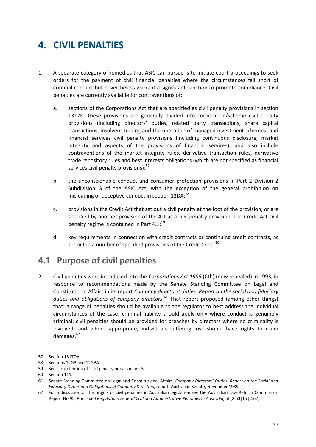# **4. CIVIL PENALTIES**

- 1. A separate category of remedies that ASIC can pursue is to initiate court proceedings to seek orders for the payment of civil financial penalties where the circumstances fall short of criminal conduct but nevertheless warrant a significant sanction to promote compliance. Civil penalties are currently available for contraventions of:
	- a. sections of the Corporations Act that are specified as civil penalty provisions in section 1317E. These provisions are generally divided into corporation/scheme civil penalty provisions (including directors' duties, related party transactions, share capital transactions, insolvent trading and the operation of managed investment schemes) and financial services civil penalty provisions (including continuous disclosure, market integrity and aspects of the provisions of financial services), and also include contraventions of the market integrity rules, derivative transaction rules, derivative trade repository rules and best interests obligations (which are not specified as financial services civil penalty provisions);<sup>[57](#page-40-0)</sup>
	- b. the unconscionable conduct and consumer protection provisions in Part 2 Division 2 Subdivision G of the ASIC Act, with the exception of the general prohibition on misleading or deceptive conduct in section 12DA;<sup>[58](#page-40-1)</sup>
	- c. provisions in the Credit Act that set out a civil penalty at the foot of the provision, or are specified by another provision of the Act as a civil penalty provision. The Credit Act civil penalty regime is contained in Part 4.1;<sup>[59](#page-40-2)</sup>
	- d. key requirements in connection with credit contracts or continuing credit contracts, as set out in a number of specified provisions of the Credit Code.<sup>[60](#page-40-3)</sup>

## **4.1 Purpose of civil penalties**

2. Civil penalties were introduced into the *Corporations Act 1989* (Cth) (now repealed) in 1993, in response to recommendations made by the Senate Standing Committee on Legal and Constitutional Affairs in its report *[Company directors' duties: Report on the social and fiduciary](http://asic.gov.au/about-asic/asic-investigations-and-enforcement/asic-s-approach-to-enforcement/)  [duties and obligations of company directors.](http://asic.gov.au/about-asic/asic-investigations-and-enforcement/asic-s-approach-to-enforcement/)* [61](#page-40-4) That report proposed (among other things) that: a range of penalties should be available to the regulator to best address the individual circumstances of the case; criminal liability should apply only where conduct is genuinely criminal; civil penalties should be provided for breaches by directors where no criminality is involved; and where appropriate, individuals suffering loss should have rights to claim damages.<sup>[62](#page-40-5)</sup>

<span id="page-40-0"></span><sup>57</sup> Section 1317DA.

<span id="page-40-1"></span><sup>58</sup> Sections 12GB and 12GBA.

<span id="page-40-2"></span><sup>59</sup> See the definition of 'civil penalty provision' in s5.

<span id="page-40-3"></span><sup>60</sup> Section 111.

<span id="page-40-4"></span><sup>61</sup> Senate Standing Committee on Legal and Constitutional Affairs, *Company Directors' Duties: Report on the Social and Fiduciary Duties and Obligations of Company Directors*, report, Australian Senate, November 1989.

<span id="page-40-5"></span><sup>62</sup> For a discussion of the origins of civil penalties in Australian legislation see the Australian Law Reform Commission Report No 95, Principled Regulation: Federal Civil and Administrative Penalties in Australia, at [2.53] to [2.62].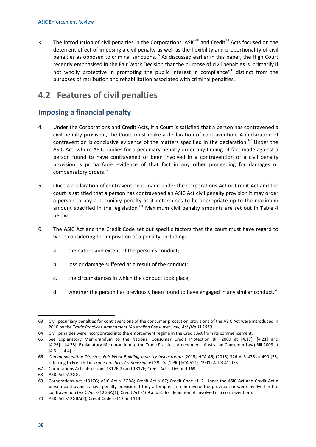3. The introduction of civil penalties in the Corporations, ASIC<sup>[63](#page-41-0)</sup> and Credit<sup>[64](#page-41-1)</sup> Acts focused on the deterrent effect of imposing a civil penalty as well as the flexibility and proportionality of civil penalties as opposed to criminal sanctions.<sup>[65](#page-41-2)</sup> As discussed earlier in this paper, the High Court recently emphasised in the Fair Work Decision that the purpose of civil penalties is 'primarily if not wholly protective in promoting the public interest in compliance<sup>1[66](#page-41-3)</sup> distinct from the purposes of retribution and rehabilitation associated with criminal penalties.

## **4.2 Features of civil penalties**

### **Imposing a financial penalty**

- 4. Under the Corporations and Credit Acts, if a Court is satisfied that a person has contravened a civil penalty provision, the Court must make a declaration of contravention. A declaration of contravention is conclusive evidence of the matters specified in the declaration.<sup>[67](#page-41-4)</sup> Under the ASIC Act, where ASIC applies for a pecuniary penalty order any finding of fact made against a person found to have contravened or been involved in a contravention of a civil penalty provision is prima facie evidence of that fact in any other proceeding for damages or compensatory orders.<sup>[68](#page-41-5)</sup>
- 5. Once a declaration of contravention is made under the Corporations Act or Credit Act and the court is satisfied that a person has contravened an ASIC Act civil penalty provision it may order a person to pay a pecuniary penalty as it determines to be appropriate up to the maximum amount specified in the legislation. $^{69}$  $^{69}$  $^{69}$  Maximum civil penalty amounts are set out in Table 4 below.
- 6. The ASIC Act and the Credit Code set out specific factors that the court must have regard to when considering the imposition of a penalty, including:
	- a. the nature and extent of the person's conduct;
	- b. loss or damage suffered as a result of the conduct;
	- c. the circumstances in which the conduct took place;
	- d. whether the person has previously been found to have engaged in any similar conduct.<sup>[70](#page-41-7)</sup>

<span id="page-41-0"></span><sup>63</sup> Civil pecuniary penalties for contraventions of the consumer protection provisions of the ASIC Act were introduced in 2010 by the *Trade Practices Amendment (Australian Consumer Law) Act (No 1) 2010*.

<span id="page-41-1"></span><sup>64</sup> Civil penalties were incorporated into the enforcement regime in the Credit Act from its commencement.

<span id="page-41-2"></span><sup>65</sup> See Explanatory Memorandum to the National Consumer Credit Protection Bill 2009 at [4.17], [4.21] and [4.26] – [4.28]; Explanatory Memorandum to the Trade Practices Amendment (Australian Consumer Law) Bill 2009 at  $[4.3] - [4.4]$ .

<span id="page-41-3"></span><sup>66</sup> *Commonwealth v Director, Fair Work Building Industry Inspectorate* [2015] HCA 46; (2015) 326 ALR 476 at 490 [55] referring to French J in *Trade Practices Commission v CSR Ltd* [1990] FCA 521; (1991) ATPR 41-076.

<span id="page-41-4"></span><sup>67</sup> Corporations Act subsections 1317E(2) and 1317F; Credit Act ss166 and 169.

<span id="page-41-5"></span><sup>68</sup> ASIC Act s12GG.

<span id="page-41-6"></span><sup>69</sup> Corporations Act s1317G; ASIC Act s12GBA; Credit Act s167; Credit Code s112. Under the ASIC Act and Credit Act a person contravenes a civil penalty provision if they attempted to contravene the provision or were involved in the contravention (ASIC Act ss12GBA(1); Credit Act s169 and s5 for definition of 'involved in a contravention).

<span id="page-41-7"></span><sup>70</sup> ASIC Act s12GBA(2); Credit Code ss112 and 113.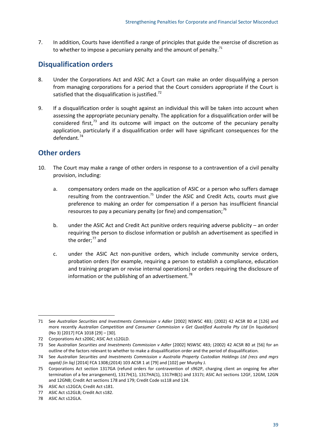7. In addition, Courts have identified a range of principles that guide the exercise of discretion as to whether to impose a pecuniary penalty and the amount of penalty. $71$ 

### **Disqualification orders**

- 8. Under the Corporations Act and ASIC Act a Court can make an order disqualifying a person from managing corporations for a period that the Court considers appropriate if the Court is satisfied that the disqualification is justified.<sup>[72](#page-42-1)</sup>
- 9. If a disqualification order is sought against an individual this will be taken into account when assessing the appropriate pecuniary penalty. The application for a disqualification order will be considered first,<sup>[73](#page-42-2)</sup> and its outcome will impact on the outcome of the pecuniary penalty application, particularly if a disqualification order will have significant consequences for the defendant.[74](#page-42-3)

### **Other orders**

- 10. The Court may make a range of other orders in response to a contravention of a civil penalty provision, including:
	- a. compensatory orders made on the application of ASIC or a person who suffers damage resulting from the contravention.<sup>[75](#page-42-4)</sup> Under the ASIC and Credit Acts, courts must give preference to making an order for compensation if a person has insufficient financial resources to pay a pecuniary penalty (or fine) and compensation;<sup>[76](#page-42-5)</sup>
	- b. under the ASIC Act and Credit Act punitive orders requiring adverse publicity an order requiring the person to disclose information or publish an advertisement as specified in the order;<sup>[77](#page-42-6)</sup> and
	- c. under the ASIC Act non-punitive orders, which include community service orders, probation orders (for example, requiring a person to establish a compliance, education and training program or revise internal operations) or orders requiring the disclosure of information or the publishing of an advertisement.<sup>[78](#page-42-7)</sup>

<span id="page-42-0"></span><sup>71</sup> See *Australian Securities and Investments Commission v Adler* [2002] NSWSC 483; (2002) 42 ACSR 80 at [126] and more recently *Australian Competition and Consumer Commission v Get Qualified Australia Pty Ltd* (in liquidation) (No 3) [2017] FCA 1018 [29] – [30].

<span id="page-42-1"></span><sup>72</sup> Corporations Act s206C; ASIC Act s12GLD.

<span id="page-42-2"></span><sup>73</sup> See *Australian Securities and Investments Commission v Adler* [2002] NSWSC 483; (2002) 42 ACSR 80 at [56] for an outline of the factors relevant to whether to make a disqualification order and the period of disqualification.

<span id="page-42-3"></span><sup>74</sup> See *Australian Securities and Investments Commission v Australia Property Custodian Holdings Ltd (recs and mgrs apptd) (in liq)* [2014] FCA 1308;(2014) 103 ACSR 1 at [79] and [102] per Murphy J.

<span id="page-42-4"></span><sup>75</sup> Corporations Act section 1317GA (refund orders for contravention of s962P, charging client an ongoing fee after termination of a fee arrangement), 1317H(1), 1317HA(1), 1317HB(1) and 1317J; ASIC Act sections 12GF, 12GM, 12GN and 12GNB; Credit Act sections 178 and 179; Credit Code ss118 and 124.

<span id="page-42-5"></span><sup>76</sup> ASIC Act s12GCA; Credit Act s181.

<span id="page-42-6"></span><sup>77</sup> ASIC Act s12GLB; Credit Act s182.

<span id="page-42-7"></span><sup>78</sup> ASIC Act s12GLA.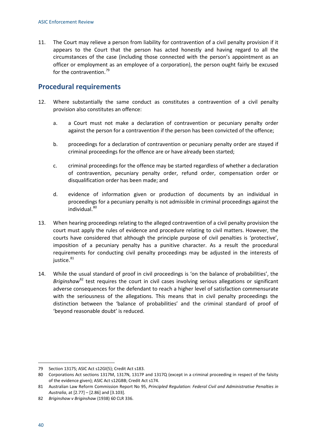11. The Court may relieve a person from liability for contravention of a civil penalty provision if it appears to the Court that the person has acted honestly and having regard to all the circumstances of the case (including those connected with the person's appointment as an officer or employment as an employee of a corporation), the person ought fairly be excused for the contravention.<sup>[79](#page-43-0)</sup>

### **Procedural requirements**

- 12. Where substantially the same conduct as constitutes a contravention of a civil penalty provision also constitutes an offence:
	- a. a Court must not make a declaration of contravention or pecuniary penalty order against the person for a contravention if the person has been convicted of the offence;
	- b. proceedings for a declaration of contravention or pecuniary penalty order are stayed if criminal proceedings for the offence are or have already been started;
	- c. criminal proceedings for the offence may be started regardless of whether a declaration of contravention, pecuniary penalty order, refund order, compensation order or disqualification order has been made; and
	- d. evidence of information given or production of documents by an individual in proceedings for a pecuniary penalty is not admissible in criminal proceedings against the individual.[80](#page-43-1)
- 13. When hearing proceedings relating to the alleged contravention of a civil penalty provision the court must apply the rules of evidence and procedure relating to civil matters. However, the courts have considered that although the principle purpose of civil penalties is 'protective', imposition of a pecuniary penalty has a punitive character. As a result the procedural requirements for conducting civil penalty proceedings may be adjusted in the interests of justice.<sup>[81](#page-43-2)</sup>
- 14. While the usual standard of proof in civil proceedings is 'on the balance of probabilities', the *Briginshaw*[82](#page-43-3) test requires the court in civil cases involving serious allegations or significant adverse consequences for the defendant to reach a higher level of satisfaction commensurate with the seriousness of the allegations. This means that in civil penalty proceedings the distinction between the 'balance of probabilities' and the criminal standard of proof of 'beyond reasonable doubt' is reduced.

<span id="page-43-0"></span><sup>79</sup> Section 1317S; ASIC Act s12GI(5); Credit Act s183.

<span id="page-43-1"></span><sup>80</sup> Corporations Act sections 1317M, 1317N, 1317P and 1317Q (except in a criminal proceeding in respect of the falsity of the evidence given); ASIC Act s12GBB; Credit Act s174.

<span id="page-43-2"></span><sup>81</sup> Australian Law Reform Commission Report No 95, *Principled Regulation: Federal Civil and Administrative Penalties in Australia*, at [2.77] – [2.86] and [3.103].

<span id="page-43-3"></span><sup>82</sup> *Briginshaw v Briginshaw* (1938) 60 CLR 336.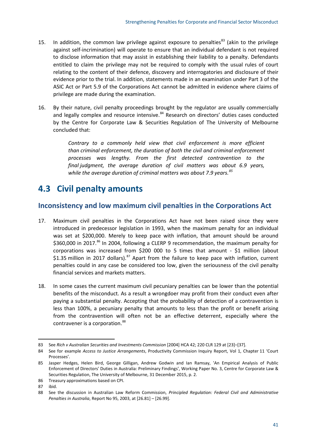- 15. In addition, the common law privilege against exposure to penalties<sup>[83](#page-44-0)</sup> (akin to the privilege against self-incrimination) will operate to ensure that an individual defendant is not required to disclose information that may assist in establishing their liability to a penalty. Defendants entitled to claim the privilege may not be required to comply with the usual rules of court relating to the content of their defence, discovery and interrogatories and disclosure of their evidence prior to the trial. In addition, statements made in an examination under Part 3 of the ASIC Act or Part 5.9 of the Corporations Act cannot be admitted in evidence where claims of privilege are made during the examination.
- 16. By their nature, civil penalty proceedings brought by the regulator are usually commercially and legally complex and resource intensive.<sup>[84](#page-44-1)</sup> Research on directors' duties cases conducted by the Centre for Corporate Law & Securities Regulation of The University of Melbourne concluded that:

*Contrary to a commonly held view that civil enforcement is more efficient than criminal enforcement, the duration of both the civil and criminal enforcement processes was lengthy. From the first detected contravention to the final judgment, the average duration of civil matters was about 6.9 years, while the average duration of criminal matters was about 7.9 years. [85](#page-44-2)*

## **4.3 Civil penalty amounts**

### **Inconsistency and low maximum civil penalties in the Corporations Act**

- 17. Maximum civil penalties in the Corporations Act have not been raised since they were introduced in predecessor legislation in 1993, when the maximum penalty for an individual was set at \$200,000. Merely to keep pace with inflation, that amount should be around \$360,000 in 2017.<sup>[86](#page-44-3)</sup> In 2004, following a CLERP 9 recommendation, the maximum penalty for corporations was increased from \$200 000 to 5 times that amount - \$1 million (about \$1.35 million in 2017 dollars).<sup>[87](#page-44-4)</sup> Apart from the failure to keep pace with inflation, current penalties could in any case be considered too low, given the seriousness of the civil penalty financial services and markets matters.
- 18. In some cases the current maximum civil pecuniary penalties can be lower than the potential benefits of the misconduct. As a result a wrongdoer may profit from their conduct even after paying a substantial penalty. Accepting that the probability of detection of a contravention is less than 100%, a pecuniary penalty that amounts to less than the profit or benefit arising from the contravention will often not be an effective deterrent, especially where the contravener is a corporation.<sup>[88](#page-44-5)</sup>

<span id="page-44-0"></span><sup>83</sup> See *Rich v Australian Securities and Investments Commission* [2004] HCA 42; 220 CLR 129 at [23]–[37].

<span id="page-44-1"></span><sup>84</sup> See for example *Access to Justice Arrangements*, Productivity Commission Inquiry Report, Vol 1, Chapter 11 'Court Processes'.

<span id="page-44-2"></span><sup>85</sup> Jasper Hedges, Helen Bird, George Gilligan, Andrew Godwin and Ian Ramsay, 'An Empirical Analysis of Public Enforcement of Directors' Duties in Australia: Preliminary Findings', Working Paper No. 3, Centre for Corporate Law & Securities Regulation, The University of Melbourne, 31 December 2015, p. 2.

<span id="page-44-3"></span><sup>86</sup> Treasury approximations based on CPI.

<span id="page-44-4"></span><sup>87</sup> ibid.

<span id="page-44-5"></span><sup>88</sup> See the discussion in Australian Law Reform Commission, *Principled Regulation: Federal Civil and Administrative Penalties in Australia*, Report No 95, 2003, at [26.81] – [26.99].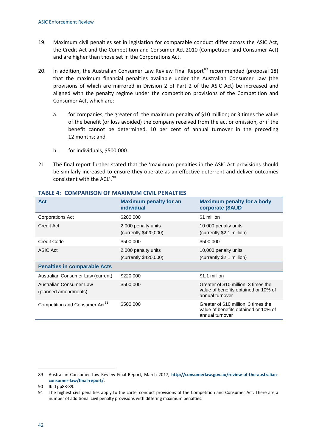- 19. Maximum civil penalties set in legislation for comparable conduct differ across the ASIC Act, the Credit Act and the Competition and Consumer Act 2010 (Competition and Consumer Act) and are higher than those set in the Corporations Act.
- 20. In addition, the Australian Consumer Law Review Final Report<sup>[89](#page-45-0)</sup> recommended (proposal 18) that the maximum financial penalties available under the Australian Consumer Law (the provisions of which are mirrored in Division 2 of Part 2 of the ASIC Act) be increased and aligned with the penalty regime under the competition provisions of the Competition and Consumer Act, which are:
	- a. for companies, the greater of: the maximum penalty of \$10 million; or 3 times the value of the benefit (or loss avoided) the company received from the act or omission, or if the benefit cannot be determined, 10 per cent of annual turnover in the preceding 12 months; and
	- b. for individuals, \$500,000.
- 21. The final report further stated that the 'maximum penalties in the ASIC Act provisions should be similarly increased to ensure they operate as an effective deterrent and deliver outcomes consistent with the ACL'.<sup>[90](#page-45-1)</sup>

| <b>Act</b>                                      | <b>Maximum penalty for an</b><br><i>individual</i> | <b>Maximum penalty for a body</b><br>corporate (\$AUD                                           |
|-------------------------------------------------|----------------------------------------------------|-------------------------------------------------------------------------------------------------|
| Corporations Act                                | \$200,000                                          | \$1 million                                                                                     |
| Credit Act                                      | 2,000 penalty units<br>(currently \$420,000)       | 10 000 penalty units<br>(currently \$2.1 million)                                               |
| Credit Code                                     | \$500,000                                          | \$500,000                                                                                       |
| ASIC Act                                        | 2,000 penalty units<br>(currently \$420,000)       | 10,000 penalty units<br>(currently \$2.1 million)                                               |
| <b>Penalties in comparable Acts</b>             |                                                    |                                                                                                 |
| Australian Consumer Law (current)               | \$220,000                                          | \$1.1 million                                                                                   |
| Australian Consumer Law<br>(planned amendments) | \$500,000                                          | Greater of \$10 million, 3 times the<br>value of benefits obtained or 10% of<br>annual turnover |
| Competition and Consumer Act <sup>91</sup>      | \$500,000                                          | Greater of \$10 million, 3 times the<br>value of benefits obtained or 10% of<br>annual turnover |

#### **TABLE 4: COMPARISON OF MAXIMUM CIVIL PENALTIES**

<span id="page-45-0"></span><sup>89</sup> Australian Consumer Law Review Final Report, March 2017, **http://consumerlaw.gov.au/review-of-the-australianconsumer-law/final-report/**.

<span id="page-45-1"></span><sup>90</sup> Ibid pp88-89.

<span id="page-45-2"></span><sup>91</sup> The highest civil penalties apply to the cartel conduct provisions of the Competition and Consumer Act. There are a number of additional civil penalty provisions with differing maximum penalties.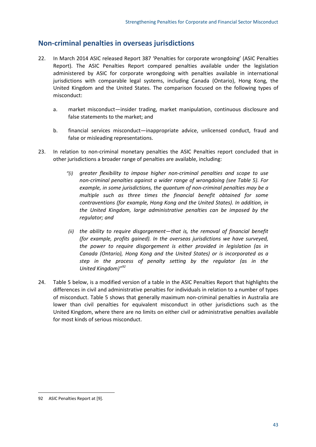### **Non-criminal penalties in overseas jurisdictions**

- 22. In March 2014 ASIC released Report 387 'Penalties for corporate wrongdoing' (ASIC Penalties Report). The ASIC Penalties Report compared penalties available under the legislation administered by ASIC for corporate wrongdoing with penalties available in international jurisdictions with comparable legal systems, including Canada (Ontario), Hong Kong, the United Kingdom and the United States. The comparison focused on the following types of misconduct:
	- a. market misconduct—insider trading, market manipulation, continuous disclosure and false statements to the market; and
	- b. financial services misconduct—inappropriate advice, unlicensed conduct, fraud and false or misleading representations.
- 23. In relation to non-criminal monetary penalties the ASIC Penalties report concluded that in other jurisdictions a broader range of penalties are available, including:
	- *"(i) greater flexibility to impose higher non-criminal penalties and scope to use non-criminal penalties against a wider range of wrongdoing (see Table 5). For example, in some jurisdictions, the quantum of non-criminal penalties may be a multiple such as three times the financial benefit obtained for some contraventions (for example, Hong Kong and the United States). In addition, in the United Kingdom, large administrative penalties can be imposed by the regulator; and*
	- *(ii) the ability to require disgorgement—that is, the removal of financial benefit (for example, profits gained). In the overseas jurisdictions we have surveyed, the power to require disgorgement is either provided in legislation (as in Canada (Ontario), Hong Kong and the United States) or is incorporated as a step in the process of penalty setting by the regulator (as in the United Kingdom)" [92](#page-46-0)*
- 24. Table 5 below, is a modified version of a table in the ASIC Penalties Report that highlights the differences in civil and administrative penalties for individuals in relation to a number of types of misconduct. Table 5 shows that generally maximum non-criminal penalties in Australia are lower than civil penalties for equivalent misconduct in other jurisdictions such as the United Kingdom, where there are no limits on either civil or administrative penalties available for most kinds of serious misconduct.

<span id="page-46-0"></span><sup>92</sup> ASIC Penalties Report at [9].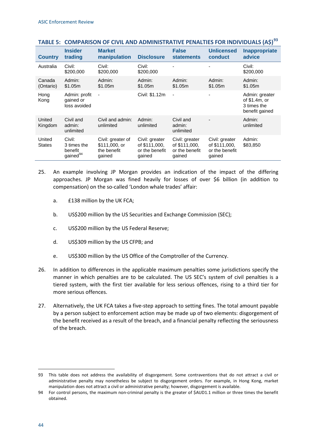| <b>Country</b>          | <b>Insider</b><br>trading                                | <b>Market</b><br>manipulation                               | <b>Disclosure</b>                                           | <b>False</b><br><b>statements</b>                           | <b>Unlicensed</b><br>conduct                                | Inappropriate<br>advice                                            |
|-------------------------|----------------------------------------------------------|-------------------------------------------------------------|-------------------------------------------------------------|-------------------------------------------------------------|-------------------------------------------------------------|--------------------------------------------------------------------|
| Australia               | Civil:<br>\$200,000                                      | Civil:<br>\$200,000                                         | Civil:<br>\$200,000                                         |                                                             |                                                             | Civil:<br>\$200,000                                                |
| Canada<br>(Ontario)     | Admin:<br>\$1.05m                                        | Admin:<br>\$1.05m                                           | Admin:<br>\$1.05m                                           | Admin:<br>\$1.05m                                           | Admin:<br>\$1.05m                                           | Admin:<br>\$1.05m                                                  |
| Hong<br>Kong            | Admin: profit<br>gained or<br>loss avoided               | $\overline{\phantom{a}}$                                    | Civil: \$1.12m                                              | $\overline{\phantom{a}}$                                    |                                                             | Admin: greater<br>of $$1.4m$ , or<br>3 times the<br>benefit gained |
| United<br>Kingdom       | Civil and<br>admin:<br>unlimited                         | Civil and admin:<br>unlimited                               | Admin:<br>unlimited                                         | Civil and<br>admin:<br>unlimited                            |                                                             | Admin:<br>unlimited                                                |
| United<br><b>States</b> | Civil:<br>3 times the<br>benefit<br>gained <sup>94</sup> | Civil: greater of<br>\$111,000, or<br>the benefit<br>gained | Civil: greater<br>of \$111,000,<br>or the benefit<br>gained | Civil: greater<br>of \$111,000,<br>or the benefit<br>gained | Civil: greater<br>of \$111,000,<br>or the benefit<br>gained | Admin:<br>\$83,850                                                 |

#### **TABLE 5: COMPARISON OF CIVIL AND ADMINISTRATIVE PENALTIES FOR INDIVIDUALS (A\$)[93](#page-47-0)**

- 25. An example involving JP Morgan provides an indication of the impact of the differing approaches. JP Morgan was fined heavily for losses of over \$6 billion (in addition to compensation) on the so-called 'London whale trades' affair:
	- a. £138 million by the UK FCA;
	- b. US\$200 million by the US Securities and Exchange Commission (SEC);
	- c. US\$200 million by the US Federal Reserve;
	- d. US\$309 million by the US CFPB; and
	- e. US\$300 million by the US Office of the Comptroller of the Currency.
- 26. In addition to differences in the applicable maximum penalties some jurisdictions specify the manner in which penalties are to be calculated. The US SEC's system of civil penalties is a tiered system, with the first tier available for less serious offences, rising to a third tier for more serious offences.
- 27. Alternatively, the UK FCA takes a five-step approach to setting fines. The total amount payable by a person subject to enforcement action may be made up of two elements: disgorgement of the benefit received as a result of the breach, and a financial penalty reflecting the seriousness of the breach.

<span id="page-47-0"></span><sup>93</sup> This table does not address the availability of disgorgement. Some contraventions that do not attract a civil or administrative penalty may nonetheless be subject to disgorgement orders. For example, in Hong Kong, market manipulation does not attract a civil or administrative penalty; however, disgorgement is available.

<span id="page-47-1"></span><sup>94</sup> For control persons, the maximum non-criminal penalty is the greater of \$AUD1.1 million or three times the benefit obtained.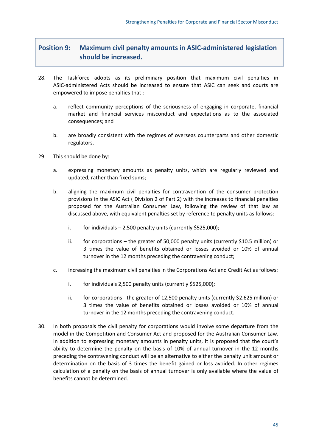### **Position 9: Maximum civil penalty amounts in ASIC-administered legislation should be increased.**

- 28. The Taskforce adopts as its preliminary position that maximum civil penalties in ASIC-administered Acts should be increased to ensure that ASIC can seek and courts are empowered to impose penalties that :
	- a. reflect community perceptions of the seriousness of engaging in corporate, financial market and financial services misconduct and expectations as to the associated consequences; and
	- b. are broadly consistent with the regimes of overseas counterparts and other domestic regulators.
- 29. This should be done by:
	- a. expressing monetary amounts as penalty units, which are regularly reviewed and updated, rather than fixed sums;
	- b. aligning the maximum civil penalties for contravention of the consumer protection provisions in the ASIC Act ( Division 2 of Part 2) with the increases to financial penalties proposed for the Australian Consumer Law, following the review of that law as discussed above, with equivalent penalties set by reference to penalty units as follows:
		- i. for individuals  $-2,500$  penalty units (currently \$525,000);
		- ii. for corporations the greater of 50,000 penalty units (currently \$10.5 million) or 3 times the value of benefits obtained or losses avoided or 10% of annual turnover in the 12 months preceding the contravening conduct;
	- c. increasing the maximum civil penalties in the Corporations Act and Credit Act as follows:
		- i. for individuals 2,500 penalty units (currently \$525,000);
		- ii. for corporations the greater of 12,500 penalty units (currently \$2.625 million) or 3 times the value of benefits obtained or losses avoided or 10% of annual turnover in the 12 months preceding the contravening conduct.
- 30. In both proposals the civil penalty for corporations would involve some departure from the model in the Competition and Consumer Act and proposed for the Australian Consumer Law. In addition to expressing monetary amounts in penalty units, it is proposed that the court's ability to determine the penalty on the basis of 10% of annual turnover in the 12 months preceding the contravening conduct will be an alternative to either the penalty unit amount or determination on the basis of 3 times the benefit gained or loss avoided. In other regimes calculation of a penalty on the basis of annual turnover is only available where the value of benefits cannot be determined.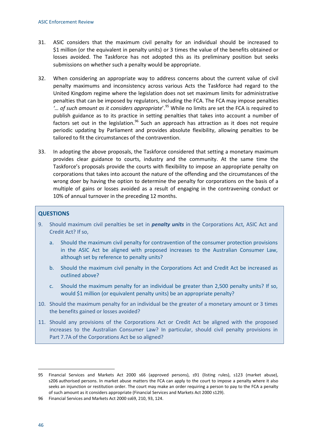- 31. ASIC considers that the maximum civil penalty for an individual should be increased to \$1 million (or the equivalent in penalty units) or 3 times the value of the benefits obtained or losses avoided. The Taskforce has not adopted this as its preliminary position but seeks submissions on whether such a penalty would be appropriate.
- 32. When considering an appropriate way to address concerns about the current value of civil penalty maximums and inconsistency across various Acts the Taskforce had regard to the United Kingdom regime where the legislation does not set maximum limits for administrative penalties that can be imposed by regulators, including the FCA. The FCA may impose penalties *'… of such amount as it considers appropriate*'. [95](#page-49-0) While no limits are set the FCA is required to publish guidance as to its practice in setting penalties that takes into account a number of factors set out in the legislation.<sup>[96](#page-49-1)</sup> Such an approach has attraction as it does not require periodic updating by Parliament and provides absolute flexibility, allowing penalties to be tailored to fit the circumstances of the contravention.
- 33. In adopting the above proposals, the Taskforce considered that setting a monetary maximum provides clear guidance to courts, industry and the community. At the same time the Taskforce's proposals provide the courts with flexibility to impose an appropriate penalty on corporations that takes into account the nature of the offending and the circumstances of the wrong doer by having the option to determine the penalty for corporations on the basis of a multiple of gains or losses avoided as a result of engaging in the contravening conduct or 10% of annual turnover in the preceding 12 months.

#### **QUESTIONS**

- 9. Should maximum civil penalties be set in *penalty units* in the Corporations Act, ASIC Act and Credit Act? If so,
	- a. Should the maximum civil penalty for contravention of the consumer protection provisions in the ASIC Act be aligned with proposed increases to the Australian Consumer Law, although set by reference to penalty units?
	- b. Should the maximum civil penalty in the Corporations Act and Credit Act be increased as outlined above?
	- c. Should the maximum penalty for an individual be greater than 2,500 penalty units? If so, would \$1 million (or equivalent penalty units) be an appropriate penalty?
- 10. Should the maximum penalty for an individual be the greater of a monetary amount or 3 times the benefits gained or losses avoided?
- 11. Should any provisions of the Corporations Act or Credit Act be aligned with the proposed increases to the Australian Consumer Law? In particular, should civil penalty provisions in Part 7.7A of the Corporations Act be so aligned?

<span id="page-49-0"></span><sup>95</sup> Financial Services and Markets Act 2000 s66 (approved persons), s91 (listing rules), s123 (market abuse), s206 authorised persons. In market abuse matters the FCA can apply to the court to impose a penalty where it also seeks an injunction or restitution order. The court may make an order requiring a person to pay to the FCA a penalty of such amount as it considers appropriate (Financial Services and Markets Act 2000 s129).

<span id="page-49-1"></span><sup>96</sup> Financial Services and Markets Act 2000 ss69, 210, 93, 124.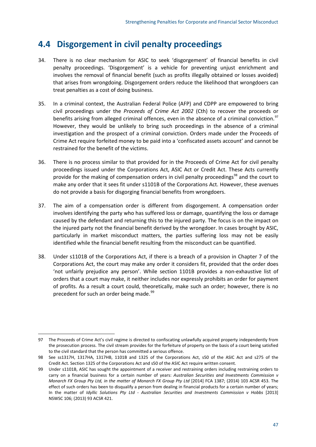## **4.4 Disgorgement in civil penalty proceedings**

- 34. There is no clear mechanism for ASIC to seek 'disgorgement' of financial benefits in civil penalty proceedings. 'Disgorgement' is a vehicle for preventing unjust enrichment and involves the removal of financial benefit (such as profits illegally obtained or losses avoided) that arises from wrongdoing. Disgorgement orders reduce the likelihood that wrongdoers can treat penalties as a cost of doing business.
- 35. In a criminal context, the Australian Federal Police (AFP) and CDPP are empowered to bring civil proceedings under the *Proceeds of Crime Act 2002* (Cth) to recover the proceeds or benefits arising from alleged criminal offences, even in the absence of a criminal conviction.<sup>[97](#page-50-0)</sup> However, they would be unlikely to bring such proceedings in the absence of a criminal investigation and the prospect of a criminal conviction. Orders made under the Proceeds of Crime Act require forfeited money to be paid into a 'confiscated assets account' and cannot be restrained for the benefit of the victims.
- 36. There is no process similar to that provided for in the Proceeds of Crime Act for civil penalty proceedings issued under the Corporations Act, ASIC Act or Credit Act. These Acts currently provide for the making of compensation orders in civil penalty proceedings<sup>[98](#page-50-1)</sup> and the court to make any order that it sees fit under s1101B of the Corporations Act. However, these avenues do not provide a basis for disgorging financial benefits from wrongdoers.
- 37. The aim of a compensation order is different from disgorgement. A compensation order involves identifying the party who has suffered loss or damage, quantifying the loss or damage caused by the defendant and returning this to the injured party. The focus is on the impact on the injured party not the financial benefit derived by the wrongdoer. In cases brought by ASIC, particularly in market misconduct matters, the parties suffering loss may not be easily identified while the financial benefit resulting from the misconduct can be quantified.
- 38. Under s1101B of the Corporations Act, if there is a breach of a provision in Chapter 7 of the Corporations Act, the court may make any order it considers fit, provided that the order does 'not unfairly prejudice any person'. While section 1101B provides a non-exhaustive list of orders that a court may make, it neither includes nor expressly prohibits an order for payment of profits. As a result a court could, theoretically, make such an order; however, there is no precedent for such an order being made.<sup>[99](#page-50-2)</sup>

<span id="page-50-0"></span><sup>97</sup> The Proceeds of Crime Act's civil regime is directed to confiscating unlawfully acquired property independently from the prosecution process. The civil stream provides for the forfeiture of property on the basis of a court being satisfied to the civil standard that the person has committed a serious offence.

<span id="page-50-1"></span><sup>98</sup> See ss1317H, 1317HA, 1317HB, 1101B and 1325 of the Corporations Act, s50 of the ASIC Act and s275 of the Credit Act. Section 1325 of the Corporations Act and s50 of the ASIC Act require written consent.

<span id="page-50-2"></span><sup>99</sup> Under s1101B, ASIC has sought the appointment of a receiver and restraining orders including restraining orders to carry on a financial business for a certain number of years: *Australian Securities and Investments Commission v Monarch FX Group Pty Ltd, in the matter of Monarch FX Group Pty Ltd* [2014] FCA 1387; (2014) 103 ACSR 453. The effect of such orders has been to disqualify a person from dealing in financial products for a certain number of years; In the matter of *Idyllic Solutions Pty Ltd - Australian Securities and Investments Commission v Hobbs* [2013] NSWSC 106; (2013) 93 ACSR 421.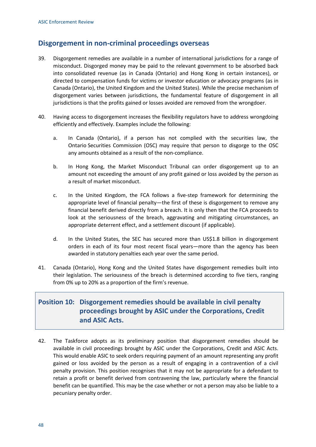### **Disgorgement in non-criminal proceedings overseas**

- 39. Disgorgement remedies are available in a number of international jurisdictions for a range of misconduct. Disgorged money may be paid to the relevant government to be absorbed back into consolidated revenue (as in Canada (Ontario) and Hong Kong in certain instances), or directed to compensation funds for victims or investor education or advocacy programs (as in Canada (Ontario), the United Kingdom and the United States). While the precise mechanism of disgorgement varies between jurisdictions, the fundamental feature of disgorgement in all jurisdictions is that the profits gained or losses avoided are removed from the wrongdoer.
- 40. Having access to disgorgement increases the flexibility regulators have to address wrongdoing efficiently and effectively. Examples include the following:
	- a. In Canada (Ontario), if a person has not complied with the securities law, the Ontario Securities Commission (OSC) may require that person to disgorge to the OSC any amounts obtained as a result of the non-compliance.
	- b. In Hong Kong, the Market Misconduct Tribunal can order disgorgement up to an amount not exceeding the amount of any profit gained or loss avoided by the person as a result of market misconduct.
	- c. In the United Kingdom, the FCA follows a five-step framework for determining the appropriate level of financial penalty—the first of these is disgorgement to remove any financial benefit derived directly from a breach. It is only then that the FCA proceeds to look at the seriousness of the breach, aggravating and mitigating circumstances, an appropriate deterrent effect, and a settlement discount (if applicable).
	- d. In the United States, the SEC has secured more than US\$1.8 billion in disgorgement orders in each of its four most recent fiscal years—more than the agency has been awarded in statutory penalties each year over the same period.
- 41. Canada (Ontario), Hong Kong and the United States have disgorgement remedies built into their legislation. The seriousness of the breach is determined according to five tiers, ranging from 0% up to 20% as a proportion of the firm's revenue.

### **Position 10: Disgorgement remedies should be available in civil penalty proceedings brought by ASIC under the Corporations, Credit and ASIC Acts.**

42. The Taskforce adopts as its preliminary position that disgorgement remedies should be available in civil proceedings brought by ASIC under the Corporations, Credit and ASIC Acts. This would enable ASIC to seek orders requiring payment of an amount representing any profit gained or loss avoided by the person as a result of engaging in a contravention of a civil penalty provision. This position recognises that it may not be appropriate for a defendant to retain a profit or benefit derived from contravening the law, particularly where the financial benefit can be quantified. This may be the case whether or not a person may also be liable to a pecuniary penalty order.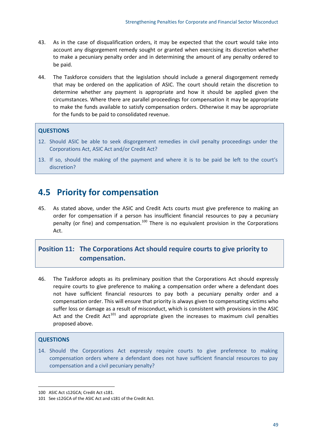- 43. As in the case of disqualification orders, it may be expected that the court would take into account any disgorgement remedy sought or granted when exercising its discretion whether to make a pecuniary penalty order and in determining the amount of any penalty ordered to be paid.
- 44. The Taskforce considers that the legislation should include a general disgorgement remedy that may be ordered on the application of ASIC. The court should retain the discretion to determine whether any payment is appropriate and how it should be applied given the circumstances. Where there are parallel proceedings for compensation it may be appropriate to make the funds available to satisfy compensation orders. Otherwise it may be appropriate for the funds to be paid to consolidated revenue.

#### **QUESTIONS**

- 12. Should ASIC be able to seek disgorgement remedies in civil penalty proceedings under the Corporations Act, ASIC Act and/or Credit Act?
- 13. If so, should the making of the payment and where it is to be paid be left to the court's discretion?

## **4.5 Priority for compensation**

45. As stated above, under the ASIC and Credit Acts courts must give preference to making an order for compensation if a person has insufficient financial resources to pay a pecuniary penalty (or fine) and compensation.<sup>[100](#page-52-0)</sup> There is no equivalent provision in the Corporations Act.

### **Position 11: The Corporations Act should require courts to give priority to compensation.**

46. The Taskforce adopts as its preliminary position that the Corporations Act should expressly require courts to give preference to making a compensation order where a defendant does not have sufficient financial resources to pay both a pecuniary penalty order and a compensation order. This will ensure that priority is always given to compensating victims who suffer loss or damage as a result of misconduct, which is consistent with provisions in the ASIC Act and the Credit Act<sup>[101](#page-52-1)</sup> and appropriate given the increases to maximum civil penalties proposed above.

#### **QUESTIONS**

 $\overline{a}$ 

14. Should the Corporations Act expressly require courts to give preference to making compensation orders where a defendant does not have sufficient financial resources to pay compensation and a civil pecuniary penalty?

<span id="page-52-0"></span><sup>100</sup> ASIC Act s12GCA; Credit Act s181.

<span id="page-52-1"></span><sup>101</sup> See s12GCA of the ASIC Act and s181 of the Credit Act.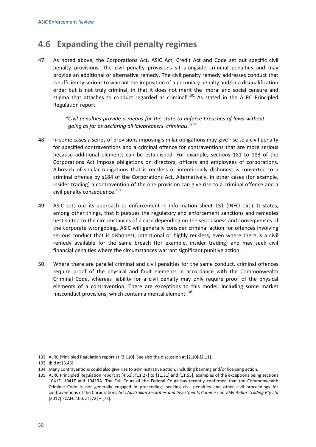## **4.6 Expanding the civil penalty regimes**

47. As noted above, the Corporations Act, ASIC Act, Credit Act and Code set out specific civil penalty provisions. The civil penalty provisions sit alongside criminal penalties and may provide an additional or alternative remedy. The civil penalty remedy addresses conduct that is sufficiently serious to warrant the imposition of a pecuniary penalty and/or a disqualification order but is not truly criminal, in that it does not merit the 'moral and social censure and stigma that attaches to conduct regarded as criminal'.<sup>[102](#page-53-0)</sup> As stated in the ALRC Principled Regulation report:

> *"Civil penalties provide a means for the state to enforce breaches of laws without going as far as declaring all lawbreakers 'criminals.''* [103](#page-53-1)

- 48. In some cases a series of provisions imposing similar obligations may give rise to a civil penalty for specified contraventions and a criminal offence for contraventions that are more serious because additional elements can be established. For example, sections 181 to 183 of the Corporations Act impose obligations on directors, officers and employees of corporations. A breach of similar obligations that is reckless or intentionally dishonest is converted to a criminal offence by s184 of the Corporations Act. Alternatively, in other cases (for example, insider trading) a contravention of the one provision can give rise to a criminal offence and a civil penalty consequence.<sup>[104](#page-53-2)</sup>
- 49. ASIC sets out its approach to enforcement in information sheet 151 (INFO 151). It states, among other things, that it pursues the regulatory and enforcement sanctions and remedies best suited to the circumstances of a case depending on the seriousness and consequences of the corporate wrongdoing. ASIC will generally consider criminal action for offences involving serious conduct that is dishonest, intentional or highly reckless, even where there is a civil remedy available for the same breach (for example, insider trading) and may seek civil financial penalties where the circumstances warrant significant punitive action.
- 50. Where there are parallel criminal and civil penalties for the same conduct, criminal offences require proof of the physical and fault elements in accordance with the Commonwealth Criminal Code, whereas liability for a civil penalty may only require proof of the physical elements of a contravention. There are exceptions to this model, including some market misconduct provisions, which contain a mental element.<sup>[105](#page-53-3)</sup>

<span id="page-53-0"></span><sup>102</sup> ALRC Principled Regulation report at [3.110]. See also the discussion at [2.10]-[2.11].

<span id="page-53-1"></span><sup>103</sup> Ibid at [3.46].

<span id="page-53-2"></span><sup>104</sup> Many contraventions could also give rise to administrative action, including banning and/or licensing action.

<span id="page-53-3"></span><sup>105</sup> ALRC Principled Regulation report at [4.61], [11.27] to [11.31] and [11.55], examples of the exceptions being sections 1041E, 1041F and 10413A. The Full Court of the Federal Court has recently confirmed that the Commonwealth Criminal Code is not generally engaged in proceedings seeking civil penalties and other civil proceedings for contraventions of the Corporations Act: *Australian Securities and Investments Commission v Whitebox Trading Pty Ltd* [2017] FCAFC 100, at [72] – [73].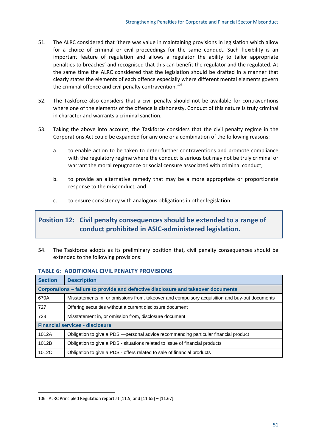- 51. The ALRC considered that 'there was value in maintaining provisions in legislation which allow for a choice of criminal or civil proceedings for the same conduct. Such flexibility is an important feature of regulation and allows a regulator the ability to tailor appropriate penalties to breaches' and recognised that this can benefit the regulator and the regulated. At the same time the ALRC considered that the legislation should be drafted in a manner that clearly states the elements of each offence especially where different mental elements govern the criminal offence and civil penalty contravention.<sup>[106](#page-54-0)</sup>
- 52. The Taskforce also considers that a civil penalty should not be available for contraventions where one of the elements of the offence is dishonesty. Conduct of this nature is truly criminal in character and warrants a criminal sanction.
- 53. Taking the above into account, the Taskforce considers that the civil penalty regime in the Corporations Act could be expanded for any one or a combination of the following reasons:
	- a. to enable action to be taken to deter further contraventions and promote compliance with the regulatory regime where the conduct is serious but may not be truly criminal or warrant the moral repugnance or social censure associated with criminal conduct;
	- b. to provide an alternative remedy that may be a more appropriate or proportionate response to the misconduct; and
	- c. to ensure consistency with analogous obligations in other legislation.

### **Position 12: Civil penalty consequences should be extended to a range of conduct prohibited in ASIC-administered legislation.**

54. The Taskforce adopts as its preliminary position that, civil penalty consequences should be extended to the following provisions:

#### **TABLE 6: ADDITIONAL CIVIL PENALTY PROVISIONS**

| <b>Section</b>                                                                    | <b>Description</b>                                                                             |  |
|-----------------------------------------------------------------------------------|------------------------------------------------------------------------------------------------|--|
| Corporations – failure to provide and defective disclosure and takeover documents |                                                                                                |  |
| 670A                                                                              | Misstatements in, or omissions from, takeover and compulsory acquisition and buy-out documents |  |
| 727                                                                               | Offering securities without a current disclosure document                                      |  |
| 728                                                                               | Misstatement in, or omission from, disclosure document                                         |  |
| <b>Financial services - disclosure</b>                                            |                                                                                                |  |
| 1012A                                                                             | Obligation to give a PDS - personal advice recommending particular financial product           |  |
| 1012B                                                                             | Obligation to give a PDS - situations related to issue of financial products                   |  |
| 1012C                                                                             | Obligation to give a PDS - offers related to sale of financial products                        |  |

<span id="page-54-0"></span><sup>106</sup> ALRC Principled Regulation report at [11.5] and [11.65] – [11.67].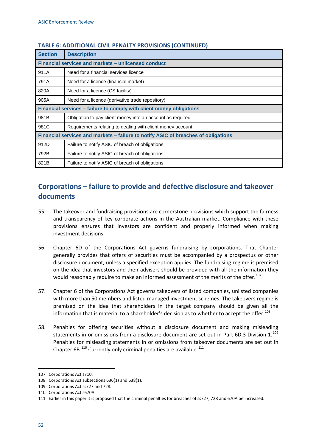| <b>Section</b>                                                                     | <b>Description</b>                                         |  |
|------------------------------------------------------------------------------------|------------------------------------------------------------|--|
| Financial services and markets – unlicensed conduct                                |                                                            |  |
| 911A                                                                               | Need for a financial services licence                      |  |
| 791A                                                                               | Need for a licence (financial market)                      |  |
| 820A                                                                               | Need for a licence (CS facility)                           |  |
| 905A                                                                               | Need for a licence (derivative trade repository)           |  |
| Financial services - failure to comply with client money obligations               |                                                            |  |
| 981B                                                                               | Obligation to pay client money into an account as required |  |
| 981C                                                                               | Requirements relating to dealing with client money account |  |
| Financial services and markets - failure to notify ASIC of breaches of obligations |                                                            |  |
| 912D                                                                               | Failure to notify ASIC of breach of obligations            |  |
| 792B                                                                               | Failure to notify ASIC of breach of obligations            |  |
| 821B                                                                               | Failure to notify ASIC of breach of obligations            |  |

#### **TABLE 6: ADDITIONAL CIVIL PENALTY PROVISIONS (CONTINUED)**

### **Corporations – failure to provide and defective disclosure and takeover documents**

- 55. The takeover and fundraising provisions are cornerstone provisions which support the fairness and transparency of key corporate actions in the Australian market. Compliance with these provisions ensures that investors are confident and properly informed when making investment decisions.
- 56. Chapter 6D of the Corporations Act governs fundraising by corporations. That Chapter generally provides that offers of securities must be accompanied by a prospectus or other disclosure document, unless a specified exception applies. The fundraising regime is premised on the idea that investors and their advisers should be provided with all the information they would reasonably require to make an informed assessment of the merits of the offer.<sup>[107](#page-55-0)</sup>
- 57. Chapter 6 of the Corporations Act governs takeovers of listed companies, unlisted companies with more than 50 members and listed managed investment schemes. The takeovers regime is premised on the idea that shareholders in the target company should be given all the information that is material to a shareholder's decision as to whether to accept the offer.<sup>[108](#page-55-1)</sup>
- 58. Penalties for offering securities without a disclosure document and making misleading statements in or omissions from a disclosure document are set out in Part 6D.3 Division  $1.^{109}$  $1.^{109}$  $1.^{109}$ Penalties for misleading statements in or omissions from takeover documents are set out in Chapter  $6B$ <sup>[110](#page-55-3)</sup> Currently only criminal penalties are available.<sup>[111](#page-55-4)</sup>

<span id="page-55-0"></span><sup>107</sup> Corporations Act s710.

<span id="page-55-1"></span><sup>108</sup> Corporations Act subsections 636(1) and 638(1).

<span id="page-55-2"></span><sup>109</sup> Corporations Act ss727 and 728.

<span id="page-55-3"></span><sup>110</sup> Corporations Act s670A.

<span id="page-55-4"></span><sup>111</sup> Earlier in this paper it is proposed that the criminal penalties for breaches of ss727, 728 and 670A be increased.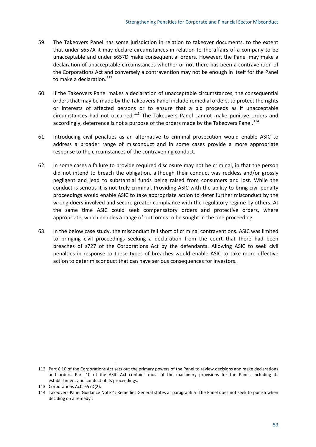- 59. The Takeovers Panel has some jurisdiction in relation to takeover documents, to the extent that under s657A it may declare circumstances in relation to the affairs of a company to be unacceptable and under s657D make consequential orders. However, the Panel may make a declaration of unacceptable circumstances whether or not there has been a contravention of the Corporations Act and conversely a contravention may not be enough in itself for the Panel to make a declaration. $^{112}$  $^{112}$  $^{112}$
- 60. If the Takeovers Panel makes a declaration of unacceptable circumstances, the consequential orders that may be made by the Takeovers Panel include remedial orders, to protect the rights or interests of affected persons or to ensure that a bid proceeds as if unacceptable circumstances had not occurred.<sup>[113](#page-56-1)</sup> The Takeovers Panel cannot make punitive orders and accordingly, deterrence is not a purpose of the orders made by the Takeovers Panel.<sup>[114](#page-56-2)</sup>
- 61. Introducing civil penalties as an alternative to criminal prosecution would enable ASIC to address a broader range of misconduct and in some cases provide a more appropriate response to the circumstances of the contravening conduct.
- 62. In some cases a failure to provide required disclosure may not be criminal, in that the person did not intend to breach the obligation, although their conduct was reckless and/or grossly negligent and lead to substantial funds being raised from consumers and lost. While the conduct is serious it is not truly criminal. Providing ASIC with the ability to bring civil penalty proceedings would enable ASIC to take appropriate action to deter further misconduct by the wrong doers involved and secure greater compliance with the regulatory regime by others. At the same time ASIC could seek compensatory orders and protective orders, where appropriate, which enables a range of outcomes to be sought in the one proceeding.
- 63. In the below case study, the misconduct fell short of criminal contraventions. ASIC was limited to bringing civil proceedings seeking a declaration from the court that there had been breaches of s727 of the Corporations Act by the defendants. Allowing ASIC to seek civil penalties in response to these types of breaches would enable ASIC to take more effective action to deter misconduct that can have serious consequences for investors.

<span id="page-56-0"></span><sup>112</sup> Part 6.10 of the Corporations Act sets out the primary powers of the Panel to review decisions and make declarations and orders. Part 10 of the ASIC Act contains most of the machinery provisions for the Panel, including its establishment and conduct of its proceedings.

<span id="page-56-1"></span><sup>113</sup> Corporations Act s657D(2).

<span id="page-56-2"></span><sup>114</sup> Takeovers Panel Guidance Note 4: Remedies General states at paragraph 5 'The Panel does not seek to punish when deciding on a remedy'.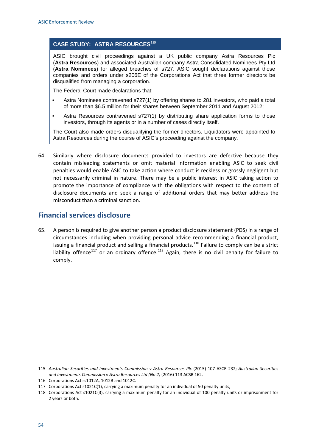#### **CASE STUDY: ASTRA RESOURCES[115](#page-57-0)**

ASIC brought civil proceedings against a UK public company Astra Resources Plc (**Astra Resources**) and associated Australian company Astra Consolidated Nominees Pty Ltd (**Astra Nominees**) for alleged breaches of s727. ASIC sought declarations against those companies and orders under s206E of the Corporations Act that three former directors be disqualified from managing a corporation.

The Federal Court made declarations that:

- Astra Nominees contravened s727(1) by offering shares to 281 investors, who paid a total of more than \$6.5 million for their shares between September 2011 and August 2012;
- Astra Resources contravened s727(1) by distributing share application forms to those investors, through its agents or in a number of cases directly itself.

The Court also made orders disqualifying the former directors. Liquidators were appointed to Astra Resources during the course of ASIC's proceeding against the company.

64. Similarly where disclosure documents provided to investors are defective because they contain misleading statements or omit material information enabling ASIC to seek civil penalties would enable ASIC to take action where conduct is reckless or grossly negligent but not necessarily criminal in nature. There may be a public interest in ASIC taking action to promote the importance of compliance with the obligations with respect to the content of disclosure documents and seek a range of additional orders that may better address the misconduct than a criminal sanction.

### **Financial services disclosure**

65. A person is required to give another person a product disclosure statement (PDS) in a range of circumstances including when providing personal advice recommending a financial product, issuing a financial product and selling a financial products.<sup>[116](#page-57-1)</sup> Failure to comply can be a strict liability offence<sup>[117](#page-57-2)</sup> or an ordinary offence.<sup>[118](#page-57-3)</sup> Again, there is no civil penalty for failure to comply.

<span id="page-57-0"></span><sup>115</sup> *Australian Securities and Investments Commission v Astra Resources Plc* (2015) 107 ASCR 232; *Australian Securities and Investments Commission v Astra Resources Ltd (No 2)* (2016) 113 ACSR 162.

<span id="page-57-1"></span><sup>116</sup> Corporations Act ss1012A, 1012B and 1012C.

<span id="page-57-2"></span><sup>117</sup> Corporations Act s1021C(1), carrying a maximum penalty for an individual of 50 penalty units,

<span id="page-57-3"></span><sup>118</sup> Corporations Act s1021C(3), carrying a maximum penalty for an individual of 100 penalty units or imprisonment for 2 years or both.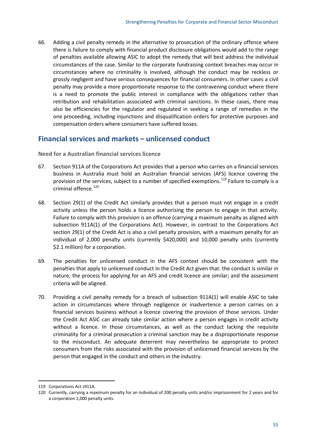66. Adding a civil penalty remedy in the alternative to prosecution of the ordinary offence where there is failure to comply with financial product disclosure obligations would add to the range of penalties available allowing ASIC to adopt the remedy that will best address the individual circumstances of the case. Similar to the corporate fundraising context breaches may occur in circumstances where no criminality is involved, although the conduct may be reckless or grossly negligent and have serious consequences for financial consumers. In other cases a civil penalty may provide a more proportionate response to the contravening conduct where there is a need to promote the public interest in compliance with the obligations rather than retribution and rehabilitation associated with criminal sanctions. In these cases, there may also be efficiencies for the regulator and regulated in seeking a range of remedies in the one proceeding, including injunctions and disqualification orders for protective purposes and compensation orders where consumers have suffered losses.

### **Financial services and markets – unlicensed conduct**

**Need for a Australian financial services licence**

- 67. Section 911A of the Corporations Act provides that a person who carries on a financial services business in Australia must hold an Australian financial services (AFS) licence covering the provision of the services, subject to a number of specified exemptions.<sup>[119](#page-58-0)</sup> Failure to comply is a criminal offence.<sup>[120](#page-58-1)</sup>
- 68. Section 29(1) of the Credit Act similarly provides that a person must not engage in a credit activity unless the person holds a licence authorising the person to engage in that activity. Failure to comply with this provision is an offence (carrying a maximum penalty as aligned with subsection 911A(1) of the Corporations Act). However, in contrast to the Corporations Act section 29(1) of the Credit Act is also a civil penalty provision, with a maximum penalty for an individual of 2,000 penalty units (currently \$420,000) and 10,000 penalty units (currently \$2.1 million) for a corporation.
- 69. The penalties for unlicensed conduct in the AFS context should be consistent with the penalties that apply to unlicensed conduct in the Credit Act given that: the conduct is similar in nature; the process for applying for an AFS and credit licence are similar; and the assessment criteria will be aligned.
- 70. Providing a civil penalty remedy for a breach of subsection 911A(1) will enable ASIC to take action in circumstances where through negligence or inadvertence a person carries on a financial services business without a licence covering the provision of those services. Under the Credit Act ASIC can already take similar action where a person engages in credit activity without a licence. In those circumstances, as well as the conduct lacking the requisite criminality for a criminal prosecution a criminal sanction may be a disproportionate response to the misconduct. An adequate deterrent may nevertheless be appropriate to protect consumers from the risks associated with the provision of unlicensed financial services by the person that engaged in the conduct and others in the industry.

<span id="page-58-0"></span><sup>119</sup> Corporations Act s911A.

<span id="page-58-1"></span><sup>120</sup> Currently, carrying a maximum penalty for an individual of 200 penalty units and/or imprisonment for 2 years and for a corporation 1,000 penalty units.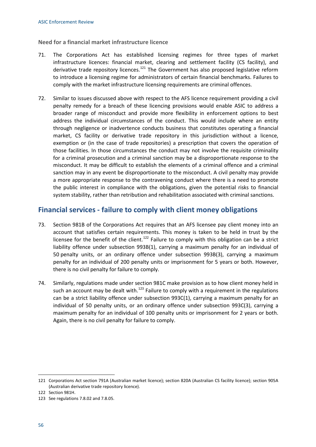**Need for a financial market infrastructure licence**

- 71. The Corporations Act has established licensing regimes for three types of market infrastructure licences: financial market, clearing and settlement facility (CS facility), and derivative trade repository licences.<sup>[121](#page-59-0)</sup> The Government has also proposed legislative reform to introduce a licensing regime for administrators of certain financial benchmarks. Failures to comply with the market infrastructure licensing requirements are criminal offences.
- 72. Similar to issues discussed above with respect to the AFS licence requirement providing a civil penalty remedy for a breach of these licencing provisions would enable ASIC to address a broader range of misconduct and provide more flexibility in enforcement options to best address the individual circumstances of the conduct. This would include where an entity through negligence or inadvertence conducts business that constitutes operating a financial market, CS facility or derivative trade repository in this jurisdiction without a licence, exemption or (in the case of trade repositories) a prescription that covers the operation of those facilities. In those circumstances the conduct may not involve the requisite criminality for a criminal prosecution and a criminal sanction may be a disproportionate response to the misconduct. It may be difficult to establish the elements of a criminal offence and a criminal sanction may in any event be disproportionate to the misconduct. A civil penalty may provide a more appropriate response to the contravening conduct where there is a need to promote the public interest in compliance with the obligations, given the potential risks to financial system stability, rather than retribution and rehabilitation associated with criminal sanctions.

### **Financial services - failure to comply with client money obligations**

- 73. Section 981B of the Corporations Act requires that an AFS licensee pay client money into an account that satisfies certain requirements. This money is taken to be held in trust by the licensee for the benefit of the client.<sup>[122](#page-59-1)</sup> Failure to comply with this obligation can be a strict liability offence under subsection 993B(1), carrying a maximum penalty for an individual of 50 penalty units, or an ordinary offence under subsection 993B(3), carrying a maximum penalty for an individual of 200 penalty units or imprisonment for 5 years or both. However, there is no civil penalty for failure to comply.
- 74. Similarly, regulations made under section 981C make provision as to how client money held in such an account may be dealt with.<sup>[123](#page-59-2)</sup> Failure to comply with a requirement in the regulations can be a strict liability offence under subsection 993C(1), carrying a maximum penalty for an individual of 50 penalty units, or an ordinary offence under subsection 993C(3), carrying a maximum penalty for an individual of 100 penalty units or imprisonment for 2 years or both. Again, there is no civil penalty for failure to comply.

<span id="page-59-0"></span><sup>121</sup> Corporations Act section 791A (Australian market licence); section 820A (Australian CS facility licence); section 905A (Australian derivative trade repository licence).

<span id="page-59-1"></span><sup>122</sup> Section 981H.

<span id="page-59-2"></span><sup>123</sup> See regulations 7.8.02 and 7.8.05.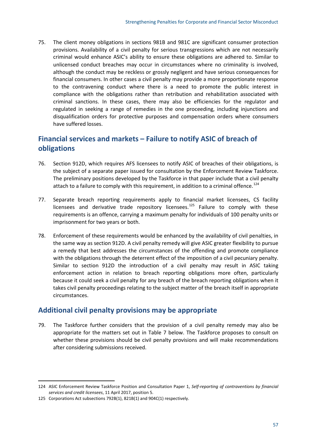75. The client money obligations in sections 981B and 981C are significant consumer protection provisions. Availability of a civil penalty for serious transgressions which are not necessarily criminal would enhance ASIC's ability to ensure these obligations are adhered to. Similar to unlicensed conduct breaches may occur in circumstances where no criminality is involved, although the conduct may be reckless or grossly negligent and have serious consequences for financial consumers. In other cases a civil penalty may provide a more proportionate response to the contravening conduct where there is a need to promote the public interest in compliance with the obligations rather than retribution and rehabilitation associated with criminal sanctions. In these cases, there may also be efficiencies for the regulator and regulated in seeking a range of remedies in the one proceeding, including injunctions and disqualification orders for protective purposes and compensation orders where consumers have suffered losses.

## **Financial services and markets – Failure to notify ASIC of breach of obligations**

- 76. Section 912D, which requires AFS licensees to notify ASIC of breaches of their obligations, is the subject of a separate paper issued for consultation by the Enforcement Review Taskforce. The preliminary positions developed by the Taskforce in that paper include that a civil penalty attach to a failure to comply with this requirement, in addition to a criminal offence.<sup>[124](#page-60-0)</sup>
- 77. Separate breach reporting requirements apply to financial market licensees, CS facility licensees and derivative trade repository licensees.<sup>[125](#page-60-1)</sup> Failure to comply with these requirements is an offence, carrying a maximum penalty for individuals of 100 penalty units or imprisonment for two years or both.
- 78. Enforcement of these requirements would be enhanced by the availability of civil penalties, in the same way as section 912D. A civil penalty remedy will give ASIC greater flexibility to pursue a remedy that best addresses the circumstances of the offending and promote compliance with the obligations through the deterrent effect of the imposition of a civil pecuniary penalty. Similar to section 912D the introduction of a civil penalty may result in ASIC taking enforcement action in relation to breach reporting obligations more often, particularly because it could seek a civil penalty for any breach of the breach reporting obligations when it takes civil penalty proceedings relating to the subject matter of the breach itself in appropriate circumstances.

### **Additional civil penalty provisions may be appropriate**

79. The Taskforce further considers that the provision of a civil penalty remedy may also be appropriate for the matters set out in Table 7 below. The Taskforce proposes to consult on whether these provisions should be civil penalty provisions and will make recommendations after considering submissions received.

<span id="page-60-0"></span><sup>124</sup> ASIC Enforcement Review Taskforce Position and Consultation Paper 1, *Self-reporting of contraventions by financial services and credit licensees*, 11 April 2017, position 5.

<span id="page-60-1"></span><sup>125</sup> Corporations Act subsections 792B(1), 821B(1) and 904C(1) respectively.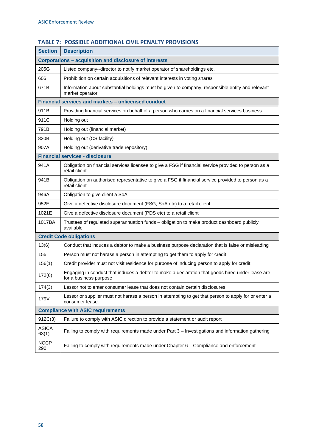| <b>Section</b>                                         | <b>Description</b>                                                                                                         |  |  |  |  |
|--------------------------------------------------------|----------------------------------------------------------------------------------------------------------------------------|--|--|--|--|
| Corporations - acquisition and disclosure of interests |                                                                                                                            |  |  |  |  |
| 205G                                                   | Listed company--director to notify market operator of shareholdings etc.                                                   |  |  |  |  |
| 606                                                    | Prohibition on certain acquisitions of relevant interests in voting shares                                                 |  |  |  |  |
| 671B                                                   | Information about substantial holdings must be given to company, responsible entity and relevant<br>market operator        |  |  |  |  |
|                                                        | Financial services and markets - unlicensed conduct                                                                        |  |  |  |  |
| 911B                                                   | Providing financial services on behalf of a person who carries on a financial services business                            |  |  |  |  |
| 911C                                                   | Holding out                                                                                                                |  |  |  |  |
| 791B                                                   | Holding out (financial market)                                                                                             |  |  |  |  |
| 820B                                                   | Holding out (CS facility)                                                                                                  |  |  |  |  |
| 907A                                                   | Holding out (derivative trade repository)                                                                                  |  |  |  |  |
|                                                        | <b>Financial services - disclosure</b>                                                                                     |  |  |  |  |
| 941A                                                   | Obligation on financial services licensee to give a FSG if financial service provided to person as a<br>retail client      |  |  |  |  |
| 941B                                                   | Obligation on authorised representative to give a FSG if financial service provided to person as a<br>retail client        |  |  |  |  |
| 946A                                                   | Obligation to give client a SoA                                                                                            |  |  |  |  |
| 952E                                                   | Give a defective disclosure document (FSG, SoA etc) to a retail client                                                     |  |  |  |  |
| 1021E                                                  | Give a defective disclosure document (PDS etc) to a retail client                                                          |  |  |  |  |
| 1017BA                                                 | Trustees of regulated superannuation funds - obligation to make product dashboard publicly<br>available                    |  |  |  |  |
|                                                        | <b>Credit Code obligations</b>                                                                                             |  |  |  |  |
| 13(6)                                                  | Conduct that induces a debtor to make a business purpose declaration that is false or misleading                           |  |  |  |  |
| 155                                                    | Person must not harass a person in attempting to get them to apply for credit                                              |  |  |  |  |
| 156(1)                                                 | Credit provider must not visit residence for purpose of inducing person to apply for credit                                |  |  |  |  |
| 172(6)                                                 | Engaging in conduct that induces a debtor to make a declaration that goods hired under lease are<br>for a business purpose |  |  |  |  |
| 174(3)                                                 | Lessor not to enter consumer lease that does not contain certain disclosures                                               |  |  |  |  |
| 179V                                                   | Lessor or supplier must not harass a person in attempting to get that person to apply for or enter a<br>consumer lease.    |  |  |  |  |
| <b>Compliance with ASIC requirements</b>               |                                                                                                                            |  |  |  |  |
| 912C(3)                                                | Failure to comply with ASIC direction to provide a statement or audit report                                               |  |  |  |  |
| <b>ASICA</b><br>63(1)                                  | Failing to comply with requirements made under Part 3 - Investigations and information gathering                           |  |  |  |  |
| <b>NCCP</b><br>290                                     | Failing to comply with requirements made under Chapter 6 - Compliance and enforcement                                      |  |  |  |  |

### **TABLE 7: POSSIBLE ADDITIONAL CIVIL PENALTY PROVISIONS**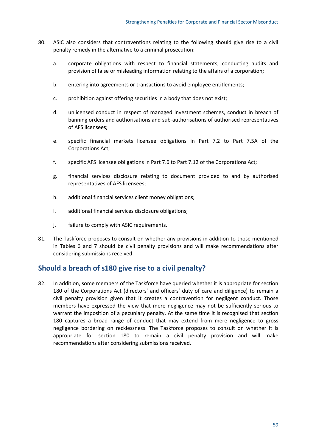- 80. ASIC also considers that contraventions relating to the following should give rise to a civil penalty remedy in the alternative to a criminal prosecution:
	- a. corporate obligations with respect to financial statements, conducting audits and provision of false or misleading information relating to the affairs of a corporation;
	- b. entering into agreements or transactions to avoid employee entitlements;
	- c. prohibition against offering securities in a body that does not exist;
	- d. unlicensed conduct in respect of managed investment schemes, conduct in breach of banning orders and authorisations and sub-authorisations of authorised representatives of AFS licensees;
	- e. specific financial markets licensee obligations in Part 7.2 to Part 7.5A of the Corporations Act;
	- f. specific AFS licensee obligations in Part 7.6 to Part 7.12 of the Corporations Act;
	- g. financial services disclosure relating to document provided to and by authorised representatives of AFS licensees;
	- h. additional financial services client money obligations;
	- i. additional financial services disclosure obligations;
	- j. failure to comply with ASIC requirements.
- 81. The Taskforce proposes to consult on whether any provisions in addition to those mentioned in Tables 6 and 7 should be civil penalty provisions and will make recommendations after considering submissions received.

### **Should a breach of s180 give rise to a civil penalty?**

82. In addition, some members of the Taskforce have queried whether it is appropriate for section 180 of the Corporations Act (directors' and officers' duty of care and diligence) to remain a civil penalty provision given that it creates a contravention for negligent conduct. Those members have expressed the view that mere negligence may not be sufficiently serious to warrant the imposition of a pecuniary penalty. At the same time it is recognised that section 180 captures a broad range of conduct that may extend from mere negligence to gross negligence bordering on recklessness. The Taskforce proposes to consult on whether it is appropriate for section 180 to remain a civil penalty provision and will make recommendations after considering submissions received.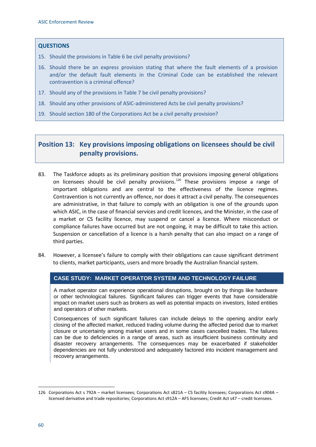#### **QUESTIONS**

- 15. Should the provisions in Table 6 be civil penalty provisions?
- 16. Should there be an express provision stating that where the fault elements of a provision and/or the default fault elements in the Criminal Code can be established the relevant contravention is a criminal offence?
- 17. Should any of the provisions in Table 7 be civil penalty provisions?
- 18. Should any other provisions of ASIC-administered Acts be civil penalty provisions?
- 19. Should section 180 of the Corporations Act be a civil penalty provision?

### **Position 13: Key provisions imposing obligations on licensees should be civil penalty provisions.**

- 83. The Taskforce adopts as its preliminary position that provisions imposing general obligations on licensees should be civil penalty provisions.<sup>[126](#page-63-0)</sup> These provisions impose a range of important obligations and are central to the effectiveness of the licence regimes. Contravention is not currently an offence, nor does it attract a civil penalty. The consequences are administrative, in that failure to comply with an obligation is one of the grounds upon which ASIC, in the case of financial services and credit licences, and the Minister, in the case of a market or CS facility licence, may suspend or cancel a licence. Where misconduct or compliance failures have occurred but are not ongoing, it may be difficult to take this action. Suspension or cancellation of a licence is a harsh penalty that can also impact on a range of third parties.
- 84. However, a licensee's failure to comply with their obligations can cause significant detriment to clients, market participants, users and more broadly the Australian financial system.

#### **CASE STUDY: MARKET OPERATOR SYSTEM AND TECHNOLOGY FAILURE**

A market operator can experience operational disruptions, brought on by things like hardware or other technological failures. Significant failures can trigger events that have considerable impact on market users such as brokers as well as potential impacts on investors, listed entities and operators of other markets.

Consequences of such significant failures can include delays to the opening and/or early closing of the affected market, reduced trading volume during the affected period due to market closure or uncertainty among market users and in some cases cancelled trades. The failures can be due to deficiencies in a range of areas, such as insufficient business continuity and disaster recovery arrangements. The consequences may be exacerbated if stakeholder dependencies are not fully understood and adequately factored into incident management and recovery arrangements.

<span id="page-63-0"></span><sup>126</sup> Corporations Act s 792A – market licensees; Corporations Act s821A – CS facility licensees; Corporations Act s904A – licensed derivative and trade repositories; Corporations Act s912A – AFS licensees; Credit Act s47 – credit licensees.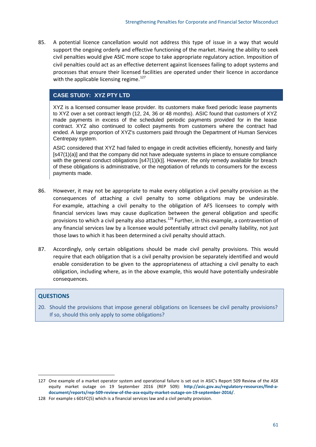85. A potential licence cancellation would not address this type of issue in a way that would support the ongoing orderly and effective functioning of the market. Having the ability to seek civil penalties would give ASIC more scope to take appropriate regulatory action. Imposition of civil penalties could act as an effective deterrent against licensees failing to adopt systems and processes that ensure their licensed facilities are operated under their licence in accordance with the applicable licensing regime.<sup>[127](#page-64-0)</sup>

#### **CASE STUDY: XYZ PTY LTD**

XYZ is a licensed consumer lease provider. Its customers make fixed periodic lease payments to XYZ over a set contract length (12, 24, 36 or 48 months). ASIC found that customers of XYZ made payments in excess of the scheduled periodic payments provided for in the lease contract. XYZ also continued to collect payments from customers where the contract had ended. A large proportion of XYZ's customers paid through the Department of Human Services Centrepay system.

ASIC considered that XYZ had failed to engage in credit activities efficiently, honestly and fairly  $[s47(1)(a)]$  and that the company did not have adequate systems in place to ensure compliance with the general conduct obligations [s47(1)(k)]. However, the only remedy available for breach of these obligations is administrative, or the negotiation of refunds to consumers for the excess payments made.

- 86. However, it may not be appropriate to make every obligation a civil penalty provision as the consequences of attaching a civil penalty to some obligations may be undesirable. For example, attaching a civil penalty to the obligation of AFS licensees to comply with financial services laws may cause duplication between the general obligation and specific provisions to which a civil penalty also attaches.[128](#page-64-1) Further, in this example, a contravention of any financial services law by a licensee would potentially attract civil penalty liability, not just those laws to which it has been determined a civil penalty should attach.
- 87. Accordingly, only certain obligations should be made civil penalty provisions. This would require that each obligation that is a civil penalty provision be separately identified and would enable consideration to be given to the appropriateness of attaching a civil penalty to each obligation, including where, as in the above example, this would have potentially undesirable consequences.

#### **QUESTIONS**

**.** 

20. Should the provisions that impose general obligations on licensees be civil penalty provisions? If so, should this only apply to some obligations?

<span id="page-64-0"></span><sup>127</sup> One example of a market operator system and operational failure is set out in ASIC's Report 509 Review of the ASX equity market outage on 19 September 2016 (REP 509): **[http://asic.gov.au/regulatory-resources/find-a](http://asic.gov.au/regulatory-resources/find-a-document/reports/rep-509-review-of-the-asx-equity-market-outage-on-19-september-2016/)[document/reports/rep-509-review-of-the-asx-equity-market-outage-on-19-september-2016/](http://asic.gov.au/regulatory-resources/find-a-document/reports/rep-509-review-of-the-asx-equity-market-outage-on-19-september-2016/)**.

<span id="page-64-1"></span><sup>128</sup> For example s 601FC(5) which is a financial services law and a civil penalty provision.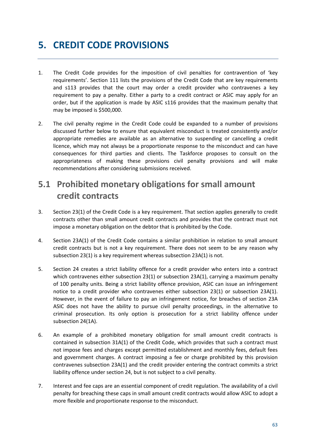# **5. CREDIT CODE PROVISIONS**

- 1. The Credit Code provides for the imposition of civil penalties for contravention of 'key requirements'. Section 111 lists the provisions of the Credit Code that are key requirements and s113 provides that the court may order a credit provider who contravenes a key requirement to pay a penalty. Either a party to a credit contract or ASIC may apply for an order, but if the application is made by ASIC s116 provides that the maximum penalty that may be imposed is \$500,000.
- 2. The civil penalty regime in the Credit Code could be expanded to a number of provisions discussed further below to ensure that equivalent misconduct is treated consistently and/or appropriate remedies are available as an alternative to suspending or cancelling a credit licence, which may not always be a proportionate response to the misconduct and can have consequences for third parties and clients. The Taskforce proposes to consult on the appropriateness of making these provisions civil penalty provisions and will make recommendations after considering submissions received.

# **5.1 Prohibited monetary obligations for small amount credit contracts**

- 3. Section 23(1) of the Credit Code is a key requirement. That section applies generally to credit contracts other than small amount credit contracts and provides that the contract must not impose a monetary obligation on the debtor that is prohibited by the Code.
- 4. Section 23A(1) of the Credit Code contains a similar prohibition in relation to small amount credit contracts but is not a key requirement. There does not seem to be any reason why subsection 23(1) is a key requirement whereas subsection 23A(1) is not.
- 5. Section 24 creates a strict liability offence for a credit provider who enters into a contract which contravenes either subsection 23(1) or subsection 23A(1), carrying a maximum penalty of 100 penalty units. Being a strict liability offence provision, ASIC can issue an infringement notice to a credit provider who contravenes either subsection 23(1) or subsection 23A(1). However, in the event of failure to pay an infringement notice, for breaches of section 23A ASIC does not have the ability to pursue civil penalty proceedings, in the alternative to criminal prosecution. Its only option is prosecution for a strict liability offence under subsection 24(1A).
- 6. An example of a prohibited monetary obligation for small amount credit contracts is contained in subsection 31A(1) of the Credit Code, which provides that such a contract must not impose fees and charges except permitted establishment and monthly fees, default fees and government charges. A contract imposing a fee or charge prohibited by this provision contravenes subsection 23A(1) and the credit provider entering the contract commits a strict liability offence under section 24, but is not subject to a civil penalty.
- 7. Interest and fee caps are an essential component of credit regulation. The availability of a civil penalty for breaching these caps in small amount credit contracts would allow ASIC to adopt a more flexible and proportionate response to the misconduct.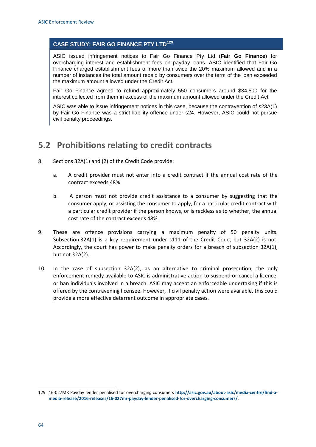#### **CASE STUDY: FAIR GO FINANCE PTY LTD[129](#page-67-0)**

ASIC issued infringement notices to Fair Go Finance Pty Ltd (**Fair Go Finance**) for overcharging interest and establishment fees on payday loans. ASIC identified that Fair Go Finance charged establishment fees of more than twice the 20% maximum allowed and in a number of instances the total amount repaid by consumers over the term of the loan exceeded the maximum amount allowed under the Credit Act.

Fair Go Finance agreed to refund approximately 550 consumers around \$34,500 for the interest collected from them in excess of the maximum amount allowed under the Credit Act.

ASIC was able to issue infringement notices in this case, because the contravention of s23A(1) by Fair Go Finance was a strict liability offence under s24. However, ASIC could not pursue civil penalty proceedings.

## **5.2 Prohibitions relating to credit contracts**

- 8. Sections 32A(1) and (2) of the Credit Code provide:
	- a. A credit provider must not enter into a credit contract if the annual cost rate of the contract exceeds 48%
	- b. A person must not provide credit assistance to a consumer by suggesting that the consumer apply, or assisting the consumer to apply, for a particular credit contract with a particular credit provider if the person knows, or is reckless as to whether, the annual cost rate of the contract exceeds 48%.
- 9. These are offence provisions carrying a maximum penalty of 50 penalty units. Subsection 32A(1) is a key requirement under s111 of the Credit Code, but 32A(2) is not. Accordingly, the court has power to make penalty orders for a breach of subsection 32A(1), but not 32A(2).
- 10. In the case of subsection 32A(2), as an alternative to criminal prosecution, the only enforcement remedy available to ASIC is administrative action to suspend or cancel a licence, or ban individuals involved in a breach. ASIC may accept an enforceable undertaking if this is offered by the contravening licensee. However, if civil penalty action were available, this could provide a more effective deterrent outcome in appropriate cases.

<span id="page-67-0"></span><sup>129</sup> 16-027MR Payday lender penalised for overcharging consumers **[http://asic.gov.au/about-asic/media-centre/find-a](http://asic.gov.au/about-asic/media-centre/find-a-media-release/2016-releases/16-027mr-payday-lender-penalised-for-overcharging-consumers/)[media-release/2016-releases/16-027mr-payday-lender-penalised-for-overcharging-consumers/](http://asic.gov.au/about-asic/media-centre/find-a-media-release/2016-releases/16-027mr-payday-lender-penalised-for-overcharging-consumers/)**.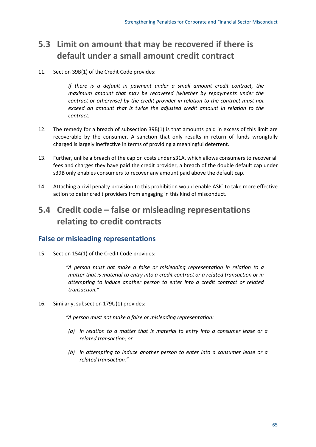# **5.3 Limit on amount that may be recovered if there is default under a small amount credit contract**

11. Section 39B(1) of the Credit Code provides:

*If there is a default in payment under a small amount credit contract, the maximum amount that may be recovered (whether by repayments under the contract or otherwise) by the credit provider in relation to the contract must not exceed an amount that is twice the adjusted credit amount in relation to the contract.*

- 12. The remedy for a breach of subsection 39B(1) is that amounts paid in excess of this limit are recoverable by the consumer. A sanction that only results in return of funds wrongfully charged is largely ineffective in terms of providing a meaningful deterrent.
- 13. Further, unlike a breach of the cap on costs under s31A, which allows consumers to recover all fees and charges they have paid the credit provider, a breach of the double default cap under s39B only enables consumers to recover any amount paid above the default cap.
- 14. Attaching a civil penalty provision to this prohibition would enable ASIC to take more effective action to deter credit providers from engaging in this kind of misconduct.

## **5.4 Credit code – false or misleading representations relating to credit contracts**

### **False or misleading representations**

15. Section 154(1) of the Credit Code provides:

*"A person must not make a false or misleading representation in relation to a matter that is material to entry into a credit contract or a related transaction or in attempting to induce another person to enter into a credit contract or related transaction."*

16. Similarly, subsection 179U(1) provides:

*"A person must not make a false or misleading representation:*

- *(a) in relation to a matter that is material to entry into a consumer lease or a related transaction; or*
- *(b) in attempting to induce another person to enter into a consumer lease or a related transaction."*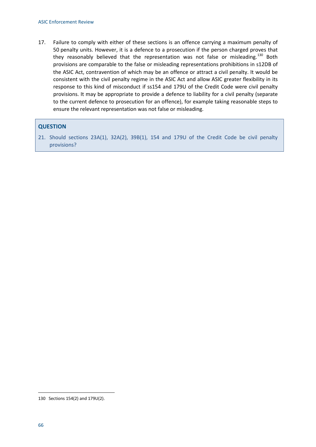17. Failure to comply with either of these sections is an offence carrying a maximum penalty of 50 penalty units. However, it is a defence to a prosecution if the person charged proves that they reasonably believed that the representation was not false or misleading.<sup>[130](#page-69-0)</sup> Both provisions are comparable to the false or misleading representations prohibitions in s12DB of the ASIC Act, contravention of which may be an offence or attract a civil penalty. It would be consistent with the civil penalty regime in the ASIC Act and allow ASIC greater flexibility in its response to this kind of misconduct if ss154 and 179U of the Credit Code were civil penalty provisions. It may be appropriate to provide a defence to liability for a civil penalty (separate to the current defence to prosecution for an offence), for example taking reasonable steps to ensure the relevant representation was not false or misleading.

#### **QUESTION**

21. Should sections 23A(1), 32A(2), 39B(1), 154 and 179U of the Credit Code be civil penalty provisions?

<span id="page-69-0"></span><sup>130</sup> Sections 154(2) and 179U(2).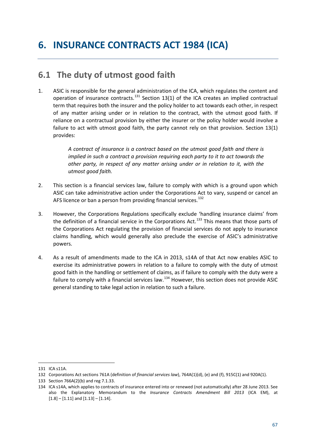## **6.1 The duty of utmost good faith**

1. ASIC is responsible for the general administration of the ICA, which regulates the content and operation of insurance contracts.<sup>[131](#page-70-0)</sup> Section 13(1) of the ICA creates an implied contractual term that requires both the insurer and the policy holder to act towards each other, in respect of any matter arising under or in relation to the contract, with the utmost good faith. If reliance on a contractual provision by either the insurer or the policy holder would involve a failure to act with utmost good faith, the party cannot rely on that provision. Section 13(1) provides:

> *A contract of insurance is a contract based on the utmost good faith and there is implied in such a contract a provision requiring each party to it to act towards the other party, in respect of any matter arising under or in relation to it, with the utmost good faith.*

- 2. This section is a financial services law, failure to comply with which is a ground upon which ASIC can take administrative action under the Corporations Act to vary, suspend or cancel an AFS licence or ban a person from providing financial services.<sup>[132](#page-70-1)</sup>
- 3. However, the Corporations Regulations specifically exclude 'handling insurance claims' from the definition of a financial service in the Corporations Act.<sup>[133](#page-70-2)</sup> This means that those parts of the Corporations Act regulating the provision of financial services do not apply to insurance claims handling, which would generally also preclude the exercise of ASIC's administrative powers.
- 4. As a result of amendments made to the ICA in 2013, s14A of that Act now enables ASIC to exercise its administrative powers in relation to a failure to comply with the duty of utmost good faith in the handling or settlement of claims, as if failure to comply with the duty were a failure to comply with a financial services law.<sup>[134](#page-70-3)</sup> However, this section does not provide ASIC general standing to take legal action in relation to such a failure.

<span id="page-70-0"></span><sup>131</sup> ICA s11A.

<span id="page-70-1"></span><sup>132</sup> Corporations Act sections 761A (definition of *financial services law*), 764A(1)(d), (e) and (f), 915C(1) and 920A(1).

<span id="page-70-2"></span><sup>133</sup> Section 766A(2)(b) and reg 7.1.33.

<span id="page-70-3"></span><sup>134</sup> ICA s14A, which applies to contracts of insurance entered into or renewed (not automatically) after 28 June 2013. See also the Explanatory Memorandum to the *Insurance Contracts Amendment Bill 2013* (ICA EM), at  $[1.8] - [1.11]$  and  $[1.13] - [1.14]$ .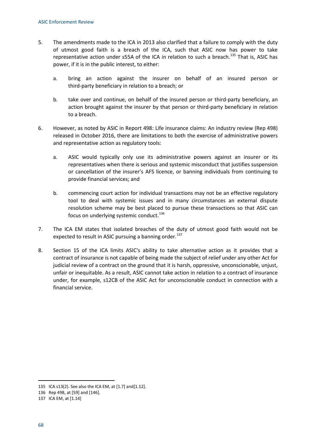- 5. The amendments made to the ICA in 2013 also clarified that a failure to comply with the duty of utmost good faith is a breach of the ICA, such that ASIC now has power to take representative action under s55A of the ICA in relation to such a breach.<sup>[135](#page-71-0)</sup> That is, ASIC has power, if it is in the public interest, to either:
	- a. bring an action against the insurer on behalf of an insured person or third-party beneficiary in relation to a breach; or
	- b. take over and continue, on behalf of the insured person or third-party beneficiary, an action brought against the insurer by that person or third-party beneficiary in relation to a breach.
- 6. However, as noted by ASIC in Report 498: Life insurance claims: An industry review (Rep 498) released in October 2016, there are limitations to both the exercise of administrative powers and representative action as regulatory tools:
	- a. ASIC would typically only use its administrative powers against an insurer or its representatives when there is serious and systemic misconduct that justifies suspension or cancellation of the insurer's AFS licence, or banning individuals from continuing to provide financial services; and
	- b. commencing court action for individual transactions may not be an effective regulatory tool to deal with systemic issues and in many circumstances an external dispute resolution scheme may be best placed to pursue these transactions so that ASIC can focus on underlying systemic conduct. $136$
- 7. The ICA EM states that isolated breaches of the duty of utmost good faith would not be expected to result in ASIC pursuing a banning order.<sup>[137](#page-71-2)</sup>
- 8. Section 15 of the ICA limits ASIC's ability to take alternative action as it provides that a contract of insurance is not capable of being made the subject of relief under any other Act for judicial review of a contract on the ground that it is harsh, oppressive, unconscionable, unjust, unfair or inequitable. As a result, ASIC cannot take action in relation to a contract of insurance under, for example, s12CB of the ASIC Act for unconscionable conduct in connection with a financial service.

<span id="page-71-0"></span><sup>135</sup> ICA s13(2). See also the ICA EM, at [1.7] and[1.12].

<span id="page-71-1"></span><sup>136</sup> Rep 498, at [59] and [146].

<span id="page-71-2"></span><sup>137</sup> ICA EM, at [1.14]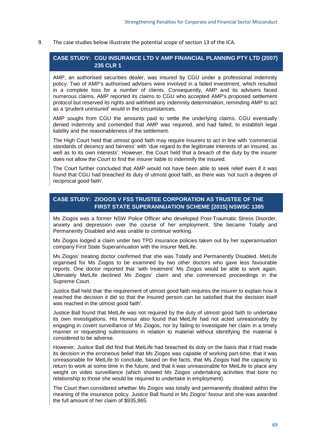#### 9. The case studies below illustrate the potential scope of section 13 of the ICA.

### **CASE STUDY: CGU INSURANCE LTD V AMP FINANCIAL PLANNING PTY LTD (2007) 235 CLR 1**

AMP, an authorised securities dealer, was insured by CGU under a professional indemnity policy. Two of AMP's authorised advisers were involved in a failed investment, which resulted in a complete loss for a number of clients. Consequently, AMP and its advisers faced numerous claims. AMP reported its claims to CGU who accepted AMP's proposed settlement protocol but reserved its rights and withheld any indemnity determination, reminding AMP to act as a 'prudent uninsured' would in the circumstances.

AMP sought from CGU the amounts paid to settle the underlying claims. CGU eventually denied indemnity and contended that AMP was required, and had failed, to establish legal liability and the reasonableness of the settlement.

The High Court held that utmost good faith may require insurers to act in line with 'commercial standards of decency and fairness' with 'due regard to the legitimate interests of an insured, as well as to its own interests'. However, the Court held that a breach of the duty by the insurer does not allow the Court to find the insurer liable to indemnify the insured.

The Court further concluded that AMP would not have been able to seek relief even if it was found that CGU had breached its duty of utmost good faith, as there was 'not such a degree of reciprocal good faith'.

### **CASE STUDY: ZIOGOS V FSS TRUSTEE CORPORATION AS TRUSTEE OF THE FIRST STATE SUPERANNUATION SCHEME [2015] NSWSC 1385**

Ms Ziogos was a former NSW Police Officer who developed Post-Traumatic Stress Disorder, anxiety and depression over the course of her employment. She became Totally and Permanently Disabled and was unable to continue working.

Ms Ziogos lodged a claim under two TPD insurance policies taken out by her superannuation company First State Superannuation with the insurer MetLife.

Ms Ziogos' treating doctor confirmed that she was Totally and Permanently Disabled. MetLife organised for Ms Ziogos to be examined by two other doctors who gave less favourable reports. One doctor reported that 'with treatment' Ms Ziogos would be able to work again. Ultimately MetLife declined Ms Ziogos' claim and she commenced proceedings in the Supreme Court.

Justice Ball held that 'the requirement of utmost good faith requires the insurer to explain how it reached the decision it did so that the insured person can be satisfied that the decision itself was reached in the utmost good faith'.

Justice Ball found that MetLife was not required by the duty of utmost good faith to undertake its own investigations. His Honour also found that MetLife had not acted unreasonably by engaging in covert surveillance of Ms Ziogos, nor by failing to investigate her claim in a timely manner or requesting submissions in relation to material without identifying the material it considered to be adverse.

However, Justice Ball did find that MetLife had breached its duty on the basis that it had made its decision in the erroneous belief that Ms Ziogos was capable of working part-time, that it was unreasonable for MetLife to conclude, based on the facts, that Ms Ziogos had the capacity to return to work at some time in the future, and that it was unreasonable for MetLife to place any weight on video surveillance (which showed Ms Ziogos undertaking activities that bore no relationship to those she would be required to undertake in employment).

The Court then considered whether Ms Ziogos was totally and permanently disabled within the meaning of the insurance policy. Justice Ball found in Ms Ziogos' favour and she was awarded the full amount of her claim of \$935,865.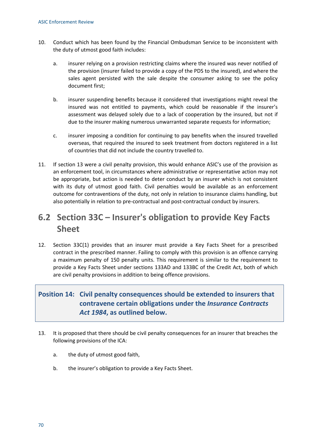- 10. Conduct which has been found by the Financial Ombudsman Service to be inconsistent with the duty of utmost good faith includes:
	- a. insurer relying on a provision restricting claims where the insured was never notified of the provision (insurer failed to provide a copy of the PDS to the insured), and where the sales agent persisted with the sale despite the consumer asking to see the policy document first;
	- b. insurer suspending benefits because it considered that investigations might reveal the insured was not entitled to payments, which could be reasonable if the insurer's assessment was delayed solely due to a lack of cooperation by the insured, but not if due to the insurer making numerous unwarranted separate requests for information;
	- c. insurer imposing a condition for continuing to pay benefits when the insured travelled overseas, that required the insured to seek treatment from doctors registered in a list of countries that did not include the country travelled to.
- 11. If section 13 were a civil penalty provision, this would enhance ASIC's use of the provision as an enforcement tool, in circumstances where administrative or representative action may not be appropriate, but action is needed to deter conduct by an insurer which is not consistent with its duty of utmost good faith. Civil penalties would be available as an enforcement outcome for contraventions of the duty, not only in relation to insurance claims handling, but also potentially in relation to pre-contractual and post-contractual conduct by insurers.

## **6.2 Section 33C – Insurer's obligation to provide Key Facts Sheet**

12. Section 33C(1) provides that an insurer must provide a Key Facts Sheet for a prescribed contract in the prescribed manner. Failing to comply with this provision is an offence carrying a maximum penalty of 150 penalty units. This requirement is similar to the requirement to provide a Key Facts Sheet under sections 133AD and 133BC of the Credit Act, both of which are civil penalty provisions in addition to being offence provisions.

### **Position 14: Civil penalty consequences should be extended to insurers that contravene certain obligations under the** *Insurance Contracts Act 1984***, as outlined below.**

- 13. It is proposed that there should be civil penalty consequences for an insurer that breaches the following provisions of the ICA:
	- a. the duty of utmost good faith,
	- b. the insurer's obligation to provide a Key Facts Sheet.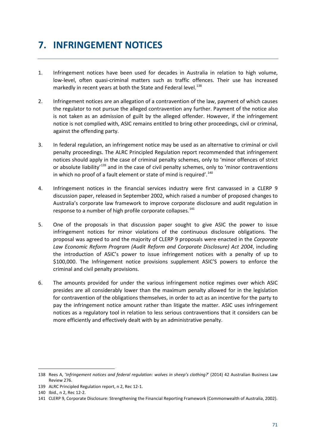## **7. INFRINGEMENT NOTICES**

- 1. Infringement notices have been used for decades in Australia in relation to high volume, low-level, often quasi-criminal matters such as traffic offences. Their use has increased markedly in recent years at both the State and Federal level.<sup>[138](#page-74-0)</sup>
- 2. Infringement notices are an allegation of a contravention of the law, payment of which causes the regulator to not pursue the alleged contravention any further. Payment of the notice also is not taken as an admission of guilt by the alleged offender. However, if the infringement notice is not complied with, ASIC remains entitled to bring other proceedings, civil or criminal, against the offending party.
- 3. In federal regulation, an infringement notice may be used as an alternative to criminal or civil penalty proceedings. The ALRC Principled Regulation report recommended that infringement notices should apply in the case of criminal penalty schemes, only to 'minor offences of strict or absolute liability<sup>[139](#page-74-1)</sup> and in the case of civil penalty schemes, only to 'minor contraventions in which no proof of a fault element or state of mind is required'.<sup>[140](#page-74-2)</sup>
- 4. Infringement notices in the financial services industry were first canvassed in a CLERP 9 discussion paper, released in September 2002, which raised a number of proposed changes to Australia's corporate law framework to improve corporate disclosure and audit regulation in response to a number of high profile corporate collapses.<sup>[141](#page-74-3)</sup>
- 5. One of the proposals in that discussion paper sought to give ASIC the power to issue infringement notices for minor violations of the continuous disclosure obligations. The proposal was agreed to and the majority of CLERP 9 proposals were enacted in the *Corporate Law Economic Reform Program (Audit Reform and Corporate Disclosure) Act 2004*, including the introduction of ASIC's power to issue infringement notices with a penalty of up to \$100,000. The Infringement notice provisions supplement ASIC'S powers to enforce the criminal and civil penalty provisions.
- 6. The amounts provided for under the various infringement notice regimes over which ASIC presides are all considerably lower than the maximum penalty allowed for in the legislation for contravention of the obligations themselves, in order to act as an incentive for the party to pay the infringement notice amount rather than litigate the matter. ASIC uses infringement notices as a regulatory tool in relation to less serious contraventions that it considers can be more efficiently and effectively dealt with by an administrative penalty.

<span id="page-74-0"></span><sup>138</sup> Rees A, '*Infringement notices and federal regulation: wolves in sheep's clothing?*' (2014) 42 Australian Business Law Review 276.

<span id="page-74-1"></span><sup>139</sup> ALRC Principled Regulation report, n 2, Rec 12-1.

<span id="page-74-2"></span><sup>140</sup> Ibid., n 2, Rec 12-2.

<span id="page-74-3"></span><sup>141</sup> CLERP 9, Corporate Disclosure: Strengthening the Financial Reporting Framework (Commonwealth of Australia, 2002).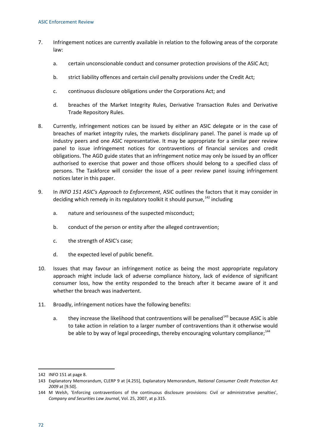- 7. Infringement notices are currently available in relation to the following areas of the corporate law:
	- a. certain unconscionable conduct and consumer protection provisions of the ASIC Act;
	- b. strict liability offences and certain civil penalty provisions under the Credit Act;
	- c. continuous disclosure obligations under the Corporations Act; and
	- d. breaches of the Market Integrity Rules, Derivative Transaction Rules and Derivative Trade Repository Rules.
- 8. Currently, infringement notices can be issued by either an ASIC delegate or in the case of breaches of market integrity rules, the markets disciplinary panel. The panel is made up of industry peers and one ASIC representative. It may be appropriate for a similar peer review panel to issue infringement notices for contraventions of financial services and credit obligations. The AGD guide states that an infringement notice may only be issued by an officer authorised to exercise that power and those officers should belong to a specified class of persons. The Taskforce will consider the issue of a peer review panel issuing infringement notices later in this paper.
- 9. In *INFO 151 ASIC's Approach to Enforcement*, ASIC outlines the factors that it may consider in deciding which remedy in its regulatory toolkit it should pursue.<sup>[142](#page-75-0)</sup> including
	- a. nature and seriousness of the suspected misconduct;
	- b. conduct of the person or entity after the alleged contravention;
	- c. the strength of ASIC's case;
	- d. the expected level of public benefit.
- 10. Issues that may favour an infringement notice as being the most appropriate regulatory approach might include lack of adverse compliance history, lack of evidence of significant consumer loss, how the entity responded to the breach after it became aware of it and whether the breach was inadvertent.
- 11. Broadly, infringement notices have the following benefits:
	- a. they increase the likelihood that contraventions will be penalised $143$  because ASIC is able to take action in relation to a larger number of contraventions than it otherwise would be able to by way of legal proceedings, thereby encouraging voluntary compliance; $144$

<span id="page-75-0"></span><sup>142</sup> INFO 151 at page 8.

<span id="page-75-1"></span><sup>143</sup> Explanatory Memorandum, CLERP 9 at [4.255], Explanatory Memorandum, *National Consumer Credit Protection Act 2009* at [9.50].

<span id="page-75-2"></span><sup>144</sup> M Welsh, 'Enforcing contraventions of the continuous disclosure provisions: Civil or administrative penalties', *Company and Securities Law Journal*, Vol. 25, 2007, at p.315.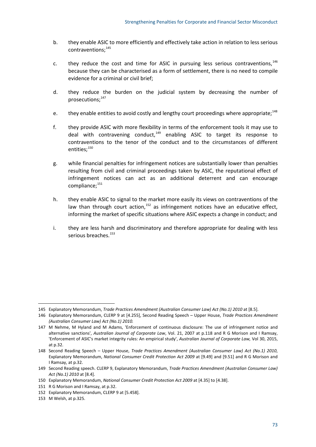- b. they enable ASIC to more efficiently and effectively take action in relation to less serious contraventions;<sup>[145](#page-76-0)</sup>
- c. they reduce the cost and time for ASIC in pursuing less serious contraventions,  $146$ because they can be characterised as a form of settlement, there is no need to compile evidence for a criminal or civil brief;
- d. they reduce the burden on the judicial system by decreasing the number of prosecutions;<sup>[147](#page-76-2)</sup>
- e. they enable entities to avoid costly and lengthy court proceedings where appropriate;<sup>[148](#page-76-3)</sup>
- f. they provide ASIC with more flexibility in terms of the enforcement tools it may use to deal with contravening conduct, $149$  enabling ASIC to target its response to contraventions to the tenor of the conduct and to the circumstances of different entities;<sup>[150](#page-76-5)</sup>
- g. while financial penalties for infringement notices are substantially lower than penalties resulting from civil and criminal proceedings taken by ASIC, the reputational effect of infringement notices can act as an additional deterrent and can encourage compliance;<sup>[151](#page-76-6)</sup>
- h. they enable ASIC to signal to the market more easily its views on contraventions of the law than through court action.<sup>[152](#page-76-7)</sup> as infringement notices have an educative effect, informing the market of specific situations where ASIC expects a change in conduct; and
- i. they are less harsh and discriminatory and therefore appropriate for dealing with less serious breaches.<sup>[153](#page-76-8)</sup>

<span id="page-76-0"></span><sup>145</sup> Explanatory Memorandum, *Trade Practices Amendment (Australian Consumer Law) Act (No.1) 2010* at [8.5].

<span id="page-76-1"></span><sup>146</sup> Explanatory Memorandum, CLERP 9 at [4.255], Second Reading Speech – Upper House, *Trade Practices Amendment (Australian Consumer Law) Act (No.1) 2010.*

<span id="page-76-2"></span><sup>147</sup> M Nehme, M Hyland and M Adams, 'Enforcement of continuous disclosure: The use of infringement notice and alternative sanctions', *Australian Journal of Corporate Law*, Vol. 21, 2007 at p.118 and R G Morison and I Ramsay, 'Enforcement of ASIC's market integrity rules: An empirical study', *Australian Journal of Corporate Law,* Vol 30, 2015, at p.32.

<span id="page-76-3"></span><sup>148</sup> Second Reading Speech – Upper House, *Trade Practices Amendment (Australian Consumer Law) Act (No.1) 2010*, Explanatory Memorandum, *National Consumer Credit Protection Act 2009* at [9.49] and [9.51] and R G Morison and I Ramsay, at p.32.

<span id="page-76-4"></span><sup>149</sup> Second Reading speech. CLERP 9, Explanatory Memorandum, *Trade Practices Amendment (Australian Consumer Law) Act (No.1) 2010* at [8.4].

<span id="page-76-5"></span><sup>150</sup> Explanatory Memorandum, *National Consumer Credit Protection Act 2009* at [4.35] to [4.38].

<span id="page-76-6"></span><sup>151</sup> R G Morison and I Ramsay, at p.32.

<span id="page-76-7"></span><sup>152</sup> Explanatory Memorandum, CLERP 9 at [5.458].

<span id="page-76-8"></span><sup>153</sup> M Welsh, at p.325.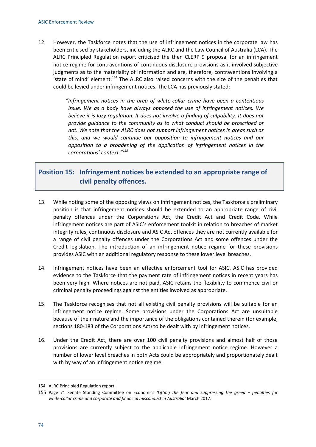12. However, the Taskforce notes that the use of infringement notices in the corporate law has been criticised by stakeholders, including the ALRC and the Law Council of Australia (LCA). The ALRC Principled Regulation report criticised the then CLERP 9 proposal for an infringement notice regime for contraventions of continuous disclosure provisions as it involved subjective judgments as to the materiality of information and are, therefore, contraventions involving a 'state of mind' element.<sup>[154](#page-77-0)</sup> The ALRC also raised concerns with the size of the penalties that could be levied under infringement notices. The LCA has previously stated:

> *"Infringement notices in the area of white-collar crime have been a contentious issue. We as a body have always opposed the use of infringement notices. We believe it is lazy regulation. It does not involve a finding of culpability. It does not provide guidance to the community as to what conduct should be proscribed or not. We note that the ALRC does not support infringement notices in areas such as this, and we would continue our opposition to infringement notices and our opposition to a broadening of the application of infringement notices in the corporations' context."[155](#page-77-1)*

### **Position 15: Infringement notices be extended to an appropriate range of civil penalty offences.**

- 13. While noting some of the opposing views on infringement notices, the Taskforce's preliminary position is that infringement notices should be extended to an appropriate range of civil penalty offences under the Corporations Act, the Credit Act and Credit Code. While infringement notices are part of ASIC's enforcement toolkit in relation to breaches of market integrity rules, continuous disclosure and ASIC Act offences they are not currently available for a range of civil penalty offences under the Corporations Act and some offences under the Credit legislation. The introduction of an infringement notice regime for these provisions provides ASIC with an additional regulatory response to these lower level breaches.
- 14. Infringement notices have been an effective enforcement tool for ASIC. ASIC has provided evidence to the Taskforce that the payment rate of infringement notices in recent years has been very high. Where notices are not paid, ASIC retains the flexibility to commence civil or criminal penalty proceedings against the entities involved as appropriate.
- 15. The Taskforce recognises that not all existing civil penalty provisions will be suitable for an infringement notice regime. Some provisions under the Corporations Act are unsuitable because of their nature and the importance of the obligations contained therein (for example, sections 180-183 of the Corporations Act) to be dealt with by infringement notices.
- 16. Under the Credit Act, there are over 100 civil penalty provisions and almost half of those provisions are currently subject to the applicable infringement notice regime. However a number of lower level breaches in both Acts could be appropriately and proportionately dealt with by way of an infringement notice regime.

**.** 

<span id="page-77-0"></span><sup>154</sup> ALRC Principled Regulation report.

<span id="page-77-1"></span><sup>155</sup> Page 71 Senate Standing Committee on Economics *'Lifting the fear and suppressing the greed – penalties for white-collar crime and corporate and financial misconduct in Australia'* March 2017.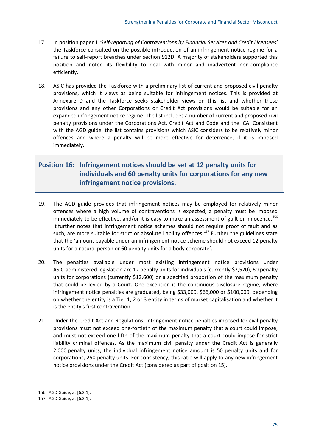- 17. In position paper 1 *'Self-reporting of Contraventions by Financial Services and Credit Licensees'* the Taskforce consulted on the possible introduction of an infringement notice regime for a failure to self-report breaches under section 912D. A majority of stakeholders supported this position and noted its flexibility to deal with minor and inadvertent non-compliance efficiently.
- 18. ASIC has provided the Taskforce with a preliminary list of current and proposed civil penalty provisions, which it views as being suitable for infringement notices. This is provided at Annexure D and the Taskforce seeks stakeholder views on this list and whether these provisions and any other Corporations or Credit Act provisions would be suitable for an expanded infringement notice regime. The list includes a number of current and proposed civil penalty provisions under the Corporations Act, Credit Act and Code and the ICA. Consistent with the AGD guide, the list contains provisions which ASIC considers to be relatively minor offences and where a penalty will be more effective for deterrence, if it is imposed immediately.

### **Position 16: Infringement notices should be set at 12 penalty units for individuals and 60 penalty units for corporations for any new infringement notice provisions.**

- 19. The AGD guide provides that infringement notices may be employed for relatively minor offences where a high volume of contraventions is expected, a penalty must be imposed immediately to be effective, and/or it is easy to make an assessment of guilt or innocence.<sup>[156](#page-78-0)</sup> It further notes that infringement notice schemes should not require proof of fault and as such, are more suitable for strict or absolute liability offences.<sup>[157](#page-78-1)</sup> Further the guidelines state that the 'amount payable under an infringement notice scheme should not exceed 12 penalty units for a natural person or 60 penalty units for a body corporate'.
- 20. The penalties available under most existing infringement notice provisions under ASIC-administered legislation are 12 penalty units for individuals (currently \$2,520), 60 penalty units for corporations (currently \$12,600) or a specified proportion of the maximum penalty that could be levied by a Court. One exception is the continuous disclosure regime, where infringement notice penalties are graduated, being \$33,000, \$66,000 or \$100,000, depending on whether the entity is a Tier 1, 2 or 3 entity in terms of market capitalisation and whether it is the entity's first contravention.
- 21. Under the Credit Act and Regulations, infringement notice penalties imposed for civil penalty provisions must not exceed one-fortieth of the maximum penalty that a court could impose, and must not exceed one-fifth of the maximum penalty that a court could impose for strict liability criminal offences. As the maximum civil penalty under the Credit Act is generally 2,000 penalty units, the individual infringement notice amount is 50 penalty units and for corporations, 250 penalty units. For consistency, this ratio will apply to any new infringement notice provisions under the Credit Act (considered as part of position 15).

<span id="page-78-0"></span><sup>156</sup> AGD Guide, at [6.2.1].

<span id="page-78-1"></span><sup>157</sup> AGD Guide, at [6.2.1].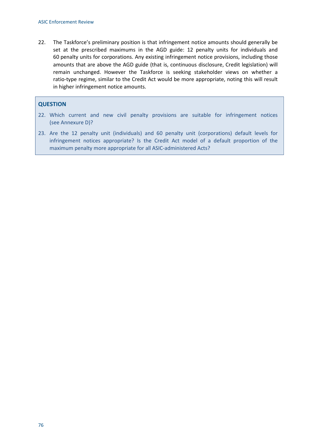22. The Taskforce's preliminary position is that infringement notice amounts should generally be set at the prescribed maximums in the AGD guide: 12 penalty units for individuals and 60 penalty units for corporations. Any existing infringement notice provisions, including those amounts that are above the AGD guide (that is, continuous disclosure, Credit legislation) will remain unchanged. However the Taskforce is seeking stakeholder views on whether a ratio-type regime, similar to the Credit Act would be more appropriate, noting this will result in higher infringement notice amounts.

#### **QUESTION**

- 22. Which current and new civil penalty provisions are suitable for infringement notices (see Annexure D)?
- 23. Are the 12 penalty unit (individuals) and 60 penalty unit (corporations) default levels for infringement notices appropriate? Is the Credit Act model of a default proportion of the maximum penalty more appropriate for all ASIC-administered Acts?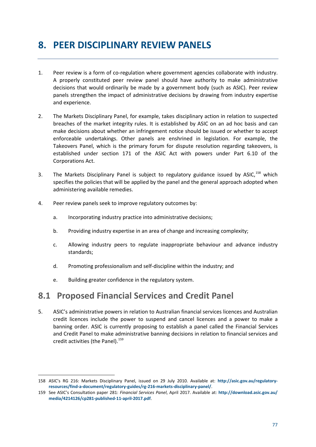## **8. PEER DISCIPLINARY REVIEW PANELS**

- 1. Peer review is a form of co-regulation where government agencies collaborate with industry. A properly constituted peer review panel should have authority to make administrative decisions that would ordinarily be made by a government body (such as ASIC). Peer review panels strengthen the impact of administrative decisions by drawing from industry expertise and experience.
- 2. The Markets Disciplinary Panel, for example, takes disciplinary action in relation to suspected breaches of the market integrity rules. It is established by ASIC on an ad hoc basis and can make decisions about whether an infringement notice should be issued or whether to accept enforceable undertakings. Other panels are enshrined in legislation. For example, the Takeovers Panel, which is the primary forum for dispute resolution regarding takeovers, is established under section 171 of the ASIC Act with powers under Part 6.10 of the Corporations Act.
- 3. The Markets Disciplinary Panel is subject to regulatory guidance issued by ASIC,<sup>[158](#page-80-0)</sup> which specifies the policies that will be applied by the panel and the general approach adopted when administering available remedies.
- 4. Peer review panels seek to improve regulatory outcomes by:
	- a. Incorporating industry practice into administrative decisions;
	- b. Providing industry expertise in an area of change and increasing complexity;
	- c. Allowing industry peers to regulate inappropriate behaviour and advance industry standards;
	- d. Promoting professionalism and self-discipline within the industry; and
	- e. Building greater confidence in the regulatory system.

**.** 

## **8.1 Proposed Financial Services and Credit Panel**

5. ASIC's administrative powers in relation to Australian financial services licences and Australian credit licences include the power to suspend and cancel licences and a power to make a banning order. ASIC is currently proposing to establish a panel called the Financial Services and Credit Panel to make administrative banning decisions in relation to financial services and credit activities (the Panel).<sup>[159](#page-80-1)</sup>

<span id="page-80-0"></span><sup>158</sup> ASIC's RG 216: Markets Disciplinary Panel, issued on 29 July 2010. Available at: **http://asic.gov.au/regulatoryresources/find-a-document/regulatory-guides/rg-216-markets-disciplinary-panel/**.

<span id="page-80-1"></span><sup>159</sup> See ASIC's Consultation paper 281: *Financial Services Panel*, April 2017. Available at: **http://download.asic.gov.au/ media/4214126/cp281-published-11-april-2017.pdf**.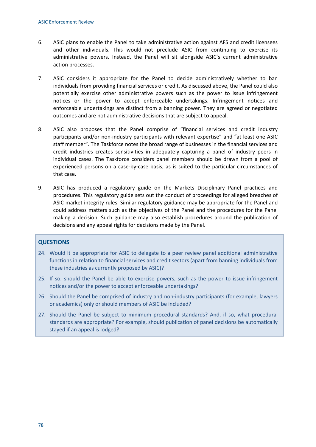- 6. ASIC plans to enable the Panel to take administrative action against AFS and credit licensees and other individuals. This would not preclude ASIC from continuing to exercise its administrative powers. Instead, the Panel will sit alongside ASIC's current administrative action processes.
- 7. ASIC considers it appropriate for the Panel to decide administratively whether to ban individuals from providing financial services or credit. As discussed above, the Panel could also potentially exercise other administrative powers such as the power to issue infringement notices or the power to accept enforceable undertakings. Infringement notices and enforceable undertakings are distinct from a banning power. They are agreed or negotiated outcomes and are not administrative decisions that are subject to appeal.
- 8. ASIC also proposes that the Panel comprise of "financial services and credit industry participants and/or non-industry participants with relevant expertise" and "at least one ASIC staff member". The Taskforce notes the broad range of businesses in the financial services and credit industries creates sensitivities in adequately capturing a panel of industry peers in individual cases. The Taskforce considers panel members should be drawn from a pool of experienced persons on a case-by-case basis, as is suited to the particular circumstances of that case.
- 9. ASIC has produced a regulatory guide on the Markets Disciplinary Panel practices and procedures. This regulatory guide sets out the conduct of proceedings for alleged breaches of ASIC market integrity rules. Similar regulatory guidance may be appropriate for the Panel and could address matters such as the objectives of the Panel and the procedures for the Panel making a decision. Such guidance may also establish procedures around the publication of decisions and any appeal rights for decisions made by the Panel.

### **QUESTIONS**

- 24. Would it be appropriate for ASIC to delegate to a peer review panel additional administrative functions in relation to financial services and credit sectors (apart from banning individuals from these industries as currently proposed by ASIC)?
- 25. If so, should the Panel be able to exercise powers, such as the power to issue infringement notices and/or the power to accept enforceable undertakings?
- 26. Should the Panel be comprised of industry and non-industry participants (for example, lawyers or academics) only or should members of ASIC be included?
- 27. Should the Panel be subject to minimum procedural standards? And, if so, what procedural standards are appropriate? For example, should publication of panel decisions be automatically stayed if an appeal is lodged?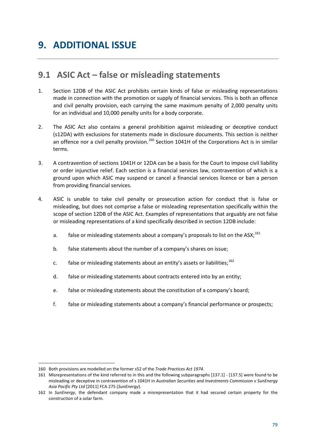## **9.1 ASIC Act – false or misleading statements**

- 1. Section 12DB of the ASIC Act prohibits certain kinds of false or misleading representations made in connection with the promotion or supply of financial services. This is both an offence and civil penalty provision, each carrying the same maximum penalty of 2,000 penalty units for an individual and 10,000 penalty units for a body corporate.
- 2. The ASIC Act also contains a general prohibition against misleading or deceptive conduct (s12DA) with exclusions for statements made in disclosure documents. This section is neither an offence nor a civil penalty provision.<sup>[160](#page-82-0)</sup> Section 1041H of the Corporations Act is in similar terms.
- 3. A contravention of sections 1041H or 12DA can be a basis for the Court to impose civil liability or order injunctive relief. Each section is a financial services law, contravention of which is a ground upon which ASIC may suspend or cancel a financial services licence or ban a person from providing financial services.
- 4. ASIC is unable to take civil penalty or prosecution action for conduct that is false or misleading, but does not comprise a false or misleading representation specifically within the scope of section 12DB of the ASIC Act. Examples of representations that arguably are not false or misleading representations of a kind specifically described in section 12DB include:
	- a. false or misleading statements about a company's proposals to list on the ASX;<sup>[161](#page-82-1)</sup>
	- b. false statements about the number of a company's shares on issue;
	- c. false or misleading statements about an entity's assets or liabilities;<sup>[162](#page-82-2)</sup>
	- d. false or misleading statements about contracts entered into by an entity;
	- e. false or misleading statements about the constitution of a company's board;
	- f. false or misleading statements about a company's financial performance or prospects;

**.** 

<span id="page-82-0"></span><sup>160</sup> Both provisions are modelled on the former s52 of the *Trade Practices Act 1974*.

<span id="page-82-1"></span><sup>161</sup> Misrepresentations of the kind referred to in this and the following subparagraphs [137.1] - [137.5] were found to be misleading or deceptive in contravention of s 1041H in *Australian Securities and Investments Commission v SunEnergy Asia Pacific Pty Ltd* [2011] FCA 275 (*SunEnergy*).

<span id="page-82-2"></span><sup>162</sup> In *SunEnergy*, the defendant company made a misrepresentation that it had secured certain property for the construction of a solar farm.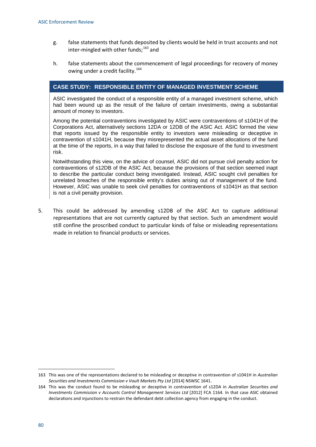- g. false statements that funds deposited by clients would be held in trust accounts and not inter-mingled with other funds; $^{163}$  $^{163}$  $^{163}$  and
- h. false statements about the commencement of legal proceedings for recovery of money owing under a credit facility.<sup>[164](#page-83-1)</sup>

### **CASE STUDY: RESPONSIBLE ENTITY OF MANAGED INVESTMENT SCHEME**

ASIC investigated the conduct of a responsible entity of a managed investment scheme, which had been wound up as the result of the failure of certain investments, owing a substantial amount of money to investors.

Among the potential contraventions investigated by ASIC were contraventions of s1041H of the Corporations Act, alternatively sections 12DA or 12DB of the ASIC Act. ASIC formed the view that reports issued by the responsible entity to investors were misleading or deceptive in contravention of s1041H, because they misrepresented the actual asset allocations of the fund at the time of the reports, in a way that failed to disclose the exposure of the fund to investment risk.

Notwithstanding this view, on the advice of counsel, ASIC did not pursue civil penalty action for contraventions of s12DB of the ASIC Act, because the provisions of that section seemed inapt to describe the particular conduct being investigated. Instead, ASIC sought civil penalties for unrelated breaches of the responsible entity's duties arising out of management of the fund. However, ASIC was unable to seek civil penalties for contraventions of s1041H as that section is not a civil penalty provision.

5. This could be addressed by amending s12DB of the ASIC Act to capture additional representations that are not currently captured by that section. Such an amendment would still confine the proscribed conduct to particular kinds of false or misleading representations made in relation to financial products or services.

<span id="page-83-0"></span><sup>163</sup> This was one of the representations declared to be misleading or deceptive in contravention of s1041H in *Australian Securities and Investments Commission v Vault Markets Pty Ltd* [2014] NSWSC 1641.

<span id="page-83-1"></span><sup>164</sup> This was the conduct found to be misleading or deceptive in contravention of s12DA in *Australian Securities and Investments Commission v Accounts Control Management Services Ltd* [2012] FCA 1164. In that case ASIC obtained declarations and injunctions to restrain the defendant debt collection agency from engaging in the conduct.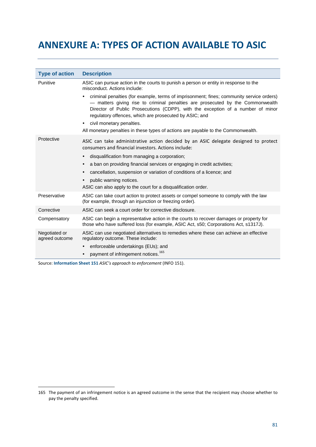## **ANNEXURE A: TYPES OF ACTION AVAILABLE TO ASIC**

| <b>Type of action</b>           | <b>Description</b>                                                                                                                                                                                                                                                                                                      |
|---------------------------------|-------------------------------------------------------------------------------------------------------------------------------------------------------------------------------------------------------------------------------------------------------------------------------------------------------------------------|
| Punitive                        | ASIC can pursue action in the courts to punish a person or entity in response to the<br>misconduct. Actions include:                                                                                                                                                                                                    |
|                                 | criminal penalties (for example, terms of imprisonment; fines; community service orders)<br>- matters giving rise to criminal penalties are prosecuted by the Commonwealth<br>Director of Public Prosecutions (CDPP), with the exception of a number of minor<br>regulatory offences, which are prosecuted by ASIC; and |
|                                 | civil monetary penalties.<br>$\bullet$                                                                                                                                                                                                                                                                                  |
|                                 | All monetary penalties in these types of actions are payable to the Commonwealth.                                                                                                                                                                                                                                       |
| Protective                      | ASIC can take administrative action decided by an ASIC delegate designed to protect<br>consumers and financial investors. Actions include:                                                                                                                                                                              |
|                                 | disqualification from managing a corporation;<br>$\bullet$                                                                                                                                                                                                                                                              |
|                                 | a ban on providing financial services or engaging in credit activities;<br>$\bullet$                                                                                                                                                                                                                                    |
|                                 | cancellation, suspension or variation of conditions of a licence; and<br>$\bullet$                                                                                                                                                                                                                                      |
|                                 | public warning notices.<br>$\bullet$                                                                                                                                                                                                                                                                                    |
|                                 | ASIC can also apply to the court for a disqualification order.                                                                                                                                                                                                                                                          |
| Preservative                    | ASIC can take court action to protect assets or compel someone to comply with the law<br>(for example, through an injunction or freezing order).                                                                                                                                                                        |
| Corrective                      | ASIC can seek a court order for corrective disclosure.                                                                                                                                                                                                                                                                  |
| Compensatory                    | ASIC can begin a representative action in the courts to recover damages or property for<br>those who have suffered loss (for example, ASIC Act, s50; Corporations Act, s1317J).                                                                                                                                         |
| Negotiated or<br>agreed outcome | ASIC can use negotiated alternatives to remedies where these can achieve an effective<br>regulatory outcome. These include:                                                                                                                                                                                             |
|                                 | enforceable undertakings (EUs); and<br>$\bullet$                                                                                                                                                                                                                                                                        |
|                                 | payment of infringement notices. <sup>165</sup><br>$\bullet$                                                                                                                                                                                                                                                            |

Source: **[Information Sheet 151](http://asic.gov.au/regulatory-resources/find-a-document/reports/rep-387-penalties-for-corporate-wrongdoing/)** *ASIC's approach to enforcement* (INFO 151).

<span id="page-84-0"></span><sup>165</sup> The payment of an infringement notice is an agreed outcome in the sense that the recipient may choose whether to pay the penalty specified.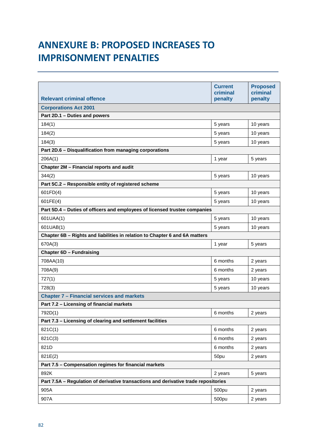# **ANNEXURE B: PROPOSED INCREASES TO IMPRISONMENT PENALTIES**

|                                                                                     | <b>Current</b><br>criminal | <b>Proposed</b><br>criminal |
|-------------------------------------------------------------------------------------|----------------------------|-----------------------------|
| <b>Relevant criminal offence</b>                                                    | penalty                    | penalty                     |
| <b>Corporations Act 2001</b>                                                        |                            |                             |
| Part 2D.1 - Duties and powers                                                       |                            |                             |
| 184(1)                                                                              | 5 years                    | 10 years                    |
| 184(2)                                                                              | 5 years                    | 10 years                    |
| 184(3)                                                                              | 5 years                    | 10 years                    |
| Part 2D.6 - Disqualification from managing corporations                             |                            |                             |
| 206A(1)                                                                             | 1 year                     | 5 years                     |
| Chapter 2M - Financial reports and audit                                            |                            |                             |
| 344(2)                                                                              | 5 years                    | 10 years                    |
| Part 5C.2 - Responsible entity of registered scheme                                 |                            |                             |
| 601FD(4)                                                                            | 5 years                    | 10 years                    |
| 601FE(4)                                                                            | 5 years                    | 10 years                    |
| Part 5D.4 - Duties of officers and employees of licensed trustee companies          |                            |                             |
| 601UAA(1)                                                                           | 5 years                    | 10 years                    |
| 601UAB(1)                                                                           | 5 years                    | 10 years                    |
| Chapter 6B - Rights and liabilities in relation to Chapter 6 and 6A matters         |                            |                             |
| 670A(3)                                                                             | 1 year                     | 5 years                     |
| <b>Chapter 6D - Fundraising</b>                                                     |                            |                             |
| 708AA(10)                                                                           | 6 months                   | 2 years                     |
| 708A(9)                                                                             | 6 months                   | 2 years                     |
| 727(1)                                                                              | 5 years                    | 10 years                    |
| 728(3)                                                                              | 5 years                    | 10 years                    |
| <b>Chapter 7 - Financial services and markets</b>                                   |                            |                             |
| Part 7.2 - Licensing of financial markets                                           |                            |                             |
| 792D(1)                                                                             | 6 months                   | 2 years                     |
| Part 7.3 - Licensing of clearing and settlement facilities                          |                            |                             |
| 821C(1)                                                                             | 6 months                   | 2 years                     |
| 821C(3)                                                                             | 6 months                   | 2 years                     |
| 821D                                                                                | 6 months                   | 2 years                     |
| 821E(2)                                                                             | 50pu                       | 2 years                     |
| Part 7.5 - Compensation regimes for financial markets                               |                            |                             |
| 892K                                                                                | 2 years                    | 5 years                     |
| Part 7.5A - Regulation of derivative transactions and derivative trade repositories |                            |                             |
| 905A                                                                                | 500pu                      | 2 years                     |
| 907A                                                                                | 500pu                      | 2 years                     |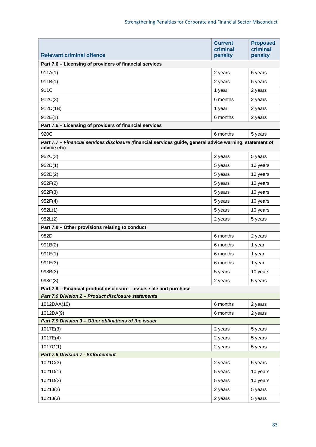| <b>Relevant criminal offence</b>                                                                                        | <b>Current</b><br>criminal<br>penalty | <b>Proposed</b><br>criminal<br>penalty |
|-------------------------------------------------------------------------------------------------------------------------|---------------------------------------|----------------------------------------|
| Part 7.6 - Licensing of providers of financial services                                                                 |                                       |                                        |
| 911A(1)                                                                                                                 | 2 years                               | 5 years                                |
| 911B(1)                                                                                                                 | 2 years                               | 5 years                                |
| 911C                                                                                                                    | 1 year                                | 2 years                                |
| 912C(3)                                                                                                                 | 6 months                              | 2 years                                |
| 912D(1B)                                                                                                                | 1 year                                | 2 years                                |
| 912E(1)                                                                                                                 | 6 months                              | 2 years                                |
| Part 7.6 - Licensing of providers of financial services                                                                 |                                       |                                        |
| 920C                                                                                                                    | 6 months                              | 5 years                                |
| Part 7.7 - Financial services disclosure (financial services guide, general advice warning, statement of<br>advice etc) |                                       |                                        |
| 952C(3)                                                                                                                 | 2 years                               | 5 years                                |
| 952D(1)                                                                                                                 | 5 years                               | 10 years                               |
| 952D(2)                                                                                                                 | 5 years                               | 10 years                               |
| 952F(2)                                                                                                                 | 5 years                               | 10 years                               |
| 952F(3)                                                                                                                 | 5 years                               | 10 years                               |
| 952F(4)                                                                                                                 | 5 years                               | 10 years                               |
| 952L(1)                                                                                                                 | 5 years                               | 10 years                               |
| 952L(2)                                                                                                                 | 2 years                               | 5 years                                |
| Part 7.8 - Other provisions relating to conduct                                                                         |                                       |                                        |
| 982D                                                                                                                    | 6 months                              | 2 years                                |
| 991B(2)                                                                                                                 | 6 months                              | 1 year                                 |
| 991E(1)                                                                                                                 | 6 months                              | 1 year                                 |
| 991E(3)                                                                                                                 | 6 months                              | 1 year                                 |
| 993B(3)                                                                                                                 | 5 years                               | 10 years                               |
| 993C(3)                                                                                                                 | 2 years                               | 5 years                                |
| Part 7.9 - Financial product disclosure - issue, sale and purchase                                                      |                                       |                                        |
| Part 7.9 Division 2 - Product disclosure statements                                                                     |                                       |                                        |
| 1012DAA(10)                                                                                                             | 6 months                              | 2 years                                |
| 1012DA(9)                                                                                                               | 6 months                              | 2 years                                |
| Part 7.9 Division 3 - Other obligations of the issuer                                                                   |                                       |                                        |
| 1017E(3)                                                                                                                | 2 years                               | 5 years                                |
| 1017E(4)                                                                                                                | 2 years                               | 5 years                                |
| 1017G(1)                                                                                                                | 2 years                               | 5 years                                |
| <b>Part 7.9 Division 7 - Enforcement</b>                                                                                |                                       |                                        |
| 1021C(3)                                                                                                                | 2 years                               | 5 years                                |
| 1021D(1)                                                                                                                | 5 years                               | 10 years                               |
| 1021D(2)                                                                                                                | 5 years                               | 10 years                               |
| 1021J(2)                                                                                                                | 2 years                               | 5 years                                |
| 1021J(3)                                                                                                                | 2 years                               | 5 years                                |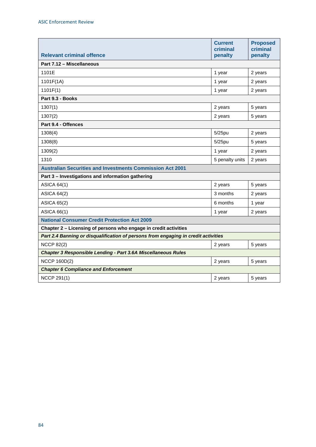|                                                                                    | <b>Current</b><br>criminal | <b>Proposed</b><br>criminal |
|------------------------------------------------------------------------------------|----------------------------|-----------------------------|
| <b>Relevant criminal offence</b>                                                   | penalty                    | penalty                     |
| Part 7.12 - Miscellaneous                                                          |                            |                             |
| 1101E                                                                              | 1 year                     | 2 years                     |
| 1101F(1A)                                                                          | 1 year                     | 2 years                     |
| 1101F(1)                                                                           | 1 year                     | 2 years                     |
| Part 9.3 - Books                                                                   |                            |                             |
| 1307(1)                                                                            | 2 years                    | 5 years                     |
| 1307(2)                                                                            | 2 years                    | 5 years                     |
| Part 9.4 - Offences                                                                |                            |                             |
| 1308(4)                                                                            | 5/25pu                     | 2 years                     |
| 1308(8)                                                                            | $5/25$ pu                  | 5 years                     |
| 1309(2)                                                                            | 1 year                     | 2 years                     |
| 1310                                                                               | 5 penalty units            | 2 years                     |
| <b>Australian Securities and Investments Commission Act 2001</b>                   |                            |                             |
| Part 3 - Investigations and information gathering                                  |                            |                             |
| <b>ASICA 64(1)</b>                                                                 | 2 years                    | 5 years                     |
| <b>ASICA 64(2)</b>                                                                 | 3 months                   | 2 years                     |
| <b>ASICA 65(2)</b>                                                                 | 6 months                   | 1 year                      |
| <b>ASICA 66(1)</b>                                                                 | 1 year                     | 2 years                     |
| <b>National Consumer Credit Protection Act 2009</b>                                |                            |                             |
| Chapter 2 - Licensing of persons who engage in credit activities                   |                            |                             |
| Part 2.4 Banning or disqualification of persons from engaging in credit activities |                            |                             |
| <b>NCCP 82(2)</b>                                                                  | 2 years                    | 5 years                     |
| <b>Chapter 3 Responsible Lending - Part 3.6A Miscellaneous Rules</b>               |                            |                             |
| <b>NCCP 160D(2)</b>                                                                | 2 years                    | 5 years                     |
| <b>Chapter 6 Compliance and Enforcement</b>                                        |                            |                             |
| <b>NCCP 291(1)</b>                                                                 | 2 years                    | 5 years                     |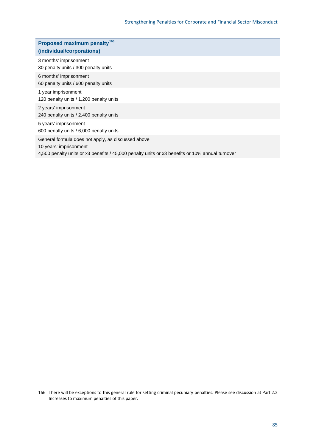| Proposed maximum penalty <sup>166</sup><br>(individual/corporations)         |
|------------------------------------------------------------------------------|
| 3 months' imprisonment<br>30 penalty units / 300 penalty units               |
| 6 months' imprisonment<br>60 penalty units / 600 penalty units               |
| 1 year imprisonment<br>120 penalty units / 1,200 penalty units               |
| 2 years' imprisonment<br>240 penalty units / 2,400 penalty units             |
| 5 years' imprisonment<br>600 penalty units / 6,000 penalty units             |
| General formula does not apply, as discussed above<br>10 years' imprisonment |

4,500 penalty units or x3 benefits / 45,000 penalty units or x3 benefits or 10% annual turnover

<span id="page-88-0"></span><sup>166</sup> There will be exceptions to this general rule for setting criminal pecuniary penalties. Please see discussion at Part [2.2](#page-27-0)  [Increases to maximum penalties](#page-27-0) of this paper.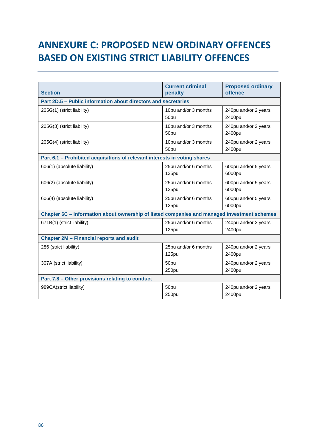# **ANNEXURE C: PROPOSED NEW ORDINARY OFFENCES BASED ON EXISTING STRICT LIABILITY OFFENCES**

|                                                                                             | <b>Current criminal</b> | <b>Proposed ordinary</b> |  |
|---------------------------------------------------------------------------------------------|-------------------------|--------------------------|--|
| <b>Section</b>                                                                              | penalty                 | offence                  |  |
| Part 2D.5 - Public information about directors and secretaries                              |                         |                          |  |
| 205G(1) (strict liability)                                                                  | 10pu and/or 3 months    | 240pu and/or 2 years     |  |
|                                                                                             | 50pu                    | 2400pu                   |  |
| 205G(3) (strict liability)                                                                  | 10pu and/or 3 months    | 240pu and/or 2 years     |  |
|                                                                                             | 50pu                    | 2400pu                   |  |
| 205G(4) (strict liability)                                                                  | 10pu and/or 3 months    | 240pu and/or 2 years     |  |
|                                                                                             | 50pu                    | 2400pu                   |  |
| Part 6.1 - Prohibited acquisitions of relevant interests in voting shares                   |                         |                          |  |
| 606(1) (absolute liability)                                                                 | 25pu and/or 6 months    | 600pu and/or 5 years     |  |
|                                                                                             | <b>125pu</b>            | 6000pu                   |  |
| 606(2) (absolute liability)                                                                 | 25pu and/or 6 months    | 600pu and/or 5 years     |  |
|                                                                                             | <b>125pu</b>            | 6000pu                   |  |
| 606(4) (absolute liability)                                                                 | 25pu and/or 6 months    | 600pu and/or 5 years     |  |
|                                                                                             | 125pu                   | 6000pu                   |  |
| Chapter 6C - Information about ownership of listed companies and managed investment schemes |                         |                          |  |
| 671B(1) (strict liability)                                                                  | 25pu and/or 6 months    | 240pu and/or 2 years     |  |
|                                                                                             | <b>125pu</b>            | 2400pu                   |  |
| <b>Chapter 2M - Financial reports and audit</b>                                             |                         |                          |  |
| 286 (strict liability)                                                                      | 25pu and/or 6 months    | 240pu and/or 2 years     |  |
|                                                                                             | <b>125pu</b>            | 2400pu                   |  |
| 307A (strict liability)                                                                     | 50pu                    | 240pu and/or 2 years     |  |
|                                                                                             | 250pu                   | 2400pu                   |  |
| Part 7.8 - Other provisions relating to conduct                                             |                         |                          |  |
| 989CA(strict liability)                                                                     | 50pu                    | 240pu and/or 2 years     |  |
|                                                                                             | 250pu                   | 2400pu                   |  |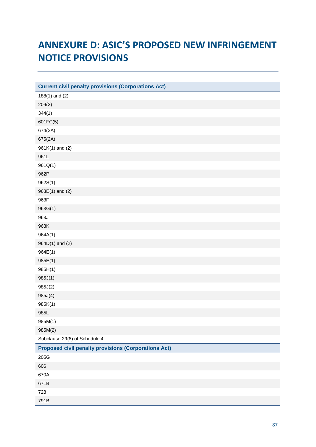# **ANNEXURE D: ASIC'S PROPOSED NEW INFRINGEMENT NOTICE PROVISIONS**

| <b>Current civil penalty provisions (Corporations Act)</b>  |
|-------------------------------------------------------------|
| $188(1)$ and $(2)$                                          |
| 209(2)                                                      |
| 344(1)                                                      |
| 601FC(5)                                                    |
| 674(2A)                                                     |
| 675(2A)                                                     |
| 961K(1) and (2)                                             |
| 961L                                                        |
| 961Q(1)                                                     |
| 962P                                                        |
| 962S(1)                                                     |
| $963E(1)$ and $(2)$                                         |
| 963F                                                        |
| 963G(1)                                                     |
| 963J                                                        |
| 963K                                                        |
| 964A(1)                                                     |
| 964D(1) and (2)                                             |
| 964E(1)                                                     |
| 985E(1)                                                     |
| 985H(1)                                                     |
| 985J(1)                                                     |
| 985J(2)                                                     |
| 985J(4)                                                     |
| 985K(1)                                                     |
| 985L                                                        |
| 985M(1)                                                     |
| 985M(2)                                                     |
| Subclause 29(6) of Schedule 4                               |
| <b>Proposed civil penalty provisions (Corporations Act)</b> |
| 205G                                                        |
| 606                                                         |
| 670A                                                        |
| 671B                                                        |
| 728                                                         |
| 791B                                                        |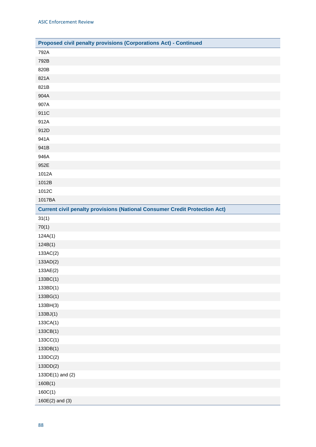| Proposed civil penalty provisions (Corporations Act) - Continued                  |
|-----------------------------------------------------------------------------------|
| 792A                                                                              |
| 792B                                                                              |
| 820B                                                                              |
| 821A                                                                              |
| 821B                                                                              |
| 904A                                                                              |
| 907A                                                                              |
| 911C                                                                              |
| 912A                                                                              |
| 912D                                                                              |
| 941A                                                                              |
| 941B                                                                              |
| 946A                                                                              |
| 952E                                                                              |
| 1012A                                                                             |
| 1012B                                                                             |
| 1012C                                                                             |
| 1017BA                                                                            |
| <b>Current civil penalty provisions (National Consumer Credit Protection Act)</b> |
| 31(1)                                                                             |
| 70(1)                                                                             |
| 124A(1)                                                                           |
| 124B(1)                                                                           |
| 133AC(2)                                                                          |
| 133AD(2)                                                                          |
| 133AE(2)                                                                          |
| 133BC(1)                                                                          |
| 133BD(1)                                                                          |
| 133BG(1)                                                                          |
| 133BH(3)                                                                          |
| 133BJ(1)                                                                          |
| 133CA(1)                                                                          |
| 133CB(1)                                                                          |
| 133CC(1)                                                                          |
| 133DB(1)                                                                          |
| 133DC(2)                                                                          |
| 133DD(2)                                                                          |
| 133DE(1) and (2)                                                                  |
| 160B(1)                                                                           |
| 160C(1)                                                                           |
| $160E(2)$ and (3)                                                                 |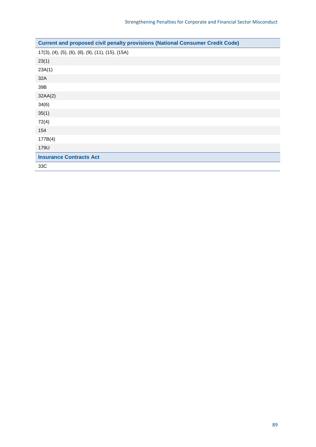| <b>Current and proposed civil penalty provisions (National Consumer Credit Code)</b> |
|--------------------------------------------------------------------------------------|
| 17(3), (4), (5), (6), (8), (9), (11), (15), (15A)                                    |
| 23(1)                                                                                |
| 23A(1)                                                                               |
| 32A                                                                                  |
| 39B                                                                                  |
| 32AA(2)                                                                              |
| 34(6)                                                                                |
| 35(1)                                                                                |
| 72(4)                                                                                |
| 154                                                                                  |
| 177B(4)                                                                              |
| 179U                                                                                 |
| <b>Insurance Contracts Act</b>                                                       |
| 33C                                                                                  |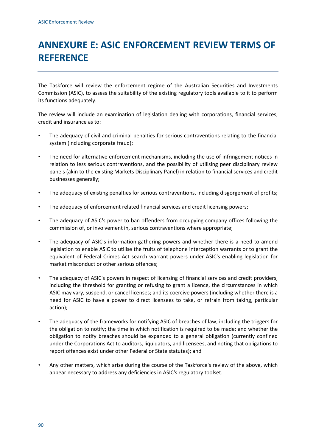# **ANNEXURE E: ASIC ENFORCEMENT REVIEW TERMS OF REFERENCE**

The Taskforce will review the enforcement regime of the Australian Securities and Investments Commission (ASIC), to assess the suitability of the existing regulatory tools available to it to perform its functions adequately.

The review will include an examination of legislation dealing with corporations, financial services, credit and insurance as to:

- The adequacy of civil and criminal penalties for serious contraventions relating to the financial system (including corporate fraud);
- The need for alternative enforcement mechanisms, including the use of infringement notices in relation to less serious contraventions, and the possibility of utilising peer disciplinary review panels (akin to the existing Markets Disciplinary Panel) in relation to financial services and credit businesses generally;
- The adequacy of existing penalties for serious contraventions, including disgorgement of profits;
- The adequacy of enforcement related financial services and credit licensing powers;
- The adequacy of ASIC's power to ban offenders from occupying company offices following the commission of, or involvement in, serious contraventions where appropriate;
- The adequacy of ASIC's information gathering powers and whether there is a need to amend legislation to enable ASIC to utilise the fruits of telephone interception warrants or to grant the equivalent of Federal Crimes Act search warrant powers under ASIC's enabling legislation for market misconduct or other serious offences;
- The adequacy of ASIC's powers in respect of licensing of financial services and credit providers, including the threshold for granting or refusing to grant a licence, the circumstances in which ASIC may vary, suspend, or cancel licenses; and its coercive powers (including whether there is a need for ASIC to have a power to direct licensees to take, or refrain from taking, particular action);
- The adequacy of the frameworks for notifying ASIC of breaches of law, including the triggers for the obligation to notify; the time in which notification is required to be made; and whether the obligation to notify breaches should be expanded to a general obligation (currently confined under the Corporations Act to auditors, liquidators, and licensees, and noting that obligations to report offences exist under other Federal or State statutes); and
- Any other matters, which arise during the course of the Taskforce's review of the above, which appear necessary to address any deficiencies in ASIC's regulatory toolset.